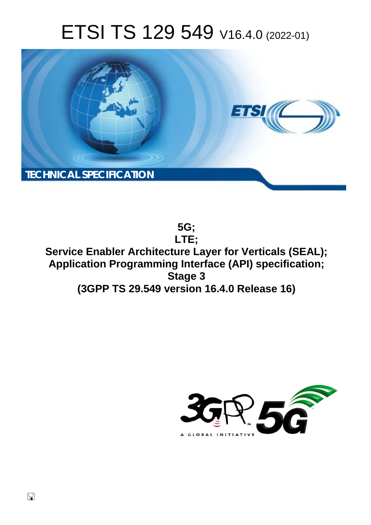# ETSI TS 129 549 V16.4.0 (2022-01)



**5G; LTE; Service Enabler Architecture Layer for Verticals (SEAL); Application Programming Interface (API) specification; Stage 3 (3GPP TS 29.549 version 16.4.0 Release 16)** 

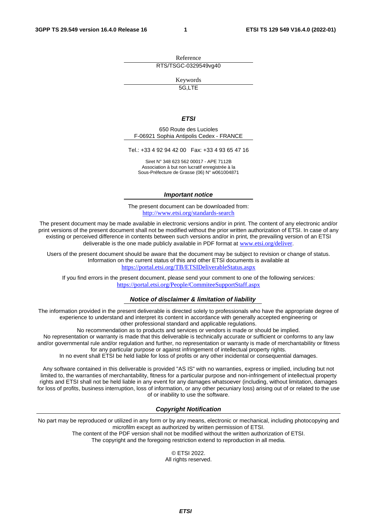Reference RTS/TSGC-0329549vg40

Keywords

5G,LTE

#### *ETSI*

650 Route des Lucioles F-06921 Sophia Antipolis Cedex - FRANCE

Tel.: +33 4 92 94 42 00 Fax: +33 4 93 65 47 16

Siret N° 348 623 562 00017 - APE 7112B Association à but non lucratif enregistrée à la Sous-Préfecture de Grasse (06) N° w061004871

#### *Important notice*

The present document can be downloaded from: <http://www.etsi.org/standards-search>

The present document may be made available in electronic versions and/or in print. The content of any electronic and/or print versions of the present document shall not be modified without the prior written authorization of ETSI. In case of any existing or perceived difference in contents between such versions and/or in print, the prevailing version of an ETSI deliverable is the one made publicly available in PDF format at [www.etsi.org/deliver](http://www.etsi.org/deliver).

Users of the present document should be aware that the document may be subject to revision or change of status. Information on the current status of this and other ETSI documents is available at <https://portal.etsi.org/TB/ETSIDeliverableStatus.aspx>

If you find errors in the present document, please send your comment to one of the following services: <https://portal.etsi.org/People/CommiteeSupportStaff.aspx>

#### *Notice of disclaimer & limitation of liability*

The information provided in the present deliverable is directed solely to professionals who have the appropriate degree of experience to understand and interpret its content in accordance with generally accepted engineering or other professional standard and applicable regulations.

No recommendation as to products and services or vendors is made or should be implied.

No representation or warranty is made that this deliverable is technically accurate or sufficient or conforms to any law and/or governmental rule and/or regulation and further, no representation or warranty is made of merchantability or fitness for any particular purpose or against infringement of intellectual property rights.

In no event shall ETSI be held liable for loss of profits or any other incidental or consequential damages.

Any software contained in this deliverable is provided "AS IS" with no warranties, express or implied, including but not limited to, the warranties of merchantability, fitness for a particular purpose and non-infringement of intellectual property rights and ETSI shall not be held liable in any event for any damages whatsoever (including, without limitation, damages for loss of profits, business interruption, loss of information, or any other pecuniary loss) arising out of or related to the use of or inability to use the software.

#### *Copyright Notification*

No part may be reproduced or utilized in any form or by any means, electronic or mechanical, including photocopying and microfilm except as authorized by written permission of ETSI.

The content of the PDF version shall not be modified without the written authorization of ETSI. The copyright and the foregoing restriction extend to reproduction in all media.

> © ETSI 2022. All rights reserved.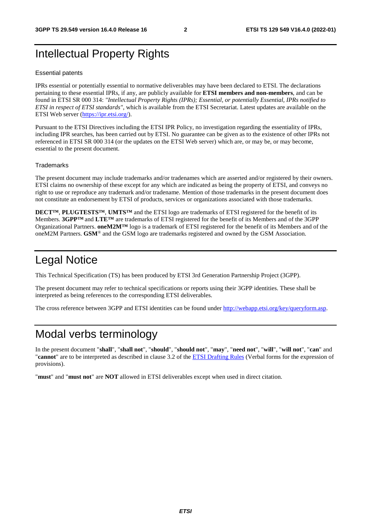# Intellectual Property Rights

#### Essential patents

IPRs essential or potentially essential to normative deliverables may have been declared to ETSI. The declarations pertaining to these essential IPRs, if any, are publicly available for **ETSI members and non-members**, and can be found in ETSI SR 000 314: *"Intellectual Property Rights (IPRs); Essential, or potentially Essential, IPRs notified to ETSI in respect of ETSI standards"*, which is available from the ETSI Secretariat. Latest updates are available on the ETSI Web server ([https://ipr.etsi.org/\)](https://ipr.etsi.org/).

Pursuant to the ETSI Directives including the ETSI IPR Policy, no investigation regarding the essentiality of IPRs, including IPR searches, has been carried out by ETSI. No guarantee can be given as to the existence of other IPRs not referenced in ETSI SR 000 314 (or the updates on the ETSI Web server) which are, or may be, or may become, essential to the present document.

#### **Trademarks**

The present document may include trademarks and/or tradenames which are asserted and/or registered by their owners. ETSI claims no ownership of these except for any which are indicated as being the property of ETSI, and conveys no right to use or reproduce any trademark and/or tradename. Mention of those trademarks in the present document does not constitute an endorsement by ETSI of products, services or organizations associated with those trademarks.

**DECT™**, **PLUGTESTS™**, **UMTS™** and the ETSI logo are trademarks of ETSI registered for the benefit of its Members. **3GPP™** and **LTE™** are trademarks of ETSI registered for the benefit of its Members and of the 3GPP Organizational Partners. **oneM2M™** logo is a trademark of ETSI registered for the benefit of its Members and of the oneM2M Partners. **GSM**® and the GSM logo are trademarks registered and owned by the GSM Association.

# Legal Notice

This Technical Specification (TS) has been produced by ETSI 3rd Generation Partnership Project (3GPP).

The present document may refer to technical specifications or reports using their 3GPP identities. These shall be interpreted as being references to the corresponding ETSI deliverables.

The cross reference between 3GPP and ETSI identities can be found under<http://webapp.etsi.org/key/queryform.asp>.

# Modal verbs terminology

In the present document "**shall**", "**shall not**", "**should**", "**should not**", "**may**", "**need not**", "**will**", "**will not**", "**can**" and "**cannot**" are to be interpreted as described in clause 3.2 of the [ETSI Drafting Rules](https://portal.etsi.org/Services/editHelp!/Howtostart/ETSIDraftingRules.aspx) (Verbal forms for the expression of provisions).

"**must**" and "**must not**" are **NOT** allowed in ETSI deliverables except when used in direct citation.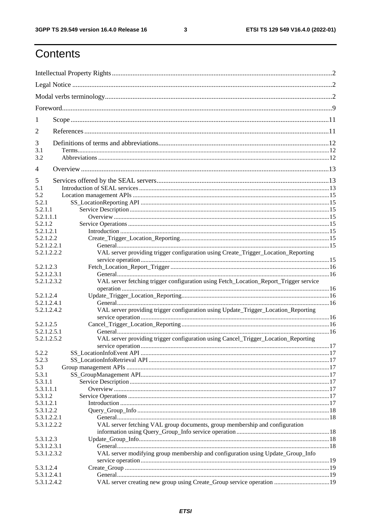$\mathbf{3}$ 

# Contents

| 1              |                                                                                       |  |
|----------------|---------------------------------------------------------------------------------------|--|
| 2              |                                                                                       |  |
| 3              |                                                                                       |  |
| 3.1<br>3.2     |                                                                                       |  |
| $\overline{4}$ |                                                                                       |  |
| 5              |                                                                                       |  |
| 5.1            |                                                                                       |  |
| 5.2            |                                                                                       |  |
| 5.2.1          |                                                                                       |  |
|                |                                                                                       |  |
| 5.2.1.1        |                                                                                       |  |
| 5.2.1.1.1      |                                                                                       |  |
| 5.2.1.2        |                                                                                       |  |
| 5.2.1.2.1      |                                                                                       |  |
| 5.2.1.2.2      |                                                                                       |  |
| 5.2.1.2.2.1    |                                                                                       |  |
| 5.2.1.2.2.2    | VAL server providing trigger configuration using Create_Trigger_Location_Reporting    |  |
|                |                                                                                       |  |
| 5.2.1.2.3      |                                                                                       |  |
| 5.2.1.2.3.1    |                                                                                       |  |
| 5.2.1.2.3.2    | VAL server fetching trigger configuration using Fetch_Location_Report_Trigger service |  |
|                |                                                                                       |  |
|                |                                                                                       |  |
| 5.2.1.2.4      |                                                                                       |  |
| 5.2.1.2.4.1    |                                                                                       |  |
| 5.2.1.2.4.2    | VAL server providing trigger configuration using Update_Trigger_Location_Reporting    |  |
|                |                                                                                       |  |
| 5.2.1.2.5      |                                                                                       |  |
| 5.2.1.2.5.1    |                                                                                       |  |
| 5.2.1.2.5.2    | VAL server providing trigger configuration using Cancel_Trigger_Location_Reporting    |  |
|                |                                                                                       |  |
| 5.2.2          |                                                                                       |  |
| 5.2.3          |                                                                                       |  |
| 5.3            |                                                                                       |  |
| 5.3.1          |                                                                                       |  |
| 5.3.1.1        |                                                                                       |  |
|                |                                                                                       |  |
| 5.3.1.1.1      |                                                                                       |  |
| 5.3.1.2        |                                                                                       |  |
| 5.3.1.2.1      |                                                                                       |  |
| 5.3.1.2.2      |                                                                                       |  |
| 5.3.1.2.2.1    |                                                                                       |  |
| 5.3.1.2.2.2    | VAL server fetching VAL group documents, group membership and configuration           |  |
|                |                                                                                       |  |
| 5.3.1.2.3      |                                                                                       |  |
| 5.3.1.2.3.1    |                                                                                       |  |
|                |                                                                                       |  |
| 5.3.1.2.3.2    | VAL server modifying group membership and configuration using Update_Group_Info       |  |
|                |                                                                                       |  |
| 5.3.1.2.4      |                                                                                       |  |
| 5.3.1.2.4.1    |                                                                                       |  |
| 5.3.1.2.4.2    | VAL server creating new group using Create_Group service operation  19                |  |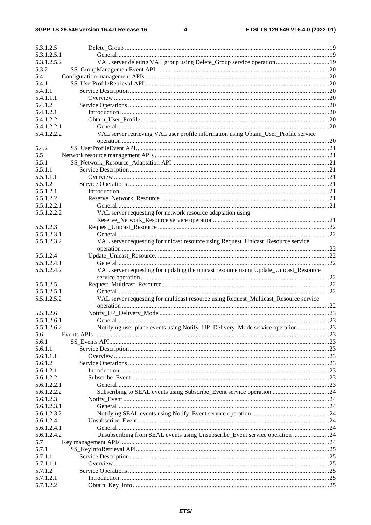$\overline{\mathbf{4}}$ 

| 5.3.1.2.5   |                                                                                       |  |
|-------------|---------------------------------------------------------------------------------------|--|
| 5.3.1.2.5.1 |                                                                                       |  |
| 5.3.1.2.5.2 | VAL server deleting VAL group using Delete_Group service operation 19                 |  |
| 5.3.2       |                                                                                       |  |
| 5.4         |                                                                                       |  |
| 5.4.1       |                                                                                       |  |
| 5.4.1.1     |                                                                                       |  |
| 5.4.1.1.1   |                                                                                       |  |
| 5.4.1.2     |                                                                                       |  |
| 5.4.1.2.1   |                                                                                       |  |
| 5.4.1.2.2   |                                                                                       |  |
| 5.4.1.2.2.1 |                                                                                       |  |
| 5.4.1.2.2.2 | VAL server retrieving VAL user profile information using Obtain_User_Profile service  |  |
|             |                                                                                       |  |
| 5.4.2       |                                                                                       |  |
| 5.5         |                                                                                       |  |
| 5.5.1       |                                                                                       |  |
| 5.5.1.1     |                                                                                       |  |
| 5.5.1.1.1   |                                                                                       |  |
| 5.5.1.2     |                                                                                       |  |
| 5.5.1.2.1   |                                                                                       |  |
| 5.5.1.2.2   |                                                                                       |  |
| 5.5.1.2.2.1 |                                                                                       |  |
| 5.5.1.2.2.2 | VAL server requesting for network resource adaptation using                           |  |
|             |                                                                                       |  |
| 5.5.1.2.3   |                                                                                       |  |
| 5.5.1.2.3.1 |                                                                                       |  |
| 5.5.1.2.3.2 | VAL server requesting for unicast resource using Request_Unicast_Resource service     |  |
|             |                                                                                       |  |
| 5.5.1.2.4   |                                                                                       |  |
| 5.5.1.2.4.1 |                                                                                       |  |
| 5.5.1.2.4.2 | VAL server requesting for updating the unicast resource using Update_Unicast_Resource |  |
|             |                                                                                       |  |
| 5.5.1.2.5   |                                                                                       |  |
| 5.5.1.2.5.1 |                                                                                       |  |
|             |                                                                                       |  |
| 5.5.1.2.5.2 | VAL server requesting for multicast resource using Request_Multicast_Resource service |  |
|             |                                                                                       |  |
| 5.5.1.2.6   |                                                                                       |  |
| 5.5.1.2.6.1 |                                                                                       |  |
| 5.5.1.2.6.2 | Notifying user plane events using Notify_UP_Delivery_Mode service operation 23        |  |
| 5.6         |                                                                                       |  |
| 5.6.1       |                                                                                       |  |
| 5.6.1.1     |                                                                                       |  |
| 5.6.1.1.1   |                                                                                       |  |
| 5.6.1.2     |                                                                                       |  |
| 5.6.1.2.1   |                                                                                       |  |
| 5.6.1.2.2   |                                                                                       |  |
| 5.6.1.2.2.1 |                                                                                       |  |
| 5.6.1.2.2.2 |                                                                                       |  |
| 5.6.1.2.3   |                                                                                       |  |
| 5.6.1.2.3.1 |                                                                                       |  |
| 5.6.1.2.3.2 |                                                                                       |  |
| 5.6.1.2.4   |                                                                                       |  |
| 5.6.1.2.4.1 |                                                                                       |  |
| 5.6.1.2.4.2 | Unsubscribing from SEAL events using Unsubscribe_Event service operation 24           |  |
| 5.7         |                                                                                       |  |
| 5.7.1       |                                                                                       |  |
| 5.7.1.1     |                                                                                       |  |
| 5.7.1.1.1   |                                                                                       |  |
| 5.7.1.2     |                                                                                       |  |
| 5.7.1.2.1   |                                                                                       |  |
|             |                                                                                       |  |
| 5.7.1.2.2   |                                                                                       |  |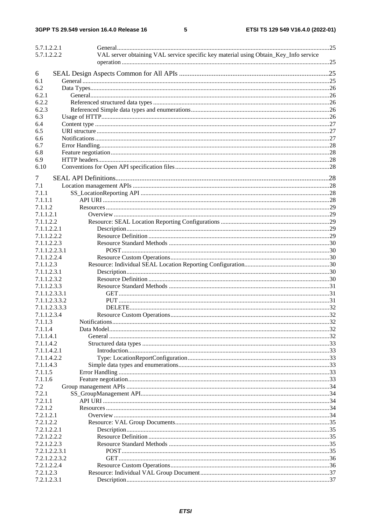$5\phantom{a}$ 

| 5.7.1.2.2.1   |                                                                                      |  |
|---------------|--------------------------------------------------------------------------------------|--|
| 5.7.1.2.2.2   | VAL server obtaining VAL service specific key material using Obtain_Key_Info service |  |
|               |                                                                                      |  |
| 6             |                                                                                      |  |
| 6.1           |                                                                                      |  |
| 6.2           |                                                                                      |  |
| 6.2.1         |                                                                                      |  |
| 6.2.2         |                                                                                      |  |
| 6.2.3         |                                                                                      |  |
| 6.3           |                                                                                      |  |
| 6.4           |                                                                                      |  |
|               |                                                                                      |  |
| 6.5           |                                                                                      |  |
| 6.6           |                                                                                      |  |
| 6.7           |                                                                                      |  |
| 6.8           |                                                                                      |  |
| 6.9           |                                                                                      |  |
| 6.10          |                                                                                      |  |
| 7             |                                                                                      |  |
| 7.1           |                                                                                      |  |
| 7.1.1         |                                                                                      |  |
| 7.1.1.1       |                                                                                      |  |
| 7.1.1.2       |                                                                                      |  |
|               |                                                                                      |  |
| 7.1.1.2.1     |                                                                                      |  |
| 7.1.1.2.2     |                                                                                      |  |
| 7.1.1.2.2.1   |                                                                                      |  |
| 7.1.1.2.2.2   |                                                                                      |  |
| 7.1.1.2.2.3   |                                                                                      |  |
| 7.1.1.2.2.3.1 |                                                                                      |  |
| 7.1.1.2.2.4   |                                                                                      |  |
| 7.1.1.2.3     |                                                                                      |  |
| 7.1.1.2.3.1   |                                                                                      |  |
| 7.1.1.2.3.2   |                                                                                      |  |
| 7.1.1.2.3.3   |                                                                                      |  |
| 7.1.1.2.3.3.1 |                                                                                      |  |
| 7.1.1.2.3.3.2 |                                                                                      |  |
| 7.1.1.2.3.3.3 |                                                                                      |  |
| 7.1.1.2.3.4   |                                                                                      |  |
| 7.1.1.3       |                                                                                      |  |
| 7.1.1.4       |                                                                                      |  |
|               |                                                                                      |  |
| 7.1.1.4.1     |                                                                                      |  |
| 7.1.1.4.2     |                                                                                      |  |
| 7.1.1.4.2.1   |                                                                                      |  |
| 7.1.1.4.2.2   |                                                                                      |  |
| 7.1.1.4.3     |                                                                                      |  |
| 7.1.1.5       |                                                                                      |  |
| 7.1.1.6       |                                                                                      |  |
| 7.2           |                                                                                      |  |
| 7.2.1         |                                                                                      |  |
| 7.2.1.1       |                                                                                      |  |
| 7.2.1.2       |                                                                                      |  |
| 7.2.1.2.1     |                                                                                      |  |
| 7.2.1.2.2     |                                                                                      |  |
| 7.2.1.2.2.1   |                                                                                      |  |
| 7.2.1.2.2.2   |                                                                                      |  |
| 7.2.1.2.2.3   |                                                                                      |  |
| 7.2.1.2.2.3.1 |                                                                                      |  |
| 7.2.1.2.2.3.2 |                                                                                      |  |
| 7.2.1.2.2.4   |                                                                                      |  |
| 7.2.1.2.3     |                                                                                      |  |
|               |                                                                                      |  |
| 7.2.1.2.3.1   |                                                                                      |  |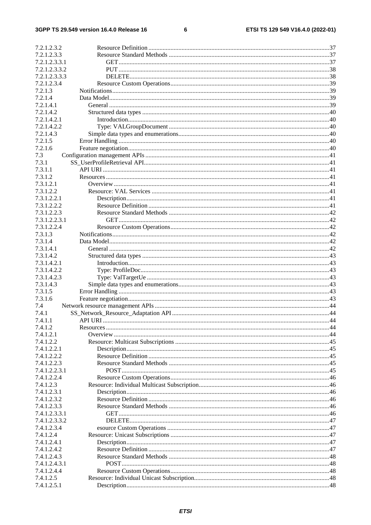#### $\bf 6$

| 7.2.1.2.3.2   |  |
|---------------|--|
| 7.2.1.2.3.3   |  |
| 7.2.1.2.3.3.1 |  |
| 7.2.1.2.3.3.2 |  |
| 7.2.1.2.3.3.3 |  |
| 7.2.1.2.3.4   |  |
| 7.2.1.3       |  |
| 7.2.1.4       |  |
| 7.2.1.4.1     |  |
| 7.2.1.4.2     |  |
| 7.2.1.4.2.1   |  |
| 7.2.1.4.2.2   |  |
| 7.2.1.4.3     |  |
| 7.2.1.5       |  |
| 7.2.1.6       |  |
| 7.3           |  |
| 7.3.1         |  |
| 7.3.1.1       |  |
| 7.3.1.2       |  |
| 7.3.1.2.1     |  |
| 7.3.1.2.2     |  |
| 7.3.1.2.2.1   |  |
| 7.3.1.2.2.2   |  |
| 7.3.1.2.2.3   |  |
| 7.3.1.2.2.3.1 |  |
| 7.3.1.2.2.4   |  |
| 7.3.1.3       |  |
| 7.3.1.4       |  |
| 7.3.1.4.1     |  |
| 7.3.1.4.2     |  |
| 7.3.1.4.2.1   |  |
| 7.3.1.4.2.2   |  |
| 7.3.1.4.2.3   |  |
| 7.3.1.4.3     |  |
| 7.3.1.5       |  |
| 7.3.1.6       |  |
| 7.4           |  |
| 7.4.1         |  |
| 7.4.1.1       |  |
| 7.4.1.2       |  |
| 7.4.1.2.1     |  |
| 7.4.1.2.2     |  |
| 7.4.1.2.2.1   |  |
| 7.4.1.2.2.2   |  |
| 7.4.1.2.2.3   |  |
| 7.4.1.2.2.3.1 |  |
| 7.4.1.2.2.4   |  |
| 7.4.1.2.3     |  |
| 7.4.1.2.3.1   |  |
| 7.4.1.2.3.2   |  |
| 7.4.1.2.3.3   |  |
| 7.4.1.2.3.3.1 |  |
| 7.4.1.2.3.3.2 |  |
| 7.4.1.2.3.4   |  |
| 7.4.1.2.4     |  |
| 7.4.1.2.4.1   |  |
| 7.4.1.2.4.2   |  |
| 7.4.1.2.4.3   |  |
| 7.4.1.2.4.3.1 |  |
| 7.4.1.2.4.4   |  |
| 7.4.1.2.5     |  |
| 7.4.1.2.5.1   |  |
|               |  |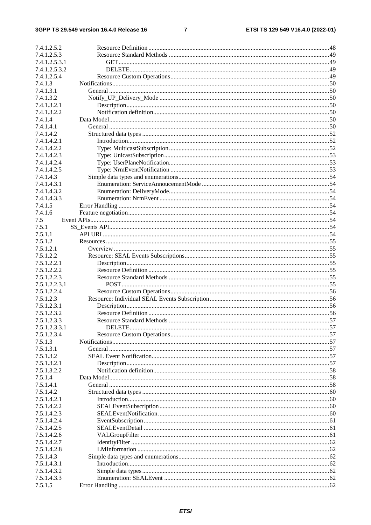#### 3GPP TS 29.549 version 16.4.0 Release 16

#### $\overline{7}$

| 7.4.1.2.5.2   |  |
|---------------|--|
| 7.4.1.2.5.3   |  |
| 7.4.1.2.5.3.1 |  |
| 7.4.1.2.5.3.2 |  |
|               |  |
| 7.4.1.2.5.4   |  |
| 7.4.1.3       |  |
| 7.4.1.3.1     |  |
| 7.4.1.3.2     |  |
|               |  |
| 7.4.1.3.2.1   |  |
| 7.4.1.3.2.2   |  |
| 7.4.1.4       |  |
| 7.4.1.4.1     |  |
| 7.4.1.4.2     |  |
|               |  |
| 7.4.1.4.2.1   |  |
| 7.4.1.4.2.2   |  |
| 7.4.1.4.2.3   |  |
| 7.4.1.4.2.4   |  |
|               |  |
| 7.4.1.4.2.5   |  |
| 7.4.1.4.3     |  |
| 7.4.1.4.3.1   |  |
| 7.4.1.4.3.2   |  |
|               |  |
| 7.4.1.4.3.3   |  |
| 7.4.1.5       |  |
| 7.4.1.6       |  |
| 7.5           |  |
| 7.5.1         |  |
|               |  |
| 7.5.1.1       |  |
| 7.5.1.2       |  |
| 7.5.1.2.1     |  |
| 7.5.1.2.2     |  |
|               |  |
| 7.5.1.2.2.1   |  |
| 7.5.1.2.2.2   |  |
| 7.5.1.2.2.3   |  |
| 7.5.1.2.2.3.1 |  |
|               |  |
| 7.5.1.2.2.4   |  |
| 7.5.1.2.3     |  |
| 7.5.1.2.3.1   |  |
| 7.5.1.2.3.2   |  |
| 7.5.1.2.3.3   |  |
|               |  |
| 7.5.1.2.3.3.1 |  |
| 7.5.1.2.3.4   |  |
| 7.5.1.3       |  |
| 7.5.1.3.1     |  |
| 7.5.1.3.2     |  |
|               |  |
| 7.5.1.3.2.1   |  |
| 7.5.1.3.2.2   |  |
| 7.5.1.4       |  |
| 7.5.1.4.1     |  |
|               |  |
| 7.5.1.4.2     |  |
| 7.5.1.4.2.1   |  |
| 7.5.1.4.2.2   |  |
| 7.5.1.4.2.3   |  |
| 7.5.1.4.2.4   |  |
|               |  |
| 7.5.1.4.2.5   |  |
| 7.5.1.4.2.6   |  |
| 7.5.1.4.2.7   |  |
| 7.5.1.4.2.8   |  |
|               |  |
| 7.5.1.4.3     |  |
| 7.5.1.4.3.1   |  |
| 7.5.1.4.3.2   |  |
| 7.5.1.4.3.3   |  |
| 7.5.1.5       |  |
|               |  |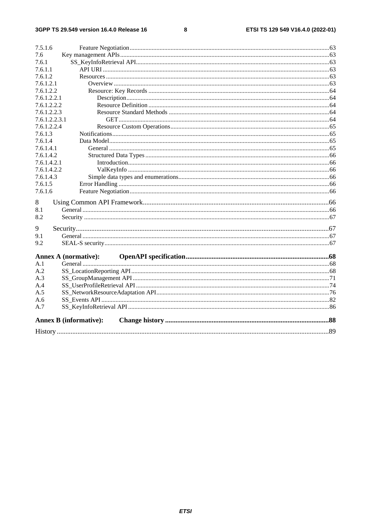#### $\bf8$

| 7.6<br>7.6.1<br>7.6.1.1<br>7.6.1.2<br>7.6.1.2.1<br>7.6.1.2.2<br>7.6.1.2.2.1<br>7.6.1.2.2.2<br>7.6.1.2.2.3<br>7.6.1.2.2.3.1<br>7.6.1.2.2.4<br>7.6.1.3<br>7.6.1.4<br>7.6.1.4.1<br>7.6.1.4.2<br>7.6.1.4.2.1<br>7.6.1.4.2.2<br>7.6.1.4.3<br>7.6.1.5<br>7.6.1.6<br>8<br>8.1<br>8.2<br>9<br>9.1<br>9.2<br><b>Annex A (normative):</b><br>A.1<br>A.2<br>A.3<br>A.4<br>A.5<br>A.6<br>A.7<br><b>Annex B</b> (informative): | 7.5.1.6 |  |
|-------------------------------------------------------------------------------------------------------------------------------------------------------------------------------------------------------------------------------------------------------------------------------------------------------------------------------------------------------------------------------------------------------------------|---------|--|
|                                                                                                                                                                                                                                                                                                                                                                                                                   |         |  |
|                                                                                                                                                                                                                                                                                                                                                                                                                   |         |  |
|                                                                                                                                                                                                                                                                                                                                                                                                                   |         |  |
|                                                                                                                                                                                                                                                                                                                                                                                                                   |         |  |
|                                                                                                                                                                                                                                                                                                                                                                                                                   |         |  |
|                                                                                                                                                                                                                                                                                                                                                                                                                   |         |  |
|                                                                                                                                                                                                                                                                                                                                                                                                                   |         |  |
|                                                                                                                                                                                                                                                                                                                                                                                                                   |         |  |
|                                                                                                                                                                                                                                                                                                                                                                                                                   |         |  |
|                                                                                                                                                                                                                                                                                                                                                                                                                   |         |  |
|                                                                                                                                                                                                                                                                                                                                                                                                                   |         |  |
|                                                                                                                                                                                                                                                                                                                                                                                                                   |         |  |
|                                                                                                                                                                                                                                                                                                                                                                                                                   |         |  |
|                                                                                                                                                                                                                                                                                                                                                                                                                   |         |  |
|                                                                                                                                                                                                                                                                                                                                                                                                                   |         |  |
|                                                                                                                                                                                                                                                                                                                                                                                                                   |         |  |
|                                                                                                                                                                                                                                                                                                                                                                                                                   |         |  |
|                                                                                                                                                                                                                                                                                                                                                                                                                   |         |  |
|                                                                                                                                                                                                                                                                                                                                                                                                                   |         |  |
|                                                                                                                                                                                                                                                                                                                                                                                                                   |         |  |
|                                                                                                                                                                                                                                                                                                                                                                                                                   |         |  |
|                                                                                                                                                                                                                                                                                                                                                                                                                   |         |  |
|                                                                                                                                                                                                                                                                                                                                                                                                                   |         |  |
|                                                                                                                                                                                                                                                                                                                                                                                                                   |         |  |
|                                                                                                                                                                                                                                                                                                                                                                                                                   |         |  |
|                                                                                                                                                                                                                                                                                                                                                                                                                   |         |  |
|                                                                                                                                                                                                                                                                                                                                                                                                                   |         |  |
|                                                                                                                                                                                                                                                                                                                                                                                                                   |         |  |
|                                                                                                                                                                                                                                                                                                                                                                                                                   |         |  |
|                                                                                                                                                                                                                                                                                                                                                                                                                   |         |  |
|                                                                                                                                                                                                                                                                                                                                                                                                                   |         |  |
|                                                                                                                                                                                                                                                                                                                                                                                                                   |         |  |
|                                                                                                                                                                                                                                                                                                                                                                                                                   |         |  |
|                                                                                                                                                                                                                                                                                                                                                                                                                   |         |  |
|                                                                                                                                                                                                                                                                                                                                                                                                                   |         |  |
|                                                                                                                                                                                                                                                                                                                                                                                                                   |         |  |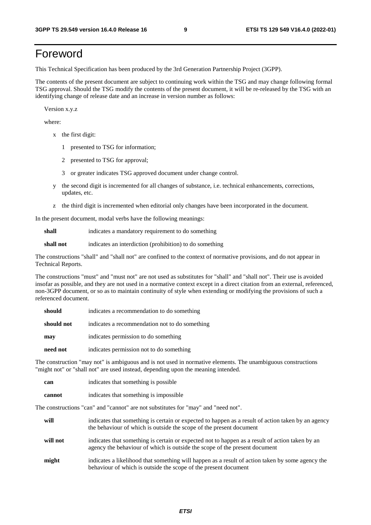# Foreword

This Technical Specification has been produced by the 3rd Generation Partnership Project (3GPP).

The contents of the present document are subject to continuing work within the TSG and may change following formal TSG approval. Should the TSG modify the contents of the present document, it will be re-released by the TSG with an identifying change of release date and an increase in version number as follows:

Version x.y.z

where:

- x the first digit:
	- 1 presented to TSG for information;
	- 2 presented to TSG for approval;
	- 3 or greater indicates TSG approved document under change control.
- y the second digit is incremented for all changes of substance, i.e. technical enhancements, corrections, updates, etc.
- z the third digit is incremented when editorial only changes have been incorporated in the document.

In the present document, modal verbs have the following meanings:

**shall** indicates a mandatory requirement to do something

**shall not** indicates an interdiction (prohibition) to do something

The constructions "shall" and "shall not" are confined to the context of normative provisions, and do not appear in Technical Reports.

The constructions "must" and "must not" are not used as substitutes for "shall" and "shall not". Their use is avoided insofar as possible, and they are not used in a normative context except in a direct citation from an external, referenced, non-3GPP document, or so as to maintain continuity of style when extending or modifying the provisions of such a referenced document.

| should     | indicates a recommendation to do something     |
|------------|------------------------------------------------|
| should not | indicates a recommendation not to do something |
| may        | indicates permission to do something           |
| need not   | indicates permission not to do something       |

The construction "may not" is ambiguous and is not used in normative elements. The unambiguous constructions "might not" or "shall not" are used instead, depending upon the meaning intended.

| can    | indicates that something is possible.  |
|--------|----------------------------------------|
| cannot | indicates that something is impossible |

The constructions "can" and "cannot" are not substitutes for "may" and "need not".

| will     | indicates that something is certain or expected to happen as a result of action taken by an agency<br>the behaviour of which is outside the scope of the present document     |
|----------|-------------------------------------------------------------------------------------------------------------------------------------------------------------------------------|
| will not | indicates that something is certain or expected not to happen as a result of action taken by an<br>agency the behaviour of which is outside the scope of the present document |
| might    | indicates a likelihood that something will happen as a result of action taken by some agency the<br>behaviour of which is outside the scope of the present document           |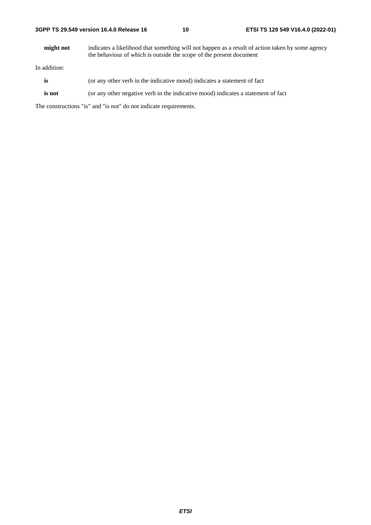**might not** indicates a likelihood that something will not happen as a result of action taken by some agency the behaviour of which is outside the scope of the present document

In addition:

- **is** (or any other verb in the indicative mood) indicates a statement of fact
- **is not** (or any other negative verb in the indicative mood) indicates a statement of fact

The constructions "is" and "is not" do not indicate requirements.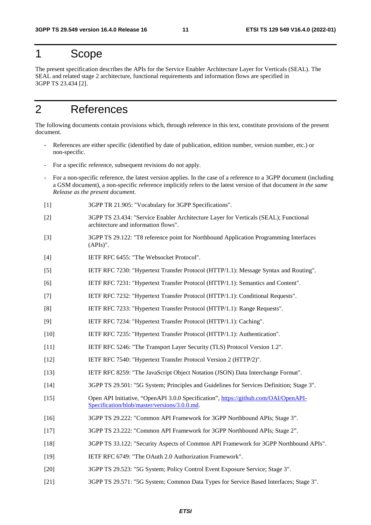# 1 Scope

The present specification describes the APIs for the Service Enabler Architecture Layer for Verticals (SEAL). The SEAL and related stage 2 architecture, functional requirements and information flows are specified in 3GPP TS 23.434 [2].

# 2 References

The following documents contain provisions which, through reference in this text, constitute provisions of the present document.

- References are either specific (identified by date of publication, edition number, version number, etc.) or non-specific.
- For a specific reference, subsequent revisions do not apply.
- For a non-specific reference, the latest version applies. In the case of a reference to a 3GPP document (including a GSM document), a non-specific reference implicitly refers to the latest version of that document *in the same Release as the present document*.
- [1] 3GPP TR 21.905: "Vocabulary for 3GPP Specifications".
- [2] 3GPP TS 23.434: "Service Enabler Architecture Layer for Verticals (SEAL); Functional architecture and information flows".
- [3] 3GPP TS 29.122: "T8 reference point for Northbound Application Programming Interfaces (APIs)".
- [4] IETF RFC 6455: "The Websocket Protocol".
- [5] IETF RFC 7230: "Hypertext Transfer Protocol (HTTP/1.1): Message Syntax and Routing".
- [6] IETF RFC 7231: "Hypertext Transfer Protocol (HTTP/1.1): Semantics and Content".
- [7] IETF RFC 7232: "Hypertext Transfer Protocol (HTTP/1.1): Conditional Requests".
- [8] IETF RFC 7233: "Hypertext Transfer Protocol (HTTP/1.1): Range Requests".
- [9] IETF RFC 7234: "Hypertext Transfer Protocol (HTTP/1.1): Caching".
- [10] IETF RFC 7235: "Hypertext Transfer Protocol (HTTP/1.1): Authentication".
- [11] IETF RFC 5246: "The Transport Layer Security (TLS) Protocol Version 1.2".
- [12] IETF RFC 7540: "Hypertext Transfer Protocol Version 2 (HTTP/2)".
- [13] IETF RFC 8259: "The JavaScript Object Notation (JSON) Data Interchange Format".
- [14] 3GPP TS 29.501: "5G System; Principles and Guidelines for Services Definition; Stage 3".
- [15] Open API Initiative, "OpenAPI 3.0.0 Specification", [https://github.com/OAI/OpenAPI](https://github.com/OAI/OpenAPI-Specification/blob/master/versions/3.0.0.md)-[Specification/blob/master/versions/3.0.0.md](https://github.com/OAI/OpenAPI-Specification/blob/master/versions/3.0.0.md).
- [16] 3GPP TS 29.222: "Common API Framework for 3GPP Northbound APIs; Stage 3".
- [17] 3GPP TS 23.222: "Common API Framework for 3GPP Northbound APIs; Stage 2".
- [18] 3GPP TS 33.122: "Security Aspects of Common API Framework for 3GPP Northbound APIs".
- [19] IETF RFC 6749: "The OAuth 2.0 Authorization Framework".
- [20] 3GPP TS 29.523: "5G System; Policy Control Event Exposure Service; Stage 3".
- [21] 3GPP TS 29.571: "5G System; Common Data Types for Service Based Interfaces; Stage 3".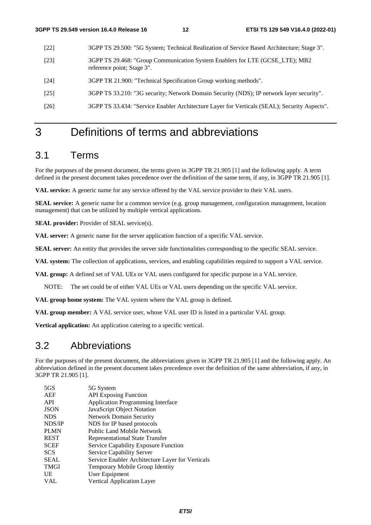- [22] 3GPP TS 29.500: "5G System; Technical Realization of Service Based Architecture; Stage 3".
- [23] 3GPP TS 29.468: "Group Communication System Enablers for LTE (GCSE\_LTE); MB2 reference point; Stage 3".
- [24] 3GPP TR 21.900: "Technical Specification Group working methods".
- [25] 3GPP TS 33.210: "3G security; Network Domain Security (NDS); IP network layer security".
- [26] 3GPP TS 33.434: "Service Enabler Architecture Layer for Verticals (SEAL); Security Aspects".

# 3 Definitions of terms and abbreviations

# 3.1 Terms

For the purposes of the present document, the terms given in 3GPP TR 21.905 [1] and the following apply. A term defined in the present document takes precedence over the definition of the same term, if any, in 3GPP TR 21.905 [1].

**VAL service:** A generic name for any service offered by the VAL service provider to their VAL users.

**SEAL service:** A generic name for a common service (e.g. group management, configuration management, location management) that can be utilized by multiple vertical applications.

**SEAL provider:** Provider of SEAL service(s).

**VAL server:** A generic name for the server application function of a specific VAL service.

**SEAL server:** An entity that provides the server side functionalities corresponding to the specific SEAL service.

**VAL system:** The collection of applications, services, and enabling capabilities required to support a VAL service.

**VAL group:** A defined set of VAL UEs or VAL users configured for specific purpose in a VAL service.

NOTE: The set could be of either VAL UEs or VAL users depending on the specific VAL service.

**VAL group home system:** The VAL system where the VAL group is defined.

**VAL group member:** A VAL service user, whose VAL user ID is listed in a particular VAL group.

**Vertical application:** An application catering to a specific vertical.

# 3.2 Abbreviations

For the purposes of the present document, the abbreviations given in 3GPP TR 21.905 [1] and the following apply. An abbreviation defined in the present document takes precedence over the definition of the same abbreviation, if any, in 3GPP TR 21.905 [1].

| 5GS         | 5G System                                        |
|-------------|--------------------------------------------------|
| AEF         | <b>API</b> Exposing Function                     |
| <b>API</b>  | <b>Application Programming Interface</b>         |
| <b>JSON</b> | JavaScript Object Notation                       |
| <b>NDS</b>  | <b>Network Domain Security</b>                   |
| NDS/IP      | NDS for IP based protocols                       |
| <b>PLMN</b> | Public Land Mobile Network                       |
| <b>REST</b> | <b>Representational State Transfer</b>           |
| <b>SCEF</b> | Service Capability Exposure Function             |
| <b>SCS</b>  | <b>Service Capability Server</b>                 |
| <b>SEAL</b> | Service Enabler Architecture Layer for Verticals |
| <b>TMGI</b> | Temporary Mobile Group Identity                  |
| UE          | User Equipment                                   |
| VAL         | Vertical Application Layer                       |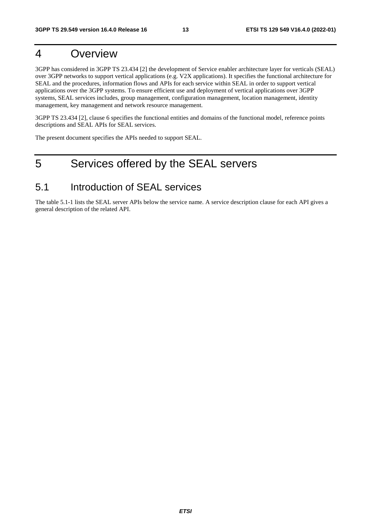# 4 Overview

3GPP has considered in 3GPP TS 23.434 [2] the development of Service enabler architecture layer for verticals (SEAL) over 3GPP networks to support vertical applications (e.g. V2X applications). It specifies the functional architecture for SEAL and the procedures, information flows and APIs for each service within SEAL in order to support vertical applications over the 3GPP systems. To ensure efficient use and deployment of vertical applications over 3GPP systems, SEAL services includes, group management, configuration management, location management, identity management, key management and network resource management.

3GPP TS 23.434 [2], clause 6 specifies the functional entities and domains of the functional model, reference points descriptions and SEAL APIs for SEAL services.

The present document specifies the APIs needed to support SEAL.

# 5 Services offered by the SEAL servers

# 5.1 Introduction of SEAL services

The table 5.1-1 lists the SEAL server APIs below the service name. A service description clause for each API gives a general description of the related API.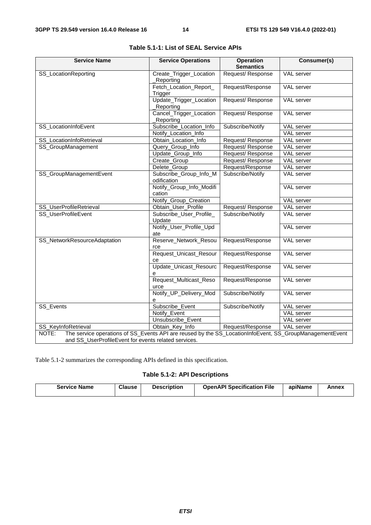| <b>Service Name</b>                                                                                              | <b>Service Operations</b>             | <b>Operation</b><br><b>Semantics</b> | Consumer(s)       |
|------------------------------------------------------------------------------------------------------------------|---------------------------------------|--------------------------------------|-------------------|
| SS_LocationReporting                                                                                             | Create_Trigger_Location               | Request/Response                     | VAL server        |
|                                                                                                                  | Reporting<br>Fetch_Location_Report_   | Request/Response                     | <b>VAL</b> server |
|                                                                                                                  | Trigger                               |                                      |                   |
|                                                                                                                  | Update_Trigger_Location               | Request/Response                     | <b>VAL</b> server |
|                                                                                                                  | Reporting                             |                                      |                   |
|                                                                                                                  | Cancel_Trigger_Location               | Request/Response                     | <b>VAL</b> server |
|                                                                                                                  | Reporting                             |                                      |                   |
| SS_LocationInfoEvent                                                                                             | Subscribe_Location_Info               | Subscribe/Notify                     | VAL server        |
|                                                                                                                  | Notify_Location_Info                  |                                      | <b>VAL</b> server |
| SS_LocationInfoRetrieval                                                                                         | Obtain_Location_Info                  | Request/Response                     | VAL server        |
| SS_GroupManagement                                                                                               | Query_Group_Info                      | Request/Response                     | VAL server        |
|                                                                                                                  | Update_Group_Info                     | Request/Response                     | <b>VAL</b> server |
|                                                                                                                  | Create_Group                          | Request/Response                     | VAL server        |
|                                                                                                                  | Delete_Group                          | Request/Response                     | VAL server        |
| SS_GroupManagementEvent                                                                                          | Subscribe_Group_Info_M<br>odification | Subscribe/Notify                     | VAL server        |
|                                                                                                                  | Notify_Group_Info_Modifi<br>cation    |                                      | VAL server        |
|                                                                                                                  | Notify_Group_Creation                 |                                      | <b>VAL</b> server |
| SS_UserProfileRetrieval                                                                                          | Obtain_User_Profile                   | Request/Response                     | <b>VAL</b> server |
| SS_UserProfileEvent                                                                                              | Subscribe_User_Profile_               | Subscribe/Notify                     | VAL server        |
|                                                                                                                  | Update                                |                                      |                   |
|                                                                                                                  | Notify_User_Profile_Upd<br>ate        |                                      | <b>VAL</b> server |
| SS_NetworkResourceAdaptation                                                                                     | Reserve_Network_Resou<br>rce          | Request/Response                     | VAL server        |
|                                                                                                                  | Request_Unicast_Resour<br>ce          | Request/Response                     | VAL server        |
|                                                                                                                  | Update_Unicast_Resourc<br>e           | Request/Response                     | VAL server        |
|                                                                                                                  | Request_Multicast_Reso<br>urce        | Request/Response                     | VAL server        |
|                                                                                                                  | Notify_UP_Delivery_Mod<br>е           | Subscribe/Notify                     | VAL server        |
| SS_Events                                                                                                        | Subscribe_Event                       | Subscribe/Notify                     | VAL server        |
|                                                                                                                  | Notify_Event                          |                                      | VAL server        |
|                                                                                                                  | Unsubscribe_Event                     |                                      | VAL server        |
| SS_KeyInfoRetrieval                                                                                              | Obtain_Key_Info                       | Request/Response                     | VAL server        |
| The service operations of SS_Events API are reused by the SS_LocationInfoEvent, SS_GroupManagementEvent<br>NOTE: |                                       |                                      |                   |
| and SS_UserProfileEvent for events related services.                                                             |                                       |                                      |                   |

|  |  | Table 5.1-1: List of SEAL Service APIs |
|--|--|----------------------------------------|
|--|--|----------------------------------------|

Table 5.1-2 summarizes the corresponding APIs defined in this specification.

### **Table 5.1-2: API Descriptions**

| Service Name | <b>Clause</b> | <b>Description</b> | <b>OpenAPI Specification</b><br>File | apiName | Annex |
|--------------|---------------|--------------------|--------------------------------------|---------|-------|
|--------------|---------------|--------------------|--------------------------------------|---------|-------|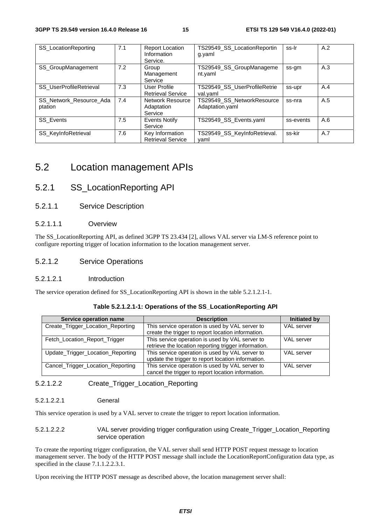| SS_LocationReporting               | 7.1 | <b>Report Location</b><br>Information<br>Service. | TS29549_SS_LocationReportin<br>g.yaml         | ss-Ir     | A.2 |
|------------------------------------|-----|---------------------------------------------------|-----------------------------------------------|-----------|-----|
| <b>SS GroupManagement</b>          | 7.2 | Group<br>Management<br>Service                    | TS29549_SS_GroupManageme<br>nt.yaml           | ss-gm     | A.3 |
| SS_UserProfileRetrieval            | 7.3 | User Profile<br><b>Retrieval Service</b>          | TS29549_SS_UserProfileRetrie<br>val.yaml      | ss-upr    | A.4 |
| SS Network Resource Ada<br>ptation | 7.4 | <b>Network Resource</b><br>Adaptation<br>Service  | TS29549_SS_NetworkResource<br>Adaptation.yaml | ss-nra    | A.5 |
| <b>SS</b> Events                   | 7.5 | Events Notify<br>Service                          | TS29549 SS_Events.yaml                        | ss-events | A.6 |
| SS_KeyInfoRetrieval                | 7.6 | Key Information<br><b>Retrieval Service</b>       | TS29549_SS_KeyInfoRetrieval.<br>vaml          | ss-kir    | A.7 |

# 5.2 Location management APIs

### 5.2.1 SS\_LocationReporting API

5.2.1.1 Service Description

#### 5.2.1.1.1 Overview

The SS\_LocationReporting API, as defined 3GPP TS 23.434 [2], allows VAL server via LM-S reference point to configure reporting trigger of location information to the location management server.

#### 5.2.1.2 Service Operations

#### 5.2.1.2.1 Introduction

The service operation defined for SS\_LocationReporting API is shown in the table 5.2.1.2.1-1.

#### **Table 5.2.1.2.1-1: Operations of the SS\_LocationReporting API**

| Service operation name            | <b>Description</b>                                                                                      | Initiated by      |
|-----------------------------------|---------------------------------------------------------------------------------------------------------|-------------------|
| Create_Trigger_Location_Reporting | This service operation is used by VAL server to<br>create the trigger to report location information.   | VAL server        |
| Fetch_Location_Report_Trigger     | This service operation is used by VAL server to<br>retrieve the location reporting trigger information. | <b>VAL</b> server |
| Update_Trigger_Location_Reporting | This service operation is used by VAL server to<br>update the trigger to report location information.   | VAL server        |
| Cancel_Trigger_Location_Reporting | This service operation is used by VAL server to<br>cancel the trigger to report location information.   | VAL server        |

#### 5.2.1.2.2 Create\_Trigger\_Location\_Reporting

#### 5.2.1.2.2.1 General

This service operation is used by a VAL server to create the trigger to report location information.

#### 5.2.1.2.2.2 VAL server providing trigger configuration using Create\_Trigger\_Location\_Reporting service operation

To create the reporting trigger configuration, the VAL server shall send HTTP POST request message to location management server. The body of the HTTP POST message shall include the LocationReportConfiguration data type, as specified in the clause 7.1.1.2.2.3.1.

Upon receiving the HTTP POST message as described above, the location management server shall: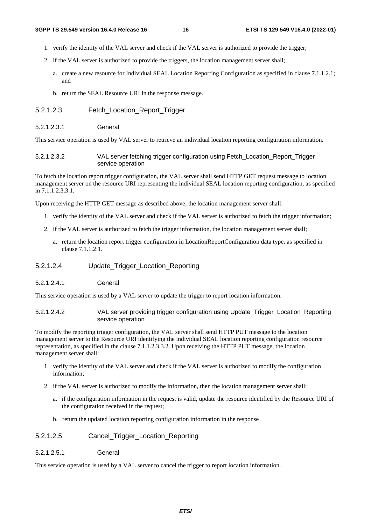- 1. verify the identity of the VAL server and check if the VAL server is authorized to provide the trigger;
- 2. if the VAL server is authorized to provide the triggers, the location management server shall;
	- a. create a new resource for Individual SEAL Location Reporting Configuration as specified in clause 7.1.1.2.1; and
	- b. return the SEAL Resource URI in the response message.

#### 5.2.1.2.3 Fetch\_Location\_Report\_Trigger

5.2.1.2.3.1 General

This service operation is used by VAL server to retrieve an individual location reporting configuration information.

#### 5.2.1.2.3.2 VAL server fetching trigger configuration using Fetch\_Location\_Report\_Trigger service operation

To fetch the location report trigger configuration, the VAL server shall send HTTP GET request message to location management server on the resource URI representing the individual SEAL location reporting configuration, as specified in 7.1.1.2.3.3.1.

Upon receiving the HTTP GET message as described above, the location management server shall:

- 1. verify the identity of the VAL server and check if the VAL server is authorized to fetch the trigger information;
- 2. if the VAL server is authorized to fetch the trigger information, the location management server shall;
	- a. return the location report trigger configuration in LocationReportConfiguration data type, as specified in clause 7.1.1.2.1.

#### 5.2.1.2.4 Update\_Trigger\_Location\_Reporting

5.2.1.2.4.1 General

This service operation is used by a VAL server to update the trigger to report location information.

5.2.1.2.4.2 VAL server providing trigger configuration using Update\_Trigger\_Location\_Reporting service operation

To modify the reporting trigger configuration, the VAL server shall send HTTP PUT message to the location management server to the Resource URI identifying the individual SEAL location reporting configuration resource representation, as specified in the clause 7.1.1.2.3.3.2. Upon receiving the HTTP PUT message, the location management server shall:

- 1. verify the identity of the VAL server and check if the VAL server is authorized to modify the configuration information;
- 2. if the VAL server is authorized to modify the information, then the location management server shall;
	- a. if the configuration information in the request is valid, update the resource identified by the Resource URI of the configuration received in the request;
	- b. return the updated location reporting configuration information in the response

#### 5.2.1.2.5 Cancel\_Trigger\_Location\_Reporting

5.2.1.2.5.1 General

This service operation is used by a VAL server to cancel the trigger to report location information.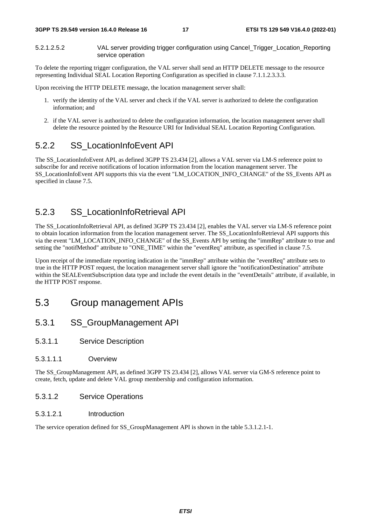5.2.1.2.5.2 VAL server providing trigger configuration using Cancel\_Trigger\_Location\_Reporting service operation

To delete the reporting trigger configuration, the VAL server shall send an HTTP DELETE message to the resource representing Individual SEAL Location Reporting Configuration as specified in clause 7.1.1.2.3.3.3.

Upon receiving the HTTP DELETE message, the location management server shall:

- 1. verify the identity of the VAL server and check if the VAL server is authorized to delete the configuration information; and
- 2. if the VAL server is authorized to delete the configuration information, the location management server shall delete the resource pointed by the Resource URI for Individual SEAL Location Reporting Configuration.

### 5.2.2 SS\_LocationInfoEvent API

The SS\_LocationInfoEvent API, as defined 3GPP TS 23.434 [2], allows a VAL server via LM-S reference point to subscribe for and receive notifications of location information from the location management server. The SS\_LocationInfoEvent API supports this via the event "LM\_LOCATION\_INFO\_CHANGE" of the SS\_Events API as specified in clause 7.5.

### 5.2.3 SS\_LocationInfoRetrieval API

The SS\_LocationInfoRetrieval API, as defined 3GPP TS 23.434 [2], enables the VAL server via LM-S reference point to obtain location information from the location management server. The SS\_LocationInfoRetrieval API supports this via the event "LM\_LOCATION\_INFO\_CHANGE" of the SS\_Events API by setting the "immRep" attribute to true and setting the "notifMethod" attribute to "ONE\_TIME" within the "eventReq" attribute, as specified in clause 7.5.

Upon receipt of the immediate reporting indication in the "immRep" attribute within the "eventReq" attribute sets to true in the HTTP POST request, the location management server shall ignore the "notificationDestination" attribute within the SEALEventSubscription data type and include the event details in the "eventDetails" attribute, if available, in the HTTP POST response.

# 5.3 Group management APIs

- 5.3.1 SS\_GroupManagement API
- 5.3.1.1 Service Description
- 5.3.1.1.1 Overview

The SS\_GroupManagement API, as defined 3GPP TS 23.434 [2], allows VAL server via GM-S reference point to create, fetch, update and delete VAL group membership and configuration information.

- 5.3.1.2 Service Operations
- 5.3.1.2.1 Introduction

The service operation defined for SS\_GroupManagement API is shown in the table 5.3.1.2.1-1.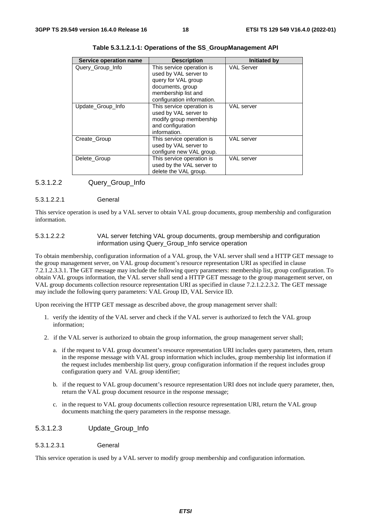| Service operation name | <b>Description</b>         | <b>Initiated by</b> |
|------------------------|----------------------------|---------------------|
| Query_Group_Info       | This service operation is  | <b>VAL Server</b>   |
|                        | used by VAL server to      |                     |
|                        | query for VAL group        |                     |
|                        | documents, group           |                     |
|                        | membership list and        |                     |
|                        | configuration information. |                     |
| Update_Group_Info      | This service operation is  | VAL server          |
|                        | used by VAL server to      |                     |
|                        | modify group membership    |                     |
|                        | and configuration          |                     |
|                        | information.               |                     |
| Create Group           | This service operation is  | <b>VAL</b> server   |
|                        | used by VAL server to      |                     |
|                        | configure new VAL group.   |                     |
| Delete Group           | This service operation is  | VAL server          |
|                        | used by the VAL server to  |                     |
|                        | delete the VAL group.      |                     |

| Table 5.3.1.2.1-1: Operations of the SS_GroupManagement API |  |  |
|-------------------------------------------------------------|--|--|
|                                                             |  |  |

#### 5.3.1.2.2 Query\_Group\_Info

#### 5.3.1.2.2.1 General

This service operation is used by a VAL server to obtain VAL group documents, group membership and configuration information.

#### 5.3.1.2.2.2 VAL server fetching VAL group documents, group membership and configuration information using Query\_Group\_Info service operation

To obtain membership, configuration information of a VAL group, the VAL server shall send a HTTP GET message to the group management server, on VAL group document's resource representation URI as specified in clause 7.2.1.2.3.3.1. The GET message may include the following query parameters: membership list, group configuration. To obtain VAL groups information, the VAL server shall send a HTTP GET message to the group management server, on VAL group documents collection resource representation URI as specified in clause 7.2.1.2.2.3.2. The GET message may include the following query parameters: VAL Group ID, VAL Service ID.

Upon receiving the HTTP GET message as described above, the group management server shall:

- 1. verify the identity of the VAL server and check if the VAL server is authorized to fetch the VAL group information;
- 2. if the VAL server is authorized to obtain the group information, the group management server shall;
	- a. if the request to VAL group document's resource representation URI includes query parameters, then, return in the response message with VAL group information which includes, group membership list information if the request includes membership list query, group configuration information if the request includes group configuration query and VAL group identifier;
	- b. if the request to VAL group document's resource representation URI does not include query parameter, then, return the VAL group document resource in the response message;
	- c. in the request to VAL group documents collection resource representation URI, return the VAL group documents matching the query parameters in the response message.

#### 5.3.1.2.3 Update\_Group\_Info

5.3.1.2.3.1 General

This service operation is used by a VAL server to modify group membership and configuration information.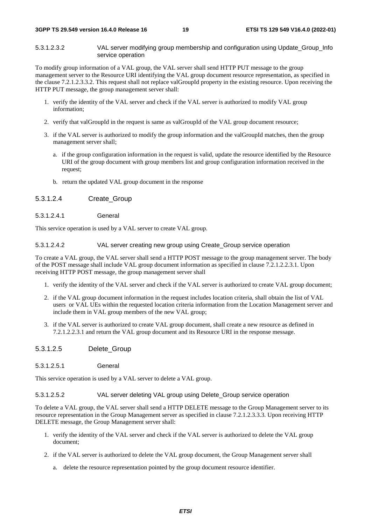5.3.1.2.3.2 VAL server modifying group membership and configuration using Update\_Group\_Info service operation

To modify group information of a VAL group, the VAL server shall send HTTP PUT message to the group management server to the Resource URI identifying the VAL group document resource representation, as specified in the clause 7.2.1.2.3.3.2. This request shall not replace valGroupId property in the existing resource. Upon receiving the HTTP PUT message, the group management server shall:

- 1. verify the identity of the VAL server and check if the VAL server is authorized to modify VAL group information;
- 2. verify that valGroupId in the request is same as valGroupId of the VAL group document resource;
- 3. if the VAL server is authorized to modify the group information and the valGroupId matches, then the group management server shall;
	- a. if the group configuration information in the request is valid, update the resource identified by the Resource URI of the group document with group members list and group configuration information received in the request;
	- b. return the updated VAL group document in the response

5.3.1.2.4 Create\_Group

5.3.1.2.4.1 General

This service operation is used by a VAL server to create VAL group.

#### 5.3.1.2.4.2 VAL server creating new group using Create\_Group service operation

To create a VAL group, the VAL server shall send a HTTP POST message to the group management server. The body of the POST message shall include VAL group document information as specified in clause 7.2.1.2.2.3.1. Upon receiving HTTP POST message, the group management server shall

- 1. verify the identity of the VAL server and check if the VAL server is authorized to create VAL group document;
- 2. if the VAL group document information in the request includes location criteria, shall obtain the list of VAL users or VAL UEs within the requested location criteria information from the Location Management server and include them in VAL group members of the new VAL group;
- 3. if the VAL server is authorized to create VAL group document, shall create a new resource as defined in 7.2.1.2.2.3.1 and return the VAL group document and its Resource URI in the response message.
- 5.3.1.2.5 Delete\_Group
- 5.3.1.2.5.1 General

This service operation is used by a VAL server to delete a VAL group.

5.3.1.2.5.2 VAL server deleting VAL group using Delete\_Group service operation

To delete a VAL group, the VAL server shall send a HTTP DELETE message to the Group Management server to its resource representation in the Group Management server as specified in clause 7.2.1.2.3.3.3. Upon receiving HTTP DELETE message, the Group Management server shall:

- 1. verify the identity of the VAL server and check if the VAL server is authorized to delete the VAL group document;
- 2. if the VAL server is authorized to delete the VAL group document, the Group Management server shall
	- a. delete the resource representation pointed by the group document resource identifier.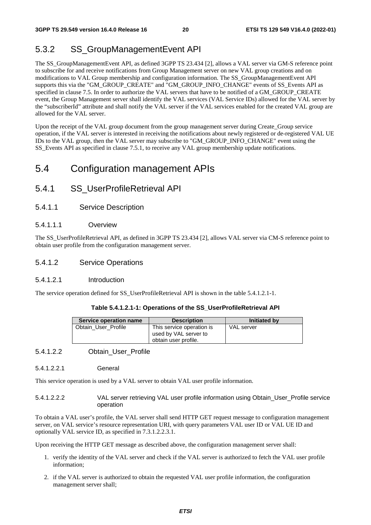# 5.3.2 SS\_GroupManagementEvent API

The SS\_GroupManagementEvent API, as defined 3GPP TS 23.434 [2], allows a VAL server via GM-S reference point to subscribe for and receive notifications from Group Management server on new VAL group creations and on modifications to VAL Group membership and configuration information. The SS\_GroupManagementEvent API supports this via the "GM\_GROUP\_CREATE" and "GM\_GROUP\_INFO\_CHANGE" events of SS\_Events API as specified in clause 7.5. In order to authorize the VAL servers that have to be notified of a GM\_GROUP\_CREATE event, the Group Management server shall identify the VAL services (VAL Service IDs) allowed for the VAL server by the "subscriberId" attribute and shall notify the VAL server if the VAL services enabled for the created VAL group are allowed for the VAL server.

Upon the receipt of the VAL group document from the group management server during Create\_Group service operation, if the VAL server is interested in receiving the notifications about newly registered or de-registered VAL UE IDs to the VAL group, then the VAL server may subscribe to "GM\_GROUP\_INFO\_CHANGE" event using the SS\_Events API as specified in clause 7.5.1, to receive any VAL group membership update notifications.

# 5.4 Configuration management APIs

- 5.4.1 SS\_UserProfileRetrieval API
- 5.4.1.1 Service Description

#### 5.4.1.1.1 Overview

The SS\_UserProfileRetrieval API, as defined in 3GPP TS 23.434 [2], allows VAL server via CM-S reference point to obtain user profile from the configuration management server.

#### 5.4.1.2 Service Operations

#### 5.4.1.2.1 Introduction

The service operation defined for SS\_UserProfileRetrieval API is shown in the table 5.4.1.2.1-1.

#### **Table 5.4.1.2.1-1: Operations of the SS\_UserProfileRetrieval API**

| Service operation name | <b>Description</b>                                                         | <b>Initiated by</b> |
|------------------------|----------------------------------------------------------------------------|---------------------|
| Obtain User Profile    | This service operation is<br>used by VAL server to<br>obtain user profile. | VAL server          |

#### 5.4.1.2.2 Obtain\_User\_Profile

5.4.1.2.2.1 General

This service operation is used by a VAL server to obtain VAL user profile information.

5.4.1.2.2.2 VAL server retrieving VAL user profile information using Obtain\_User\_Profile service operation

To obtain a VAL user's profile, the VAL server shall send HTTP GET request message to configuration management server, on VAL service's resource representation URI, with query parameters VAL user ID or VAL UE ID and optionally VAL service ID, as specified in 7.3.1.2.2.3.1.

Upon receiving the HTTP GET message as described above, the configuration management server shall:

- 1. verify the identity of the VAL server and check if the VAL server is authorized to fetch the VAL user profile information;
- 2. if the VAL server is authorized to obtain the requested VAL user profile information, the configuration management server shall;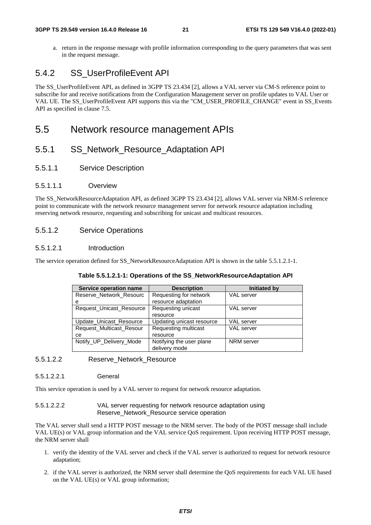a. return in the response message with profile information corresponding to the query parameters that was sent in the request message.

# 5.4.2 SS\_UserProfileEvent API

The SS\_UserProfileEvent API, as defined in 3GPP TS 23.434 [2], allows a VAL server via CM-S reference point to subscribe for and receive notifications from the Configuration Management server on profile updates to VAL User or VAL UE. The SS\_UserProfileEvent API supports this via the "CM\_USER\_PROFILE\_CHANGE" event in SS\_Events API as specified in clause 7.5.

### 5.5 Network resource management APIs

### 5.5.1 SS\_Network\_Resource\_Adaptation API

5.5.1.1 Service Description

#### 5.5.1.1.1 Overview

The SS\_NetworkResourceAdaptation API, as defined 3GPP TS 23.434 [2], allows VAL server via NRM-S reference point to communicate with the network resource management server for network resource adaptation including reserving network resource, requesting and subscribing for unicast and multicast resources.

#### 5.5.1.2 Service Operations

#### 5.5.1.2.1 Introduction

The service operation defined for SS\_NetworkResourceAdaptation API is shown in the table 5.5.1.2.1-1.

#### **Table 5.5.1.2.1-1: Operations of the SS\_NetworkResourceAdaptation API**

| Service operation name   | <b>Description</b>        |                   |
|--------------------------|---------------------------|-------------------|
| Reserve Network Resourc  | Requesting for network    | VAL server        |
| е                        | resource adaptation       |                   |
| Request_Unicast_Resource | Requesting unicast        | <b>VAL</b> server |
|                          | resource                  |                   |
| Update Unicast Resource  | Updating unicast resource | VAL server        |
| Request Multicast Resour | Requesting multicast      | <b>VAL</b> server |
| cе                       | resource                  |                   |
| Notify_UP_Delivery_Mode  | Notifying the user plane  | NRM server        |
|                          | delivery mode             |                   |

#### 5.5.1.2.2 Reserve\_Network\_Resource

5.5.1.2.2.1 General

This service operation is used by a VAL server to request for network resource adaptation.

5.5.1.2.2.2 VAL server requesting for network resource adaptation using Reserve\_Network\_Resource service operation

The VAL server shall send a HTTP POST message to the NRM server. The body of the POST message shall include VAL UE(s) or VAL group information and the VAL service QoS requirement. Upon receiving HTTP POST message, the NRM server shall

- 1. verify the identity of the VAL server and check if the VAL server is authorized to request for network resource adaptation;
- 2. if the VAL server is authorized, the NRM server shall determine the QoS requirements for each VAL UE based on the VAL UE(s) or VAL group information;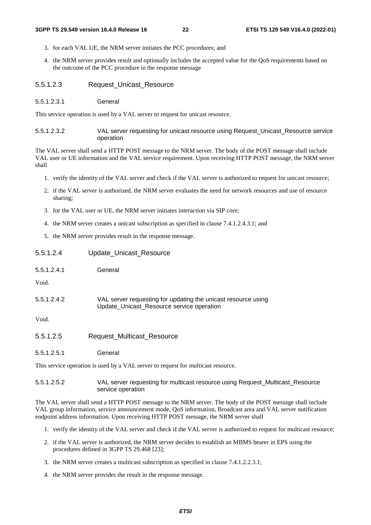- 3. for each VAL UE, the NRM server initiates the PCC procedures; and
- 4. the NRM server provides result and optionally includes the accepted value for the QoS requirements based on the outcome of the PCC procedure in the response message
- 5.5.1.2.3 Request\_Unicast\_Resource
- 5.5.1.2.3.1 General

This service operation is used by a VAL server to request for unicast resource.

5.5.1.2.3.2 VAL server requesting for unicast resource using Request\_Unicast\_Resource service operation

The VAL server shall send a HTTP POST message to the NRM server. The body of the POST message shall include VAL user or UE information and the VAL service requirement. Upon receiving HTTP POST message, the NRM server shall

- 1. verify the identity of the VAL server and check if the VAL server is authorized to request for unicast resource;
- 2. if the VAL server is authorized, the NRM server evaluates the need for network resources and use of resource sharing;
- 3. for the VAL user or UE, the NRM server initiates interaction via SIP core;
- 4. the NRM server creates a unicast subscription as specified in clause 7.4.1.2.4.3.1; and
- 5. the NRM server provides result in the response message.

| 5.5.1.2.4   | <b>Update Unicast Resource</b>                                                                             |
|-------------|------------------------------------------------------------------------------------------------------------|
| 5.5.1.2.4.1 | General                                                                                                    |
| Void.       |                                                                                                            |
| 5.5.1.2.4.2 | VAL server requesting for updating the unicast resource using<br>Update_Unicast_Resource service operation |
| Void.       |                                                                                                            |
| 5.5.1.2.5   | <b>Request Multicast Resource</b>                                                                          |
| 5.5.1.2.5.1 | General                                                                                                    |
|             | This service operation is used by a VAL server to request for multicast resource.                          |

5.5.1.2.5.2 VAL server requesting for multicast resource using Request\_Multicast\_Resource service operation

The VAL server shall send a HTTP POST message to the NRM server. The body of the POST message shall include VAL group information, service announcement mode, QoS information, Broadcast area and VAL server notification endpoint address information. Upon receiving HTTP POST message, the NRM server shall

- 1. verify the identity of the VAL server and check if the VAL server is authorized to request for multicast resource;
- 2. if the VAL server is authorized, the NRM server decides to establish an MBMS bearer in EPS using the procedures defined in 3GPP TS 29.468 [23];
- 3. the NRM server creates a multicast subscription as specified in clause 7.4.1.2.2.3.1;
- 4. the NRM server provides the result in the response message.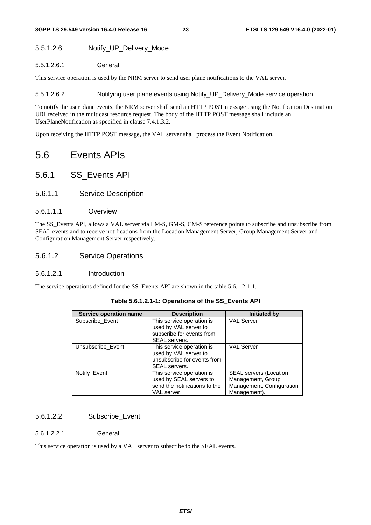#### 5.5.1.2.6 Notify\_UP\_Delivery\_Mode

#### 5.5.1.2.6.1 General

This service operation is used by the NRM server to send user plane notifications to the VAL server.

5.5.1.2.6.2 Notifying user plane events using Notify\_UP\_Delivery\_Mode service operation

To notify the user plane events, the NRM server shall send an HTTP POST message using the Notification Destination URI received in the multicast resource request. The body of the HTTP POST message shall include an UserPlaneNotification as specified in clause 7.4.1.3.2.

Upon receiving the HTTP POST message, the VAL server shall process the Event Notification.

# 5.6 Events APIs

- 5.6.1 SS\_Events API
- 5.6.1.1 Service Description
- 5.6.1.1.1 Overview

The SS\_Events API, allows a VAL server via LM-S, GM-S, CM-S reference points to subscribe and unsubscribe from SEAL events and to receive notifications from the Location Management Server, Group Management Server and Configuration Management Server respectively.

5.6.1.2 Service Operations

#### 5.6.1.2.1 Introduction

The service operations defined for the SS Events API are shown in the table 5.6.1.2.1-1.

| Service operation name | <b>Description</b>            | <b>Initiated by</b>           |
|------------------------|-------------------------------|-------------------------------|
| Subscribe_Event        | This service operation is     | <b>VAL Server</b>             |
|                        | used by VAL server to         |                               |
|                        | subscribe for events from     |                               |
|                        | SEAL servers.                 |                               |
| Unsubscribe_Event      | This service operation is     | <b>VAL Server</b>             |
|                        | used by VAL server to         |                               |
|                        | unsubscribe for events from   |                               |
|                        | SEAL servers.                 |                               |
| Notify_Event           | This service operation is     | <b>SEAL servers (Location</b> |
|                        | used by SEAL servers to       | Management, Group             |
|                        | send the notifications to the | Management, Configuration     |
|                        | VAL server.                   | Management).                  |

#### **Table 5.6.1.2.1-1: Operations of the SS\_Events API**

#### 5.6.1.2.2 Subscribe\_Event

#### 5.6.1.2.2.1 General

This service operation is used by a VAL server to subscribe to the SEAL events.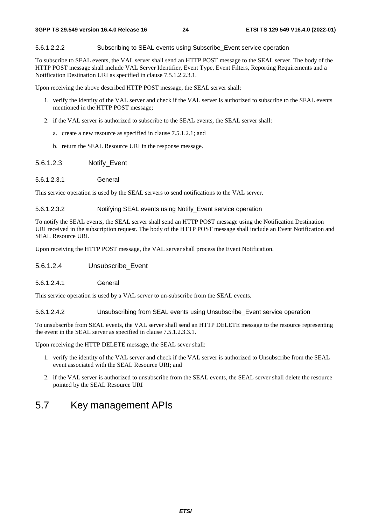#### 5.6.1.2.2.2 Subscribing to SEAL events using Subscribe\_Event service operation

To subscribe to SEAL events, the VAL server shall send an HTTP POST message to the SEAL server. The body of the HTTP POST message shall include VAL Server Identifier, Event Type, Event Filters, Reporting Requirements and a Notification Destination URI as specified in clause 7.5.1.2.2.3.1.

Upon receiving the above described HTTP POST message, the SEAL server shall:

- 1. verify the identity of the VAL server and check if the VAL server is authorized to subscribe to the SEAL events mentioned in the HTTP POST message;
- 2. if the VAL server is authorized to subscribe to the SEAL events, the SEAL server shall:
	- a. create a new resource as specified in clause 7.5.1.2.1; and
	- b. return the SEAL Resource URI in the response message.

#### 5.6.1.2.3 Notify\_Event

5.6.1.2.3.1 General

This service operation is used by the SEAL servers to send notifications to the VAL server.

#### 5.6.1.2.3.2 Notifying SEAL events using Notify\_Event service operation

To notify the SEAL events, the SEAL server shall send an HTTP POST message using the Notification Destination URI received in the subscription request. The body of the HTTP POST message shall include an Event Notification and SEAL Resource URI.

Upon receiving the HTTP POST message, the VAL server shall process the Event Notification.

- 5.6.1.2.4 Unsubscribe\_Event
- 5.6.1.2.4.1 General

This service operation is used by a VAL server to un-subscribe from the SEAL events.

5.6.1.2.4.2 Unsubscribing from SEAL events using Unsubscribe\_Event service operation

To unsubscribe from SEAL events, the VAL server shall send an HTTP DELETE message to the resource representing the event in the SEAL server as specified in clause 7.5.1.2.3.3.1.

Upon receiving the HTTP DELETE message, the SEAL sever shall:

- 1. verify the identity of the VAL server and check if the VAL server is authorized to Unsubscribe from the SEAL event associated with the SEAL Resource URI; and
- 2. if the VAL server is authorized to unsubscribe from the SEAL events, the SEAL server shall delete the resource pointed by the SEAL Resource URI

# 5.7 Key management APIs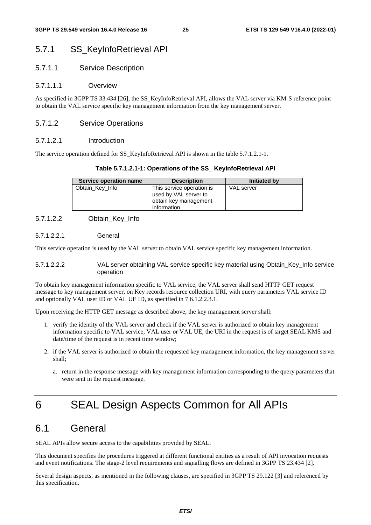### 5.7.1 SS\_KeyInfoRetrieval API

#### 5.7.1.1 Service Description

#### 5.7.1.1.1 Overview

As specified in 3GPP TS 33.434 [26], the SS\_KeyInfoRetrieval API, allows the VAL server via KM-S reference point to obtain the VAL service specific key management information from the key management server.

#### 5.7.1.2 Service Operations

#### 5.7.1.2.1 Introduction

The service operation defined for SS\_KeyInfoRetrieval API is shown in the table 5.7.1.2.1-1.

#### **Table 5.7.1.2.1-1: Operations of the SS\_ KeyInfoRetrieval API**

| Service operation name | <b>Description</b>                                                                          | <b>Initiated by</b> |
|------------------------|---------------------------------------------------------------------------------------------|---------------------|
| Obtain_Key_Info        | This service operation is<br>used by VAL server to<br>obtain key management<br>information. | <b>VAL</b> server   |

#### 5.7.1.2.2 Obtain\_Key\_Info

5.7.1.2.2.1 General

This service operation is used by the VAL server to obtain VAL service specific key management information.

5.7.1.2.2.2 VAL server obtaining VAL service specific key material using Obtain\_Key\_Info service operation

To obtain key management information specific to VAL service, the VAL server shall send HTTP GET request message to key management server, on Key records resource collection URI, with query parameters VAL service ID and optionally VAL user ID or VAL UE ID, as specified in 7.6.1.2.2.3.1.

Upon receiving the HTTP GET message as described above, the key management server shall:

- 1. verify the identity of the VAL server and check if the VAL server is authorized to obtain key management information specific to VAL service, VAL user or VAL UE, the URI in the request is of target SEAL KMS and date/time of the request is in recent time window;
- 2. if the VAL server is authorized to obtain the requested key management information, the key management server shall;
	- a. return in the response message with key management information corresponding to the query parameters that were sent in the request message.

# 6 SEAL Design Aspects Common for All APIs

# 6.1 General

SEAL APIs allow secure access to the capabilities provided by SEAL.

This document specifies the procedures triggered at different functional entities as a result of API invocation requests and event notifications. The stage-2 level requirements and signalling flows are defined in 3GPP TS 23.434 [2].

Several design aspects, as mentioned in the following clauses, are specified in 3GPP TS 29.122 [3] and referenced by this specification.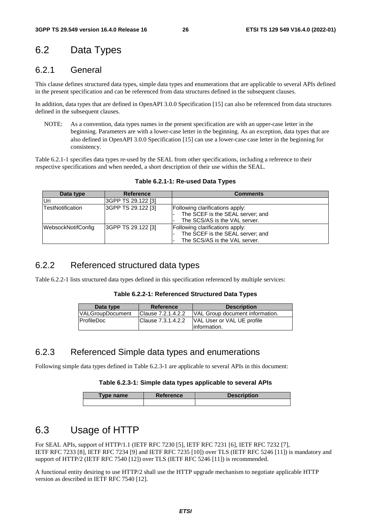# 6.2 Data Types

### 6.2.1 General

This clause defines structured data types, simple data types and enumerations that are applicable to several APIs defined in the present specification and can be referenced from data structures defined in the subsequent clauses.

In addition, data types that are defined in OpenAPI 3.0.0 Specification [15] can also be referenced from data structures defined in the subsequent clauses.

NOTE: As a convention, data types names in the present specification are with an upper-case letter in the beginning. Parameters are with a lower-case letter in the beginning. As an exception, data types that are also defined in OpenAPI 3.0.0 Specification [15] can use a lower-case case letter in the beginning for consistency.

Table 6.2.1-1 specifies data types re-used by the SEAL from other specifications, including a reference to their respective specifications and when needed, a short description of their use within the SEAL.

| Data type               | <b>Reference</b>   | <b>Comments</b>                                                                                      |
|-------------------------|--------------------|------------------------------------------------------------------------------------------------------|
| Uri                     | 3GPP TS 29.122 [3] |                                                                                                      |
| <b>TestNotification</b> | 3GPP TS 29.122 [3] | Following clarifications apply:<br>The SCEF is the SEAL server; and<br>The SCS/AS is the VAL server. |
| WebsockNotifConfig      | 3GPP TS 29.122 [3] | Following clarifications apply:<br>The SCEF is the SEAL server; and<br>The SCS/AS is the VAL server. |

**Table 6.2.1-1: Re-used Data Types** 

# 6.2.2 Referenced structured data types

Table 6.2.2-1 lists structured data types defined in this specification referenced by multiple services:

| Table 6.2.2-1: Referenced Structured Data Types |  |  |
|-------------------------------------------------|--|--|
|-------------------------------------------------|--|--|

| Data type               | <b>Reference</b>   | <b>Description</b>              |
|-------------------------|--------------------|---------------------------------|
| <b>VALGroupDocument</b> | Clause 7.2.1.4.2.2 | VAL Group document information. |
| <b>ProfileDoc</b>       | Clause 7.3.1.4.2.2 | VAL User or VAL UE profile      |
|                         |                    | linformation.                   |

### 6.2.3 Referenced Simple data types and enumerations

Following simple data types defined in Table 6.2.3-1 are applicable to several APIs in this document:

#### **Table 6.2.3-1: Simple data types applicable to several APIs**

| Type name | <b>Reference</b> | <b>Description</b> |
|-----------|------------------|--------------------|
|           |                  |                    |

# 6.3 Usage of HTTP

For SEAL APIs, support of HTTP/1.1 (IETF RFC 7230 [5], IETF RFC 7231 [6], IETF RFC 7232 [7], IETF RFC 7233 [8], IETF RFC 7234 [9] and IETF RFC 7235 [10]) over TLS (IETF RFC 5246 [11]) is mandatory and support of HTTP/2 (IETF RFC 7540 [12]) over TLS (IETF RFC 5246 [11]) is recommended.

A functional entity desiring to use HTTP/2 shall use the HTTP upgrade mechanism to negotiate applicable HTTP version as described in IETF RFC 7540 [12].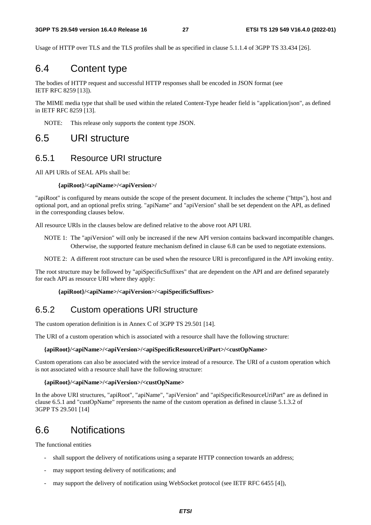Usage of HTTP over TLS and the TLS profiles shall be as specified in clause 5.1.1.4 of 3GPP TS 33.434 [26].

# 6.4 Content type

The bodies of HTTP request and successful HTTP responses shall be encoded in JSON format (see IETF RFC 8259 [13]).

The MIME media type that shall be used within the related Content-Type header field is "application/json", as defined in IETF RFC 8259 [13].

NOTE: This release only supports the content type JSON.

# 6.5 URI structure

### 6.5.1 Resource URI structure

All API URIs of SEAL APIs shall be:

#### **{apiRoot}/<apiName>/<apiVersion>/**

"apiRoot" is configured by means outside the scope of the present document. It includes the scheme ("https"), host and optional port, and an optional prefix string. "apiName" and "apiVersion" shall be set dependent on the API, as defined in the corresponding clauses below.

All resource URIs in the clauses below are defined relative to the above root API URI.

NOTE 1: The "apiVersion" will only be increased if the new API version contains backward incompatible changes. Otherwise, the supported feature mechanism defined in clause 6.8 can be used to negotiate extensions.

NOTE 2: A different root structure can be used when the resource URI is preconfigured in the API invoking entity.

The root structure may be followed by "apiSpecificSuffixes" that are dependent on the API and are defined separately for each API as resource URI where they apply:

#### **{apiRoot}/<apiName>/<apiVersion>/<apiSpecificSuffixes>**

### 6.5.2 Custom operations URI structure

The custom operation definition is in Annex C of 3GPP TS 29.501 [14].

The URI of a custom operation which is associated with a resource shall have the following structure:

#### **{apiRoot}/<apiName>/<apiVersion>/<apiSpecificResourceUriPart>/<custOpName>**

Custom operations can also be associated with the service instead of a resource. The URI of a custom operation which is not associated with a resource shall have the following structure:

#### **{apiRoot}/<apiName>/<apiVersion>/<custOpName>**

In the above URI structures, "apiRoot", "apiName", "apiVersion" and "apiSpecificResourceUriPart" are as defined in clause 6.5.1 and "custOpName" represents the name of the custom operation as defined in clause 5.1.3.2 of 3GPP TS 29.501 [14]

# 6.6 Notifications

The functional entities

- shall support the delivery of notifications using a separate HTTP connection towards an address;
- may support testing delivery of notifications; and
- may support the delivery of notification using WebSocket protocol (see IETF RFC 6455 [4]),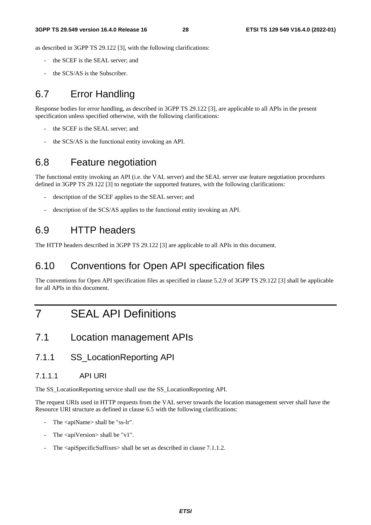as described in 3GPP TS 29.122 [3], with the following clarifications:

- the SCEF is the SEAL server; and
- the SCS/AS is the Subscriber.

# 6.7 Error Handling

Response bodies for error handling, as described in 3GPP TS 29.122 [3], are applicable to all APIs in the present specification unless specified otherwise, with the following clarifications:

- the SCEF is the SEAL server; and
- the SCS/AS is the functional entity invoking an API.

# 6.8 Feature negotiation

The functional entity invoking an API (i.e. the VAL server) and the SEAL server use feature negotiation procedures defined in 3GPP TS 29.122 [3] to negotiate the supported features, with the following clarifications:

- description of the SCEF applies to the SEAL server; and
- description of the SCS/AS applies to the functional entity invoking an API.

# 6.9 HTTP headers

The HTTP headers described in 3GPP TS 29.122 [3] are applicable to all APIs in this document.

# 6.10 Conventions for Open API specification files

The conventions for Open API specification files as specified in clause 5.2.9 of 3GPP TS 29.122 [3] shall be applicable for all APIs in this document.

# 7 SEAL API Definitions

# 7.1 Location management APIs

### 7.1.1 SS\_LocationReporting API

#### 7.1.1.1 API URI

The SS\_LocationReporting service shall use the SS\_LocationReporting API.

The request URIs used in HTTP requests from the VAL server towards the location management server shall have the Resource URI structure as defined in clause 6.5 with the following clarifications:

- The <apiName> shall be "ss-lr".
- The  $\langle$ apiVersion $>$ shall be "v1".
- The  $\langle$ apiSpecificSuffixes $>$ shall be set as described in clause 7.1.1.2.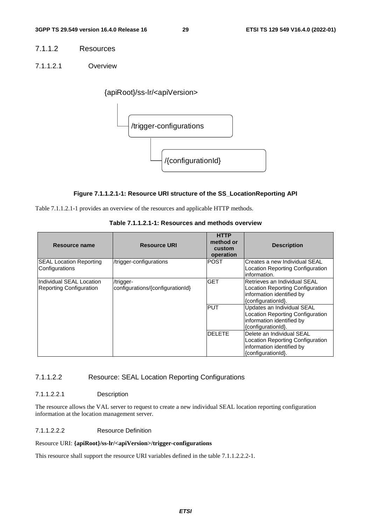#### 7.1.1.2 Resources

7.1.1.2.1 Overview

{apiRoot}/ss-lr/<apiVersion>



#### **Figure 7.1.1.2.1-1: Resource URI structure of the SS\_LocationReporting API**

Table 7.1.1.2.1-1 provides an overview of the resources and applicable HTTP methods.

| Resource name                                              | <b>Resource URI</b>                           | <b>HTTP</b><br>method or<br>custom<br>operation | <b>Description</b>                                                                                                  |
|------------------------------------------------------------|-----------------------------------------------|-------------------------------------------------|---------------------------------------------------------------------------------------------------------------------|
| <b>SEAL Location Reporting</b><br>Configurations           | /trigger-configurations                       | <b>POST</b>                                     | Creates a new Individual SEAL<br>Location Reporting Configuration<br>information.                                   |
| Individual SEAL Location<br><b>Reporting Configuration</b> | /trigger-<br>configurations/{configurationId} | <b>GET</b>                                      | Retrieves an Individual SEAL<br>Location Reporting Configuration<br>information identified by<br>{configurationId}. |
|                                                            |                                               | <b>PUT</b>                                      | Updates an Individual SEAL<br>Location Reporting Configuration<br>information identified by<br>{configurationId}.   |
|                                                            |                                               | <b>DELETE</b>                                   | Delete an Individual SEAL<br>Location Reporting Configuration<br>information identified by<br>{configurationId}.    |

**Table 7.1.1.2.1-1: Resources and methods overview** 

#### 7.1.1.2.2 Resource: SEAL Location Reporting Configurations

#### 7.1.1.2.2.1 Description

The resource allows the VAL server to request to create a new individual SEAL location reporting configuration information at the location management server.

#### 7.1.1.2.2.2 Resource Definition

#### Resource URI: **{apiRoot}/ss-lr/<apiVersion>/trigger-configurations**

This resource shall support the resource URI variables defined in the table 7.1.1.2.2.2-1.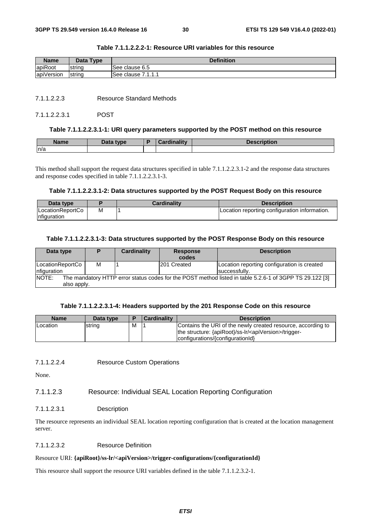| <b>Name</b> | Data Type | <b>Definition</b>        |  |  |
|-------------|-----------|--------------------------|--|--|
| apiRoot     | Istrina   | See clause 6.5           |  |  |
| apiVersion  | string    | 7111<br>lSee clause<br>. |  |  |

#### **Table 7.1.1.2.2.2-1: Resource URI variables for this resource**

7.1.1.2.2.3 Resource Standard Methods

#### 7.1.1.2.2.3.1 POST

#### **Table 7.1.1.2.2.3.1-1: URI query parameters supported by the POST method on this resource**

| <b>Name</b> | Data type | Cardinality | Description |
|-------------|-----------|-------------|-------------|
| n/a         |           |             |             |

This method shall support the request data structures specified in table 7.1.1.2.2.3.1-2 and the response data structures and response codes specified in table 7.1.1.2.2.3.1-3.

#### **Table 7.1.1.2.2.3.1-2: Data structures supported by the POST Request Body on this resource**

| Data type                         |   | Cardinalitv | <b>Description</b>                            |
|-----------------------------------|---|-------------|-----------------------------------------------|
| ILocationReportCo<br>Infiguration | M |             | Location reporting configuration information. |

#### **Table 7.1.1.2.2.3.1-3: Data structures supported by the POST Response Body on this resource**

| Data type                                                                                                        |   | Cardinality | <b>Response</b>    | <b>Description</b>                          |
|------------------------------------------------------------------------------------------------------------------|---|-------------|--------------------|---------------------------------------------|
|                                                                                                                  |   |             | codes              |                                             |
| LocationReportCo                                                                                                 | м |             | <b>201 Created</b> | Location reporting configuration is created |
| nfiguration                                                                                                      |   |             |                    | successfully.                               |
| NOTE:<br>The mandatory HTTP error status codes for the POST method listed in table 5.2.6-1 of 3GPP TS 29.122 [3] |   |             |                    |                                             |
| also apply.                                                                                                      |   |             |                    |                                             |

#### **Table 7.1.1.2.2.3.1-4: Headers supported by the 201 Response Code on this resource**

| <b>Name</b>      | Data type | Е | <b>Cardinality</b> | <b>Description</b>                                                                                                                                                      |
|------------------|-----------|---|--------------------|-------------------------------------------------------------------------------------------------------------------------------------------------------------------------|
| <b>ILocation</b> | string    | M |                    | Contains the URI of the newly created resource, according to<br>the structure: {apiRoot}/ss-lr/ <apiversion>/trigger-<br/>configurations/{configurationId}</apiversion> |

7.1.1.2.2.4 Resource Custom Operations

None.

#### 7.1.1.2.3 Resource: Individual SEAL Location Reporting Configuration

#### 7.1.1.2.3.1 Description

The resource represents an individual SEAL location reporting configuration that is created at the location management server.

#### 7.1.1.2.3.2 Resource Definition

#### Resource URI: **{apiRoot}/ss-lr/<apiVersion>/trigger-configurations/{configurationId}**

This resource shall support the resource URI variables defined in the table 7.1.1.2.3.2-1.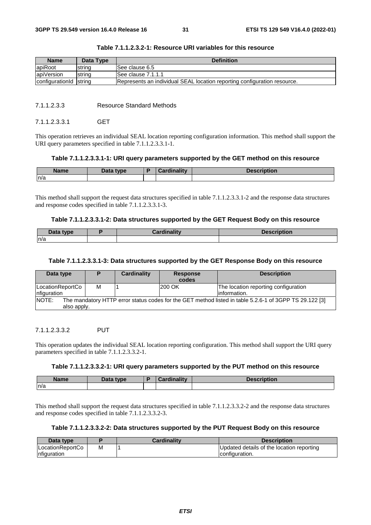| Name                   | Data Type | <b>Definition</b>                                                        |
|------------------------|-----------|--------------------------------------------------------------------------|
| apiRoot                | strina    | See clause 6.5                                                           |
| apiVersion             | strina    | See clause 7.1.1.1                                                       |
| configuration d string |           | Represents an individual SEAL location reporting configuration resource. |

| Table 7.1.1.2.3.2-1: Resource URI variables for this resource |  |  |
|---------------------------------------------------------------|--|--|
|---------------------------------------------------------------|--|--|

#### 7.1.1.2.3.3 Resource Standard Methods

#### 7112331 GFT

This operation retrieves an individual SEAL location reporting configuration information. This method shall support the URI query parameters specified in table 7.1.1.2.3.3.1-1.

#### **Table 7.1.1.2.3.3.1-1: URI query parameters supported by the GET method on this resource**

| <b>Name</b> | Data type | <b><i>cardinality</i></b> | Description |
|-------------|-----------|---------------------------|-------------|
| n/a         |           |                           |             |

This method shall support the request data structures specified in table 7.1.1.2.3.3.1-2 and the response data structures and response codes specified in table 7.1.1.2.3.3.1-3.

#### **Table 7.1.1.2.3.3.1-2: Data structures supported by the GET Request Body on this resource**

| Data type | Cardinalitv | <b>Description</b> |
|-----------|-------------|--------------------|
| ln/a      |             |                    |

#### **Table 7.1.1.2.3.3.1-3: Data structures supported by the GET Response Body on this resource**

| Data type                        |                                                                                                                       | Cardinality | <b>Response</b><br>codes | <b>Description</b>                                    |  |
|----------------------------------|-----------------------------------------------------------------------------------------------------------------------|-------------|--------------------------|-------------------------------------------------------|--|
| LocationReportCo<br>Infiguration | М                                                                                                                     |             | <b>200 OK</b>            | The location reporting configuration<br>linformation. |  |
| NOTE:                            | The mandatory HTTP error status codes for the GET method listed in table 5.2.6-1 of 3GPP TS 29.122 [3]<br>also apply. |             |                          |                                                       |  |

#### 7.1.1.2.3.3.2 PUT

This operation updates the individual SEAL location reporting configuration. This method shall support the URI query parameters specified in table 7.1.1.2.3.3.2-1.

#### **Table 7.1.1.2.3.3.2-1: URI query parameters supported by the PUT method on this resource**

| <b>Name</b> | Data type | Cardinality | Description |
|-------------|-----------|-------------|-------------|
| n/a         |           |             |             |

This method shall support the request data structures specified in table 7.1.1.2.3.3.2-2 and the response data structures and response codes specified in table 7.1.1.2.3.3.2-3.

#### **Table 7.1.1.2.3.3.2-2: Data structures supported by the PUT Request Body on this resource**

| Data type        |   | <b>Cardinality</b> | <b>Description</b>                        |
|------------------|---|--------------------|-------------------------------------------|
| LocationReportCo | м |                    | Updated details of the location reporting |
| nfiguration      |   |                    | configuration.                            |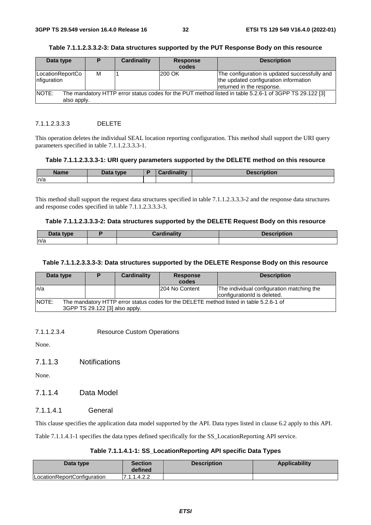| Data type                                                                                                       | D | Cardinality | <b>Response</b> | <b>Description</b>                                                                                                  |
|-----------------------------------------------------------------------------------------------------------------|---|-------------|-----------------|---------------------------------------------------------------------------------------------------------------------|
|                                                                                                                 |   |             | codes           |                                                                                                                     |
| LocationReportCo<br>Infiguration                                                                                | м |             | 200 OK          | The configuration is updated successfully and<br>the updated configuration information<br>returned in the response. |
| NOTE:<br>The mandatory HTTP error status codes for the PUT method listed in table 5.2.6-1 of 3GPP TS 29.122 [3] |   |             |                 |                                                                                                                     |
| also apply.                                                                                                     |   |             |                 |                                                                                                                     |

#### **Table 7.1.1.2.3.3.2-3: Data structures supported by the PUT Response Body on this resource**

#### 7.1.1.2.3.3.3 DELETE

This operation deletes the individual SEAL location reporting configuration. This method shall support the URI query parameters specified in table 7.1.1.2.3.3.3-1.

#### **Table 7.1.1.2.3.3.3-1: URI query parameters supported by the DELETE method on this resource**

| <b>Name</b> | Data type<br>Dala | <b>Cardinality</b> | <b>Pescription</b><br>Desc |
|-------------|-------------------|--------------------|----------------------------|
| n/a         |                   |                    |                            |

This method shall support the request data structures specified in table 7.1.1.2.3.3.3-2 and the response data structures and response codes specified in table 7.1.1.2.3.3.3-3.

#### **Table 7.1.1.2.3.3.3-2: Data structures supported by the DELETE Request Body on this resource**

| <b>Data type</b> | المقالحات | Descr   |
|------------------|-----------|---------|
| $20$ utu         | ----      | NDUVIL. |
| n/a              |           |         |

#### **Table 7.1.1.2.3.3.3-3: Data structures supported by the DELETE Response Body on this resource**

| Data type                                                                                              |                                | Cardinality | <b>Response</b> | <b>Description</b>                        |
|--------------------------------------------------------------------------------------------------------|--------------------------------|-------------|-----------------|-------------------------------------------|
|                                                                                                        |                                |             | codes           |                                           |
| ln/a                                                                                                   |                                |             | 204 No Content  | The individual configuration matching the |
|                                                                                                        |                                |             |                 | configuration d is deleted.               |
| <b>NOTE:</b><br>The mandatory HTTP error status codes for the DELETE method listed in table 5.2.6-1 of |                                |             |                 |                                           |
|                                                                                                        | 3GPP TS 29.122 [3] also apply. |             |                 |                                           |

7.1.1.2.3.4 Resource Custom Operations

None.

7.1.1.3 Notifications

None.

### 7.1.1.4 Data Model

7.1.1.4.1 General

This clause specifies the application data model supported by the API. Data types listed in clause 6.2 apply to this API.

Table 7.1.1.4.1-1 specifies the data types defined specifically for the SS\_LocationReporting API service.

#### **Table 7.1.1.4.1-1: SS\_LocationReporting API specific Data Types**

| Data type                   | Section<br>defined | <b>Description</b> | <b>Applicability</b> |
|-----------------------------|--------------------|--------------------|----------------------|
| LocationReportConfiguration | 7.1.1.4.2.2        |                    |                      |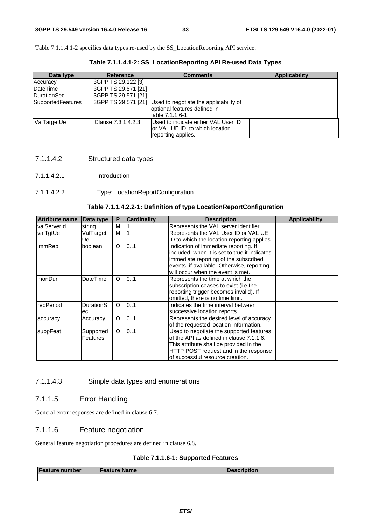Table 7.1.1.4.1-2 specifies data types re-used by the SS\_LocationReporting API service.

Data type **Reference Reference Reference Reference Reference Reference Reference Reference Reference Reference Reference Reference Reference Reference Reference Reference Reference Referen** Accuracy 3GPP TS 29.122 [3] DateTime 3GPP TS 29.571 [21] DurationSec 3GPP TS 29.571 [21]<br>SupportedFeatures 3GPP TS 29.571 [21] Used to negotiate the applicability of optional features defined in table 7.1.1.6-1. ValTargetUe Clause 7.3.1.4.2.3 Used to indicate either VAL User ID or VAL UE ID, to which location reporting applies.

**Table 7.1.1.4.1-2: SS\_LocationReporting API Re-used Data Types** 

#### 7.1.1.4.2 Structured data types

7.1.1.4.2.1 Introduction

#### 7.1.1.4.2.2 Type: LocationReportConfiguration

#### **Table 7.1.1.4.2.2-1: Definition of type LocationReportConfiguration**

| <b>Attribute name</b> | Data type       | P        | <b>Cardinality</b> | <b>Description</b>                            | <b>Applicability</b> |
|-----------------------|-----------------|----------|--------------------|-----------------------------------------------|----------------------|
| <b>IvalServerId</b>   | string          | M        |                    | Represents the VAL server identifier.         |                      |
| valTgtUe              | ValTarget       | M        |                    | Represents the VAL User ID or VAL UE          |                      |
|                       | Ue              |          |                    | ID to which the location reporting applies.   |                      |
| immRep                | boolean         | O        | 0.1                | Indication of immediate reporting. If         |                      |
|                       |                 |          |                    | included, when it is set to true it indicates |                      |
|                       |                 |          |                    | immediate reporting of the subscribed         |                      |
|                       |                 |          |                    | events, if available. Otherwise, reporting    |                      |
|                       |                 |          |                    | will occur when the event is met.             |                      |
| monDur                | <b>DateTime</b> | $\Omega$ | 01                 | Represents the time at which the              |                      |
|                       |                 |          |                    | subscription ceases to exist (i.e the         |                      |
|                       |                 |          |                    | reporting trigger becomes invalid). If        |                      |
|                       |                 |          |                    | omitted, there is no time limit.              |                      |
| repPeriod             | DurationS       | O        | 0.1                | Indicates the time interval between           |                      |
|                       | ec              |          |                    | successive location reports.                  |                      |
| accuracy              | Accuracy        | O        | 0.1                | Represents the desired level of accuracy      |                      |
|                       |                 |          |                    | of the requested location information.        |                      |
| suppFeat              | Supported       | O        | 0.1                | Used to negotiate the supported features      |                      |
|                       | Features        |          |                    | of the API as defined in clause 7.1.1.6.      |                      |
|                       |                 |          |                    | This attribute shall be provided in the       |                      |
|                       |                 |          |                    | HTTP POST request and in the response         |                      |
|                       |                 |          |                    | of successful resource creation.              |                      |

#### 7.1.1.4.3 Simple data types and enumerations

#### 7.1.1.5 Error Handling

General error responses are defined in clause 6.7.

#### 7.1.1.6 Feature negotiation

General feature negotiation procedures are defined in clause 6.8.

#### **Table 7.1.1.6-1: Supported Features**

| Feature number | <b>Feature Name</b> | <b>Description</b> |
|----------------|---------------------|--------------------|
|                |                     |                    |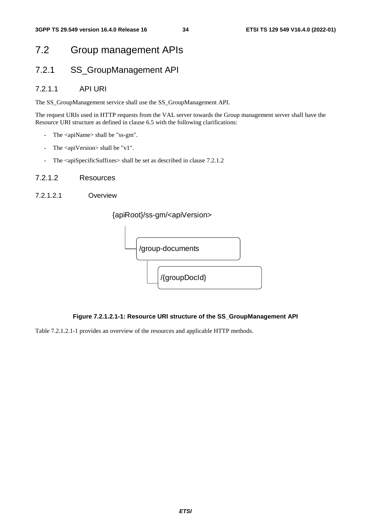# 7.2 Group management APIs

# 7.2.1 SS\_GroupManagement API

### 7.2.1.1 API URI

The SS\_GroupManagement service shall use the SS\_GroupManagement API.

The request URIs used in HTTP requests from the VAL server towards the Group management server shall have the Resource URI structure as defined in clause 6.5 with the following clarifications:

- The <apiName> shall be "ss-gm".
- The <apiVersion> shall be "v1".
- The <apiSpecificSuffixes> shall be set as described in clause 7.2.1.2

#### 7.2.1.2 Resources

7.2.1.2.1 Overview

### {apiRoot}/ss-gm/<apiVersion>



### **Figure 7.2.1.2.1-1: Resource URI structure of the SS\_GroupManagement API**

Table 7.2.1.2.1-1 provides an overview of the resources and applicable HTTP methods.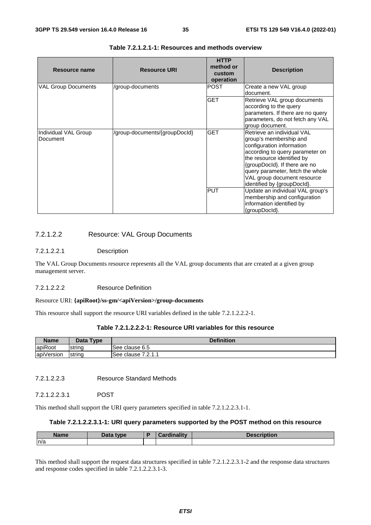| Resource name                    | <b>Resource URI</b>           | <b>HTTP</b><br>method or<br>custom<br>operation | <b>Description</b>                                                                                                                                                                                                                                                                    |
|----------------------------------|-------------------------------|-------------------------------------------------|---------------------------------------------------------------------------------------------------------------------------------------------------------------------------------------------------------------------------------------------------------------------------------------|
| <b>VAL Group Documents</b>       | /group-documents              | POST                                            | Create a new VAL group<br>document.                                                                                                                                                                                                                                                   |
|                                  |                               | <b>GET</b>                                      | Retrieve VAL group documents<br>according to the query<br>parameters. If there are no query<br>parameters, do not fetch any VAL<br>group document.                                                                                                                                    |
| Individual VAL Group<br>Document | /group-documents/{groupDocId} | <b>GET</b>                                      | Retrieve an individual VAL<br>group's membership and<br>configuration information<br>according to query parameter on<br>the resource identified by<br>{groupDocld}. If there are no<br>query parameter, fetch the whole<br>VAL group document resource<br>identified by {groupDocId}. |
|                                  |                               | <b>PUT</b>                                      | Update an individual VAL group's<br>membership and configuration<br>information identified by<br>{groupDocld}.                                                                                                                                                                        |

#### **Table 7.2.1.2.1-1: Resources and methods overview**

#### 7.2.1.2.2 Resource: VAL Group Documents

#### 7.2.1.2.2.1 Description

The VAL Group Documents resource represents all the VAL group documents that are created at a given group management server.

#### 7.2.1.2.2.2 Resource Definition

#### Resource URI: **{apiRoot}/ss-gm/<apiVersion>/group-documents**

This resource shall support the resource URI variables defined in the table 7.2.1.2.2.2-1.

#### **Table 7.2.1.2.2.2-1: Resource URI variables for this resource**

| <b>Name</b> | Data Type      | <b>Definition</b>           |
|-------------|----------------|-----------------------------|
| lapiRoot    | <b>Istring</b> | lSee clause 6.5             |
| apiVersion  | string         | 7 7 1 1<br>lSee clause<br>. |

7.2.1.2.2.3 Resource Standard Methods

#### 7.2.1.2.2.3.1 POST

This method shall support the URI query parameters specified in table 7.2.1.2.2.3.1-1.

#### **Table 7.2.1.2.2.3.1-1: URI query parameters supported by the POST method on this resource**

| <b>Name</b> | Data type | <b><i>Cardinality</i></b> | <b>Description</b> |
|-------------|-----------|---------------------------|--------------------|
| n/a         |           |                           |                    |

This method shall support the request data structures specified in table 7.2.1.2.2.3.1-2 and the response data structures and response codes specified in table 7.2.1.2.2.3.1-3.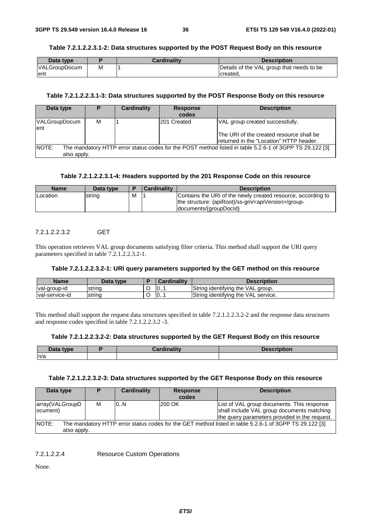#### **Table 7.2.1.2.2.3.1-2: Data structures supported by the POST Request Body on this resource**

| Data type            |   | <b>Cardinality</b> | <b>Description</b>                        |
|----------------------|---|--------------------|-------------------------------------------|
| <b>VALGroupDocum</b> | М |                    | Details of the VAL group that needs to be |
| Tent                 |   |                    | created.                                  |

## **Table 7.2.1.2.2.3.1-3: Data structures supported by the POST Response Body on this resource**

| Data type                    | D                                                                                                                      | <b>Cardinality</b> | <b>Response</b><br>codes | <b>Description</b>                                                                                                      |  |  |  |
|------------------------------|------------------------------------------------------------------------------------------------------------------------|--------------------|--------------------------|-------------------------------------------------------------------------------------------------------------------------|--|--|--|
| <b>VALGroupDocum</b><br>lent | м                                                                                                                      |                    | 201 Created              | VAL group created successfully.<br>The URI of the created resource shall be<br>Ireturned in the "Location" HTTP header. |  |  |  |
| NOTE:                        | The mandatory HTTP error status codes for the POST method listed in table 5.2.6-1 of 3GPP TS 29.122 [3]<br>also apply. |                    |                          |                                                                                                                         |  |  |  |

## **Table 7.2.1.2.2.3.1-4: Headers supported by the 201 Response Code on this resource**

| <b>Name</b> | Data type |   | <b>Cardinality</b> | <b>Description</b>                                                                                                                                          |
|-------------|-----------|---|--------------------|-------------------------------------------------------------------------------------------------------------------------------------------------------------|
| Location    | string    | M |                    | Contains the URI of the newly created resource, according to<br>the structure: {apiRoot}/ss-gm/ <apiversion>/group-<br/>documents/{groupDocld}</apiversion> |

## 7.2.1.2.2.3.2 GET

This operation retrieves VAL group documents satisfying filter criteria. This method shall support the URI query parameters specified in table 7.2.1.2.2.3.2-1.

#### **Table 7.2.1.2.2.3.2-1: URI query parameters supported by the GET method on this resource**

| <b>Name</b>     | Data type | <b>Cardinality</b> | Description                         |
|-----------------|-----------|--------------------|-------------------------------------|
| val-group-id    | Istring   | 0                  | String identifying the VAL group.   |
| Ival-service-id | string    | 10                 | String identifying the VAL service. |

This method shall support the request data structures specified in table 7.2.1.2.2.3.2-2 and the response data structures and response codes specified in table 7.2.1.2.2.3.2 -3.

#### **Table 7.2.1.2.2.3.2-2: Data structures supported by the GET Request Body on this resource**

| Data type | <b>Pardinality</b> | <b>Description</b> |
|-----------|--------------------|--------------------|
| n/a       |                    |                    |

#### **Table 7.2.1.2.2.3.2-3: Data structures supported by the GET Response Body on this resource**

| Data type                                                                                                                      | D | <b>Cardinality</b> | <b>Response</b><br>codes | <b>Description</b>                                                                                                                        |  |  |
|--------------------------------------------------------------------------------------------------------------------------------|---|--------------------|--------------------------|-------------------------------------------------------------------------------------------------------------------------------------------|--|--|
| array(VALGroupD<br>locument)                                                                                                   | м | 10N                | 200 OK                   | List of VAL group documents. This response<br>shall include VAL group documents matching<br>the query parameters provided in the request. |  |  |
| NOTE:<br>The mandatory HTTP error status codes for the GET method listed in table 5.2.6-1 of 3GPP TS 29.122 [3]<br>also apply. |   |                    |                          |                                                                                                                                           |  |  |

7.2.1.2.2.4 Resource Custom Operations

None.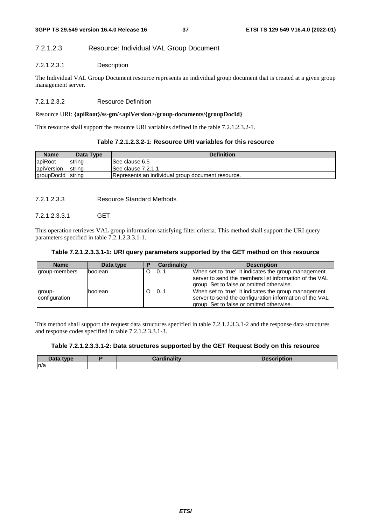## 7.2.1.2.3 Resource: Individual VAL Group Document

## 7.2.1.2.3.1 Description

The Individual VAL Group Document resource represents an individual group document that is created at a given group management server.

## 7.2.1.2.3.2 Resource Definition

## Resource URI: **{apiRoot}/ss-gm/<apiVersion>/group-documents/{groupDocId}**

This resource shall support the resource URI variables defined in the table 7.2.1.2.3.2-1.

## **Table 7.2.1.2.3.2-1: Resource URI variables for this resource**

| <b>Name</b>       | Data Type      | <b>Definition</b>                                 |  |  |  |
|-------------------|----------------|---------------------------------------------------|--|--|--|
| apiRoot           | string         | ISee clause 6.5                                   |  |  |  |
| apiVersion        | <b>Istring</b> | ISee clause 7.2.1.1                               |  |  |  |
| groupDocld string |                | Represents an individual group document resource. |  |  |  |

7.2.1.2.3.3 Resource Standard Methods

## 7.2.1.2.3.3.1 GET

This operation retrieves VAL group information satisfying filter criteria. This method shall support the URI query parameters specified in table 7.2.1.2.3.3.1-1.

#### **Table 7.2.1.2.3.3.1-1: URI query parameters supported by the GET method on this resource**

| <b>Name</b>             | Data type |   | <b>Cardinality</b> | <b>Description</b>                                                                                                                                            |
|-------------------------|-----------|---|--------------------|---------------------------------------------------------------------------------------------------------------------------------------------------------------|
| group-members           | boolean   | O | 101                | When set to 'true', it indicates the group management<br>Iserver to send the members list information of the VAL                                              |
|                         |           |   |                    | group. Set to false or omitted otherwise.                                                                                                                     |
| group-<br>configuration | Iboolean  | O | 0.1                | When set to 'true', it indicates the group management<br>server to send the configuration information of the VAL<br>group. Set to false or omitted otherwise. |

This method shall support the request data structures specified in table 7.2.1.2.3.3.1-2 and the response data structures and response codes specified in table 7.2.1.2.3.3.1-3.

#### **Table 7.2.1.2.3.3.1-2: Data structures supported by the GET Request Body on this resource**

| $\boldsymbol{\mathsf{Data}}$ type | <b>Cardinality</b> | <b>Description</b> |
|-----------------------------------|--------------------|--------------------|
| n/a                               |                    |                    |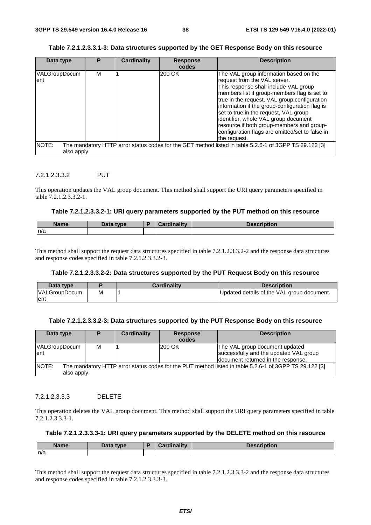## **Table 7.2.1.2.3.3.1-3: Data structures supported by the GET Response Body on this resource**

| Data type            | Р | <b>Cardinality</b> | <b>Response</b><br>codes | <b>Description</b>                                                                                                                                                                                                                                                                                                                                                                                                                                                 |
|----------------------|---|--------------------|--------------------------|--------------------------------------------------------------------------------------------------------------------------------------------------------------------------------------------------------------------------------------------------------------------------------------------------------------------------------------------------------------------------------------------------------------------------------------------------------------------|
| VALGroupDocum<br>ent | м |                    | 200 OK                   | The VAL group information based on the<br>request from the VAL server.<br>This response shall include VAL group<br>members list if group-members flag is set to<br>true in the request, VAL group configuration<br>information if the group-configuration flag is<br>set to true in the request, VAL group<br>identifier, whole VAL group document<br>resource if both group-members and group-<br>configuration flags are omitted/set to false in<br>the request. |
| NOTE:<br>also apply. |   |                    |                          | The mandatory HTTP error status codes for the GET method listed in table 5.2.6-1 of 3GPP TS 29.122 [3]                                                                                                                                                                                                                                                                                                                                                             |

## 7.2.1.2.3.3.2 PUT

This operation updates the VAL group document. This method shall support the URI query parameters specified in table 7.2.1.2.3.3.2-1.

#### **Table 7.2.1.2.3.3.2-1: URI query parameters supported by the PUT method on this resource**

| <b>Name</b> | Data type | <b>Cardinality</b> | <b>Description</b> |
|-------------|-----------|--------------------|--------------------|
| n/a         |           |                    |                    |

This method shall support the request data structures specified in table 7.2.1.2.3.3.2-2 and the response data structures and response codes specified in table 7.2.1.2.3.3.2-3.

#### **Table 7.2.1.2.3.3.2-2: Data structures supported by the PUT Request Body on this resource**

| Data type            |   | <b>Cardinality</b> | <b>Description</b>                         |
|----------------------|---|--------------------|--------------------------------------------|
| <b>VALGroupDocum</b> | М |                    | Updated details of the VAL group document. |
| lent                 |   |                    |                                            |

## **Table 7.2.1.2.3.3.2-3: Data structures supported by the PUT Response Body on this resource**

| Data type                                                                                                                      | D | <b>Cardinality</b> | <b>Response</b> | <b>Description</b>                                                                                             |  |
|--------------------------------------------------------------------------------------------------------------------------------|---|--------------------|-----------------|----------------------------------------------------------------------------------------------------------------|--|
|                                                                                                                                |   |                    | codes           |                                                                                                                |  |
| <b>VALGroupDocum</b><br>lent                                                                                                   | м |                    | 200 OK          | The VAL group document updated<br>successfully and the updated VAL group<br>document returned in the response. |  |
| NOTE:<br>The mandatory HTTP error status codes for the PUT method listed in table 5.2.6-1 of 3GPP TS 29.122 [3]<br>also apply. |   |                    |                 |                                                                                                                |  |

## 7.2.1.2.3.3.3 DELETE

This operation deletes the VAL group document. This method shall support the URI query parameters specified in table 7.2.1.2.3.3.3-1.

## **Table 7.2.1.2.3.3.3-1: URI query parameters supported by the DELETE method on this resource**

| <b>Name</b> | Data type | <b>Cardinality</b> | Description |
|-------------|-----------|--------------------|-------------|
| n/a         |           |                    |             |

This method shall support the request data structures specified in table 7.2.1.2.3.3.3-2 and the response data structures and response codes specified in table 7.2.1.2.3.3.3-3.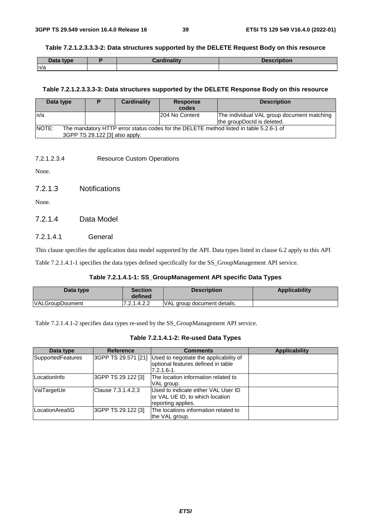#### **Table 7.2.1.2.3.3.3-2: Data structures supported by the DELETE Request Body on this resource**

| Data type | <b>Cardinality</b> | <b>Description</b> |
|-----------|--------------------|--------------------|
| n/a       |                    |                    |

#### **Table 7.2.1.2.3.3.3-3: Data structures supported by the DELETE Response Body on this resource**

| Data type    |                                | Cardinality | <b>Response</b> | <b>Description</b>                                                                     |
|--------------|--------------------------------|-------------|-----------------|----------------------------------------------------------------------------------------|
|              |                                |             | codes           |                                                                                        |
| ln/a         |                                |             | 204 No Content  | The individual VAL group document matching                                             |
|              |                                |             |                 | the groupDocld is deleted.                                                             |
| <b>NOTE:</b> |                                |             |                 | The mandatory HTTP error status codes for the DELETE method listed in table 5.2.6-1 of |
|              | 3GPP TS 29.122 [3] also apply. |             |                 |                                                                                        |

7.2.1.2.3.4 Resource Custom Operations

None.

7.2.1.3 Notifications

None.

## 7.2.1.4 Data Model

## 7.2.1.4.1 General

This clause specifies the application data model supported by the API. Data types listed in clause 6.2 apply to this API

Table 7.2.1.4.1-1 specifies the data types defined specifically for the SS\_GroupManagement API service.

## **Table 7.2.1.4.1-1: SS\_GroupManagement API specific Data Types**

| Data type              | <b>Section</b><br>defined | <b>Description</b>          | Applicability |
|------------------------|---------------------------|-----------------------------|---------------|
| <b>VALGroupDoument</b> | 7.2.1.4.2.2               | VAL group document details. |               |

Table 7.2.1.4.1-2 specifies data types re-used by the SS\_GroupManagement API service.

### **Table 7.2.1.4.1-2: Re-used Data Types**

| Data type         | <b>Reference</b>    | <b>Comments</b>                                                                                | <b>Applicability</b> |
|-------------------|---------------------|------------------------------------------------------------------------------------------------|----------------------|
| SupportedFeatures | 3GPP TS 29.571 [21] | Used to negotiate the applicability of<br>optional features defined in table<br>$7.2.1.6 - 1.$ |                      |
| LocationInfo      | 3GPP TS 29.122 [3]  | The location information related to<br>VAL group.                                              |                      |
| ValTargetUe       | Clause 7.3.1.4.2.3  | Used to indicate either VAL User ID<br>or VAL UE ID, to which location<br>reporting applies.   |                      |
| LocationArea5G    | 3GPP TS 29.122 [3]  | The locations information related to<br>the VAL group.                                         |                      |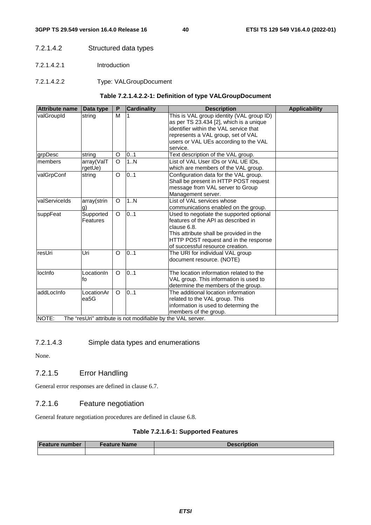- 7.2.1.4.2 Structured data types
- 7.2.1.4.2.1 Introduction
- 7.2.1.4.2.2 Type: VALGroupDocument

## **Table 7.2.1.4.2.2-1: Definition of type VALGroupDocument**

| <b>Attribute name</b> | Data type   | P       | <b>Cardinality</b>                                           | <b>Description</b>                                                                                                             | <b>Applicability</b> |
|-----------------------|-------------|---------|--------------------------------------------------------------|--------------------------------------------------------------------------------------------------------------------------------|----------------------|
| valGroupId            | string      | M       |                                                              | This is VAL group identity (VAL group ID)<br>as per TS 23.434 [2], which is a unique<br>identifier within the VAL service that |                      |
|                       |             |         |                                                              | represents a VAL group, set of VAL                                                                                             |                      |
|                       |             |         |                                                              | users or VAL UEs according to the VAL                                                                                          |                      |
|                       |             |         |                                                              | service.                                                                                                                       |                      |
| grpDesc               | string      | O       | 0.1                                                          | Text description of the VAL group.                                                                                             |                      |
| Imembers              | array(ValT  | $\circ$ | 1N                                                           | List of VAL User IDs or VAL UE IDs,                                                                                            |                      |
|                       | rgetUe)     |         |                                                              | which are members of the VAL group.                                                                                            |                      |
| valGrpConf            | string      | O       | 0.1                                                          | Configuration data for the VAL group.                                                                                          |                      |
|                       |             |         |                                                              | Shall be present in HTTP POST request                                                                                          |                      |
|                       |             |         |                                                              | message from VAL server to Group                                                                                               |                      |
|                       |             |         |                                                              | Management server.                                                                                                             |                      |
| valServiceIds         | array(strin | O       | 1N                                                           | List of VAL services whose                                                                                                     |                      |
|                       | <u>g)</u>   |         |                                                              | communications enabled on the group.                                                                                           |                      |
| suppFeat              | Supported   | O       | 0.1                                                          | Used to negotiate the supported optional                                                                                       |                      |
|                       | Features    |         |                                                              | features of the API as described in                                                                                            |                      |
|                       |             |         |                                                              | clause 6.8.                                                                                                                    |                      |
|                       |             |         |                                                              | This attribute shall be provided in the                                                                                        |                      |
|                       |             |         |                                                              | HTTP POST request and in the response                                                                                          |                      |
|                       |             |         |                                                              | of successful resource creation.                                                                                               |                      |
| resUri                | Uri         | O       | 0.1                                                          | The URI for individual VAL group                                                                                               |                      |
|                       |             |         |                                                              | document resource. (NOTE)                                                                                                      |                      |
| locinfo               | LocationIn  | O       | 0.1                                                          | The location information related to the                                                                                        |                      |
|                       | fo          |         |                                                              | VAL group. This information is used to                                                                                         |                      |
|                       |             |         |                                                              | determine the members of the group.                                                                                            |                      |
| addLocInfo            | LocationAr  | $\circ$ | 0.1                                                          | The additional location information                                                                                            |                      |
|                       | ea5G        |         |                                                              | related to the VAL group. This                                                                                                 |                      |
|                       |             |         |                                                              | information is used to determing the                                                                                           |                      |
|                       |             |         |                                                              | members of the group.                                                                                                          |                      |
| NIOTE-                |             |         | The "real lri" attribute is not modifiable by the VAL server |                                                                                                                                |                      |

NOTE: The "resUri" attribute is not modifiable by the VAL server.

## 7.2.1.4.3 Simple data types and enumerations

None.

## 7.2.1.5 Error Handling

General error responses are defined in clause 6.7.

## 7.2.1.6 Feature negotiation

General feature negotiation procedures are defined in clause 6.8.

## **Table 7.2.1.6-1: Supported Features**

| <b>Feature number</b> | <b>Feature Name</b> | <b>Description</b> |  |
|-----------------------|---------------------|--------------------|--|
|                       |                     |                    |  |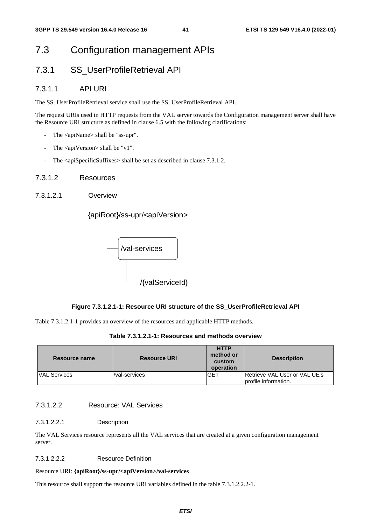## 7.3 Configuration management APIs

## 7.3.1 SS\_UserProfileRetrieval API

## 7.3.1.1 API URI

The SS\_UserProfileRetrieval service shall use the SS\_UserProfileRetrieval API.

The request URIs used in HTTP requests from the VAL server towards the Configuration management server shall have the Resource URI structure as defined in clause 6.5 with the following clarifications:

- The <apiName> shall be "ss-upr".
- The  $\langle$ apiVersion $\rangle$  shall be "v1".
- The <apiSpecificSuffixes> shall be set as described in clause 7.3.1.2.

## 7.3.1.2 Resources

7.3.1.2.1 Overview

{apiRoot}/ss-upr/<apiVersion>



#### **Figure 7.3.1.2.1-1: Resource URI structure of the SS\_UserProfileRetrieval API**

Table 7.3.1.2.1-1 provides an overview of the resources and applicable HTTP methods.

#### **Table 7.3.1.2.1-1: Resources and methods overview**

| Resource name       | <b>Resource URI</b> | <b>HTTP</b><br>method or<br>custom<br>operation | <b>Description</b>                                    |
|---------------------|---------------------|-------------------------------------------------|-------------------------------------------------------|
| <b>VAL Services</b> | /val-services       | <b>IGET</b>                                     | Retrieve VAL User or VAL UE's<br>profile information. |

## 7.3.1.2.2 Resource: VAL Services

#### 7.3.1.2.2.1 Description

The VAL Services resource represents all the VAL services that are created at a given configuration management server.

#### 7.3.1.2.2.2 Resource Definition

#### Resource URI: **{apiRoot}/ss-upr/<apiVersion>/val-services**

This resource shall support the resource URI variables defined in the table 7.3.1.2.2.2-1.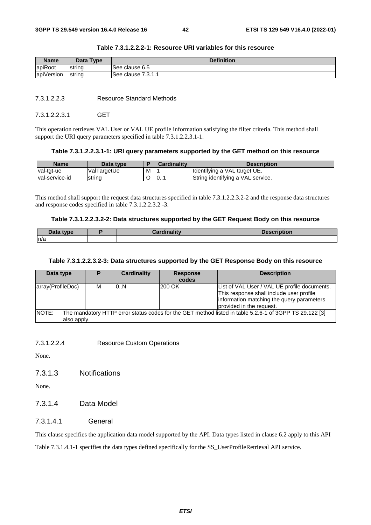| <b>Name</b>            | <b>Type</b><br>Data ' | <b>Definition</b>              |
|------------------------|-----------------------|--------------------------------|
| apiRoot                | Istrina               | ISee clause 6.5                |
| $\cdots$<br>apiVersion | string                | 7947<br><b>See clause</b><br>. |

## **Table 7.3.1.2.2.2-1: Resource URI variables for this resource**

7.3.1.2.2.3 Resource Standard Methods

7.3.1.2.2.3.1 GET

This operation retrieves VAL User or VAL UE profile information satisfying the filter criteria. This method shall support the URI query parameters specified in table 7.3.1.2.2.3.1-1.

## **Table 7.3.1.2.2.3.1-1: URI query parameters supported by the GET method on this resource**

| <b>Name</b>     | Data type   |   | Cardinality | <b>Description</b>                |
|-----------------|-------------|---|-------------|-----------------------------------|
| Ival-tat-ue     | ValTargetUe | м |             | Ildentifying a VAL target UE.     |
| Ival-service-id | string      | ີ | 0           | String identifying a VAL service. |

This method shall support the request data structures specified in table 7.3.1.2.2.3.2-2 and the response data structures and response codes specified in table 7.3.1.2.2.3.2 -3.

#### **Table 7.3.1.2.2.3.2-2: Data structures supported by the GET Request Body on this resource**

| $\Delta$ ata type | Cardinalitv | <b>Description</b> |
|-------------------|-------------|--------------------|
| ln/a              |             |                    |

### **Table 7.3.1.2.2.3.2-3: Data structures supported by the GET Response Body on this resource**

| Data type                                                                                                              | D. | <b>Cardinality</b> | <b>Response</b> | <b>Description</b>                           |  |  |  |
|------------------------------------------------------------------------------------------------------------------------|----|--------------------|-----------------|----------------------------------------------|--|--|--|
|                                                                                                                        |    |                    | codes           |                                              |  |  |  |
| array(ProfileDoc)                                                                                                      | м  | 0.N                | 200 OK          | List of VAL User / VAL UE profile documents. |  |  |  |
|                                                                                                                        |    |                    |                 | This response shall include user profile     |  |  |  |
|                                                                                                                        |    |                    |                 | information matching the query parameters    |  |  |  |
|                                                                                                                        |    |                    |                 | provided in the request.                     |  |  |  |
| <b>NOTE:</b><br>The mandatory HTTP error status codes for the GET method listed in table 5.2.6-1 of 3GPP TS 29.122 [3] |    |                    |                 |                                              |  |  |  |
| also apply.                                                                                                            |    |                    |                 |                                              |  |  |  |

7.3.1.2.2.4 Resource Custom Operations

None.

7.3.1.3 Notifications

None.

## 7.3.1.4 Data Model

## 7.3.1.4.1 General

This clause specifies the application data model supported by the API. Data types listed in clause 6.2 apply to this API Table 7.3.1.4.1-1 specifies the data types defined specifically for the SS\_UserProfileRetrieval API service.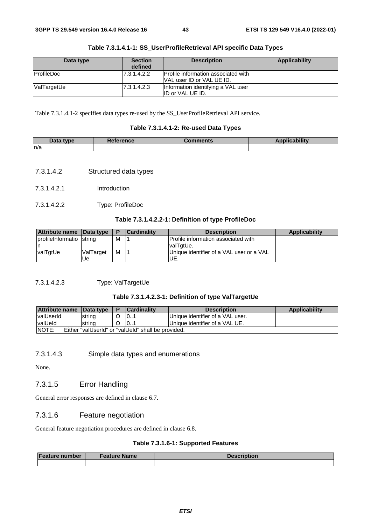| Data type         | <b>Section</b><br>defined | <b>Description</b>                                                      | Applicability |
|-------------------|---------------------------|-------------------------------------------------------------------------|---------------|
| <b>ProfileDoc</b> | 7.3.1.4.2.2               | Profile information associated with<br><b>VAL user ID or VAL UE ID.</b> |               |
| ValTargetUe       | 7.3.1.4.2.3               | Information identifying a VAL user<br>ID or VAL UE ID.                  |               |

|  |  | Table 7.3.1.4.1-1: SS_UserProfileRetrieval API specific Data Types |
|--|--|--------------------------------------------------------------------|
|--|--|--------------------------------------------------------------------|

Table 7.3.1.4.1-2 specifies data types re-used by the SS\_UserProfileRetrieval API service.

## **Table 7.3.1.4.1-2: Re-used Data Types**

| <b>Data</b><br>tvne | erence | วmments | . an hilitar control<br><b>STATISTICS</b><br>1 n.n |
|---------------------|--------|---------|----------------------------------------------------|
| n/a                 |        |         |                                                    |

- 7.3.1.4.2 Structured data types
- 7.3.1.4.2.1 Introduction
- 7.3.1.4.2.2 Type: ProfileDoc

## **Table 7.3.1.4.2.2-1: Definition of type ProfileDoc**

| Attribute name Data type  |                  | Р | <b>Cardinality</b> | <b>Description</b>                         | <b>Applicability</b> |
|---------------------------|------------------|---|--------------------|--------------------------------------------|----------------------|
| profile Informatio string |                  | M |                    | <b>Profile information associated with</b> |                      |
| ın                        |                  |   |                    | IvalTɑtUe.                                 |                      |
| valTgtUe                  | <b>ValTarget</b> | M |                    | Unique identifier of a VAL user or a VAL   |                      |
|                           | Ue.              |   |                    | UE.                                        |                      |

7.3.1.4.2.3 Type: ValTargetUe

## **Table 7.3.1.4.2.3-1: Definition of type ValTargetUe**

| <b>Attribute name</b>                                              | <b>I</b> Data type |  | lCardinalitv | <b>Description</b>               | <b>Applicability</b> |
|--------------------------------------------------------------------|--------------------|--|--------------|----------------------------------|----------------------|
| <b>valUserId</b>                                                   | Istrina            |  | 10           | Unique identifier of a VAL user. |                      |
| valUeld                                                            | strino             |  | 0            | Unique identifier of a VAL UE.   |                      |
| <b>NOTE:</b><br>Either "valUserId" or "valUeId" shall be provided. |                    |  |              |                                  |                      |

## 7.3.1.4.3 Simple data types and enumerations

None.

## 7.3.1.5 Error Handling

General error responses are defined in clause 6.7.

## 7.3.1.6 Feature negotiation

General feature negotiation procedures are defined in clause 6.8.

## **Table 7.3.1.6-1: Supported Features**

| <b>Feature number</b> | Feature Name | <b>Description</b> |  |  |
|-----------------------|--------------|--------------------|--|--|
|                       |              |                    |  |  |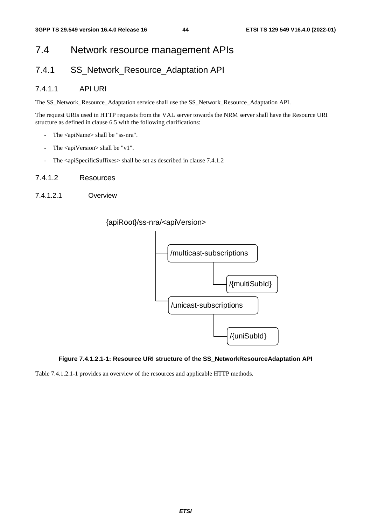## 7.4 Network resource management APIs

## 7.4.1 SS Network Resource Adaptation API

## 7.4.1.1 API URI

The SS\_Network\_Resource\_Adaptation service shall use the SS\_Network\_Resource\_Adaptation API.

The request URIs used in HTTP requests from the VAL server towards the NRM server shall have the Resource URI structure as defined in clause 6.5 with the following clarifications:

- The <apiName> shall be "ss-nra".
- The <apiVersion> shall be "v1".
- The <apiSpecificSuffixes> shall be set as described in clause 7.4.1.2
- 7.4.1.2 Resources
- 7.4.1.2.1 Overview





## **Figure 7.4.1.2.1-1: Resource URI structure of the SS\_NetworkResourceAdaptation API**

Table 7.4.1.2.1-1 provides an overview of the resources and applicable HTTP methods.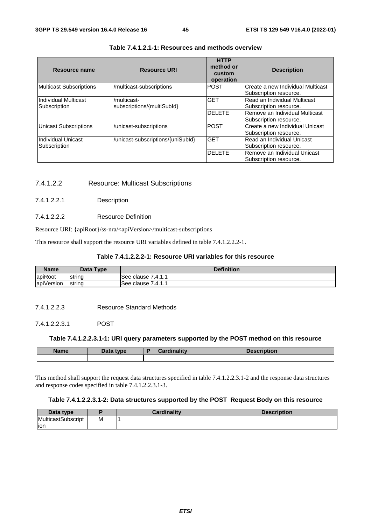| Resource name                        | <b>Resource URI</b>                       | <b>HTTP</b><br>method or<br>custom<br>operation | <b>Description</b>                                          |
|--------------------------------------|-------------------------------------------|-------------------------------------------------|-------------------------------------------------------------|
| <b>Multicast Subscriptions</b>       | /multicast-subscriptions                  | <b>POST</b>                                     | Create a new Individual Multicast<br>Subscription resource. |
| Individual Multicast<br>Subscription | /multicast-<br>subscriptions/{multiSubId} | <b>GET</b>                                      | Read an Individual Multicast<br>Subscription resource.      |
|                                      |                                           | <b>DELETE</b>                                   | Remove an Individual Multicast<br>Subscription resource.    |
| <b>Unicast Subscriptions</b>         | /unicast-subscriptions                    | <b>POST</b>                                     | Create a new Individual Unicast<br>Subscription resource.   |
| Individual Unicast<br>Subscription   | /unicast-subscriptions/{uniSubId}         | <b>GET</b>                                      | Read an Individual Unicast<br>Subscription resource.        |
|                                      |                                           | <b>DELETE</b>                                   | Remove an Individual Unicast<br>Subscription resource.      |

## **Table 7.4.1.2.1-1: Resources and methods overview**

## 7.4.1.2.2 Resource: Multicast Subscriptions

## 7.4.1.2.2.1 Description

## 7.4.1.2.2.2 Resource Definition

Resource URI: {apiRoot}/ss-nra/<apiVersion>/multicast-subscriptions

This resource shall support the resource URI variables defined in table 7.4.1.2.2.2-1.

## **Table 7.4.1.2.2.2-1: Resource URI variables for this resource**

| <b>Name</b> | Data Type | <b>Definition</b>   |
|-------------|-----------|---------------------|
| apiRoot     | string    | ISee clause 7.4.1.1 |
| apiVersion  | string    | See clause 7.4.1.1  |

#### 7.4.1.2.2.3 Resource Standard Methods

### 7.4.1.2.2.3.1 POST

## **Table 7.4.1.2.2.3.1-1: URI query parameters supported by the POST method on this resource**

| <b>Name</b> | <b>Data type</b><br><b>Data</b> | <b>Himmelittic</b> | $\sim$<br>40H |
|-------------|---------------------------------|--------------------|---------------|
|             |                                 |                    |               |

This method shall support the request data structures specified in table 7.4.1.2.2.3.1-2 and the response data structures and response codes specified in table 7.4.1.2.2.3.1-3.

## **Table 7.4.1.2.2.3.1-2: Data structures supported by the POST Request Body on this resource**

| Data type          |   | <b>Cardinality</b> | <b>Description</b> |
|--------------------|---|--------------------|--------------------|
| MulticastSubscript | М |                    |                    |
| lion               |   |                    |                    |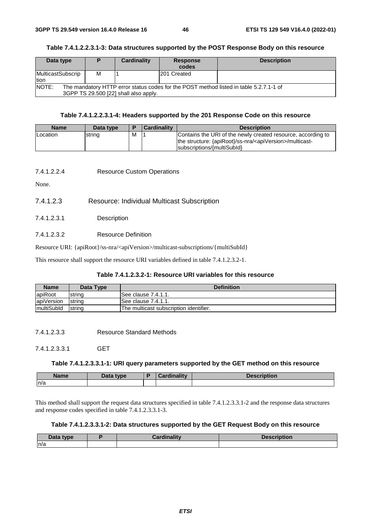## **Table 7.4.1.2.2.3.1-3: Data structures supported by the POST Response Body on this resource**

| Data type                                                                                                                                       | Ð | Cardinality | <b>Response</b><br>codes | <b>Description</b> |  |  |
|-------------------------------------------------------------------------------------------------------------------------------------------------|---|-------------|--------------------------|--------------------|--|--|
| MulticastSubscrip<br>tion                                                                                                                       | М |             | 201 Created              |                    |  |  |
| <b>NOTE:</b><br>The mandatory HTTP error status codes for the POST method listed in table 5.2.7.1-1 of<br>3GPP TS 29.500 [22] shall also apply. |   |             |                          |                    |  |  |

## **Table 7.4.1.2.2.3.1-4: Headers supported by the 201 Response Code on this resource**

| <b>Name</b> | Data type |   | <b>Cardinality</b> | <b>Description</b>                                                                                                                                                   |
|-------------|-----------|---|--------------------|----------------------------------------------------------------------------------------------------------------------------------------------------------------------|
| Location    | string    | M |                    | Contains the URI of the newly created resource, according to<br>the structure: {apiRoot}/ss-nra/ <apiversion>/multicast-<br/>subscriptions/{multiSubld}</apiversion> |

## 7.4.1.2.2.4 Resource Custom Operations

None.

- 7.4.1.2.3 Resource: Individual Multicast Subscription
- 7.4.1.2.3.1 Description
- 7.4.1.2.3.2 Resource Definition

Resource URI: {apiRoot}/ss-nra/<apiVersion>/multicast-subscriptions/{multiSubId}

This resource shall support the resource URI variables defined in table 7.4.1.2.3.2-1.

### **Table 7.4.1.2.3.2-1: Resource URI variables for this resource**

| <b>Name</b>        | Data Type | <b>Definition</b>                      |
|--------------------|-----------|----------------------------------------|
| apiRoot            | string    | See clause 7.4.1.1.                    |
| apiVersion         | string    | ISee clause 7.4.1.1.                   |
| <i>ImultiSubld</i> | string    | The multicast subscription identifier. |

7.4.1.2.3.3 Resource Standard Methods

7.4.1.2.3.3.1 GET

#### **Table 7.4.1.2.3.3.1-1: URI query parameters supported by the GET method on this resource**

| <b>Name</b> | <b>Pata type</b> | <b>Pordinolity</b><br>anidiliv —<br><i>. .</i> | <b>Description</b> |
|-------------|------------------|------------------------------------------------|--------------------|
| n/a         |                  |                                                |                    |

This method shall support the request data structures specified in table 7.4.1.2.3.3.1-2 and the response data structures and response codes specified in table 7.4.1.2.3.3.1-3.

### **Table 7.4.1.2.3.3.1-2: Data structures supported by the GET Request Body on this resource**

| Data tvne<br>лаг<br>Putu | .<br>.<br>`ordinolity | <b><i>Pacerintian</i></b><br>ADUOL. |
|--------------------------|-----------------------|-------------------------------------|
| n/a                      |                       |                                     |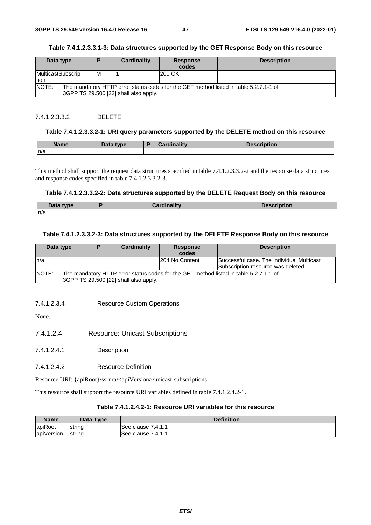## **Table 7.4.1.2.3.3.1-3: Data structures supported by the GET Response Body on this resource**

| Data type                                                                                                                      |   | Cardinality | <b>Response</b> | <b>Description</b> |  |  |
|--------------------------------------------------------------------------------------------------------------------------------|---|-------------|-----------------|--------------------|--|--|
|                                                                                                                                |   |             | codes           |                    |  |  |
| MulticastSubscrip<br>Ition                                                                                                     | м |             | <b>200 OK</b>   |                    |  |  |
| NOTE:                                                                                                                          |   |             |                 |                    |  |  |
| The mandatory HTTP error status codes for the GET method listed in table 5.2.7.1-1 of<br>3GPP TS 29.500 [22] shall also apply. |   |             |                 |                    |  |  |

## 7.4.1.2.3.3.2 DELETE

#### **Table 7.4.1.2.3.3.2-1: URI query parameters supported by the DELETE method on this resource**

| <b>Name</b> | <b>Dota</b><br>tvne<br>Data | <b>Time Hisse</b><br>…anv— | tion |
|-------------|-----------------------------|----------------------------|------|
| n/a         |                             |                            |      |

This method shall support the request data structures specified in table 7.4.1.2.3.3.2-2 and the response data structures and response codes specified in table 7.4.1.2.3.3.2-3.

#### **Table 7.4.1.2.3.3.2-2: Data structures supported by the DELETE Request Body on this resource**

| <b>Data type</b><br>Data | <b>The Committee</b> | <b>MARAGEMENT</b><br>'OUOL |
|--------------------------|----------------------|----------------------------|
| n/a                      |                      |                            |

#### **Table 7.4.1.2.3.3.2-3: Data structures supported by the DELETE Response Body on this resource**

| Data type | D | Cardinality                           | <b>Response</b> | <b>Description</b>                                                                    |
|-----------|---|---------------------------------------|-----------------|---------------------------------------------------------------------------------------|
|           |   |                                       | codes           |                                                                                       |
| ln/a      |   |                                       | 204 No Content  | Successful case. The Individual Multicast                                             |
|           |   |                                       |                 | Subscription resource was deleted.                                                    |
| NOTE:     |   |                                       |                 | The mandatory HTTP error status codes for the GET method listed in table 5.2.7.1-1 of |
|           |   | 3GPP TS 29.500 [22] shall also apply. |                 |                                                                                       |

#### 7.4.1.2.3.4 Resource Custom Operations

None.

- 7.4.1.2.4 Resource: Unicast Subscriptions
- 7.4.1.2.4.1 Description
- 7.4.1.2.4.2 Resource Definition

Resource URI: {apiRoot}/ss-nra/<apiVersion>/unicast-subscriptions

This resource shall support the resource URI variables defined in table 7.4.1.2.4.2-1.

## **Table 7.4.1.2.4.2-1: Resource URI variables for this resource**

| <b>Name</b>            | Data Type | <b>Definition</b>        |
|------------------------|-----------|--------------------------|
| apiRoot                | Istrina   | 7.4.1.1<br>clause<br>See |
| $\cdots$<br>apiVersion | string    | 7.4.1.1<br>See<br>clause |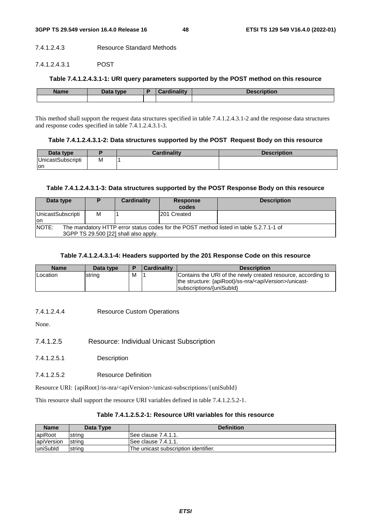#### 7.4.1.2.4.3 Resource Standard Methods

## 7.4.1.2.4.3.1 POST

## **Table 7.4.1.2.4.3.1-1: URI query parameters supported by the POST method on this resource**

| <b>Name</b> | Data type | <b>Cardinality</b> | Description |
|-------------|-----------|--------------------|-------------|
|             |           |                    |             |

This method shall support the request data structures specified in table 7.4.1.2.4.3.1-2 and the response data structures and response codes specified in table 7.4.1.2.4.3.1-3.

### **Table 7.4.1.2.4.3.1-2: Data structures supported by the POST Request Body on this resource**

| Data type                 |   | Cardinalitv | <b>Description</b> |
|---------------------------|---|-------------|--------------------|
| <b>IUnicastSubscripti</b> | М |             |                    |
| on                        |   |             |                    |

### **Table 7.4.1.2.4.3.1-3: Data structures supported by the POST Response Body on this resource**

| Data type                                                                                                                                       | Ð | Cardinality | <b>Response</b><br>codes | <b>Description</b> |  |
|-------------------------------------------------------------------------------------------------------------------------------------------------|---|-------------|--------------------------|--------------------|--|
| UnicastSubscripti<br>Ion                                                                                                                        | м |             | <b>201 Created</b>       |                    |  |
| <b>NOTE:</b><br>The mandatory HTTP error status codes for the POST method listed in table 5.2.7.1-1 of<br>3GPP TS 29.500 [22] shall also apply. |   |             |                          |                    |  |

## **Table 7.4.1.2.4.3.1-4: Headers supported by the 201 Response Code on this resource**

| <b>Name</b> | Data type |   | <b>Cardinality</b> | <b>Description</b>                                                                                                                                               |
|-------------|-----------|---|--------------------|------------------------------------------------------------------------------------------------------------------------------------------------------------------|
| Location    | string    | м |                    | Contains the URI of the newly created resource, according to<br>the structure: {apiRoot}/ss-nra/ <apiversion>/unicast-<br/>subscriptions/{uniSubId}</apiversion> |

7.4.1.2.4.4 Resource Custom Operations

None.

- 7.4.1.2.5 Resource: Individual Unicast Subscription
- 7.4.1.2.5.1 Description
- 7.4.1.2.5.2 Resource Definition

Resource URI: {apiRoot}/ss-nra/<apiVersion>/unicast-subscriptions/{uniSubId}

This resource shall support the resource URI variables defined in table 7.4.1.2.5.2-1.

## **Table 7.4.1.2.5.2-1: Resource URI variables for this resource**

| <b>Name</b>      | Data Type      | <b>Definition</b>                    |
|------------------|----------------|--------------------------------------|
| apiRoot          | <b>Istring</b> | ISee clause 7.4.1.1.                 |
| apiVersion       | <b>Istring</b> | ISee clause 7.4.1.1.                 |
| <b>luniSubld</b> | string         | The unicast subscription identifier. |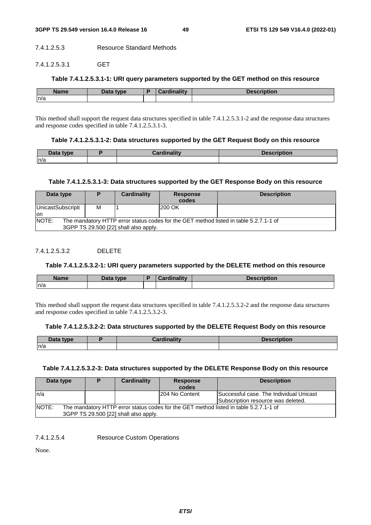#### 7.4.1.2.5.3 Resource Standard Methods

#### 7.4.1.2.5.3.1 GET

## **Table 7.4.1.2.5.3.1-1: URI query parameters supported by the GET method on this resource**

| <b>Name</b> | <b>Data type</b><br>Dala | <b>Cardinality</b> | <b>Description</b> |
|-------------|--------------------------|--------------------|--------------------|
| n/a         |                          |                    |                    |

This method shall support the request data structures specified in table 7.4.1.2.5.3.1-2 and the response data structures and response codes specified in table 7.4.1.2.5.3.1-3.

#### **Table 7.4.1.2.5.3.1-2: Data structures supported by the GET Request Body on this resource**

| ata type<br>Dala . | .<br><b>CONTRACTOR</b> | <b>DESCRIPTION</b> |
|--------------------|------------------------|--------------------|
| ln/a               |                        |                    |

### **Table 7.4.1.2.5.3.1-3: Data structures supported by the GET Response Body on this resource**

| Data type                |                                                                                                                                | Cardinality | <b>Response</b><br>codes | <b>Description</b> |  |  |  |
|--------------------------|--------------------------------------------------------------------------------------------------------------------------------|-------------|--------------------------|--------------------|--|--|--|
| UnicastSubscripti<br>lon | м                                                                                                                              |             | 200 OK                   |                    |  |  |  |
| NOTE:                    | The mandatory HTTP error status codes for the GET method listed in table 5.2.7.1-1 of<br>3GPP TS 29.500 [22] shall also apply. |             |                          |                    |  |  |  |

## 7412532 DELETE

## **Table 7.4.1.2.5.3.2-1: URI query parameters supported by the DELETE method on this resource**

| <b>Name</b> | Data type<br>Data | $-150$ $-150$<br><b>Contract Contract Contract</b> | ntion |
|-------------|-------------------|----------------------------------------------------|-------|
| n/a         |                   |                                                    |       |

This method shall support the request data structures specified in table 7.4.1.2.5.3.2-2 and the response data structures and response codes specified in table 7.4.1.2.5.3.2-3.

## **Table 7.4.1.2.5.3.2-2: Data structures supported by the DELETE Request Body on this resource**

| Data type | --<br>Pardinality | <b>Description</b> |
|-----------|-------------------|--------------------|
| n/a       |                   |                    |

#### **Table 7.4.1.2.5.3.2-3: Data structures supported by the DELETE Response Body on this resource**

| Data type | D                                                                                                                              | Cardinality | <b>Response</b><br>codes | <b>Description</b>                                                            |  |  |
|-----------|--------------------------------------------------------------------------------------------------------------------------------|-------------|--------------------------|-------------------------------------------------------------------------------|--|--|
| ln/a      |                                                                                                                                |             | 204 No Content           | Successful case. The Individual Unicast<br>Subscription resource was deleted. |  |  |
| NOTE:     | The mandatory HTTP error status codes for the GET method listed in table 5.2.7.1-1 of<br>3GPP TS 29.500 [22] shall also apply. |             |                          |                                                                               |  |  |

7.4.1.2.5.4 Resource Custom Operations

None.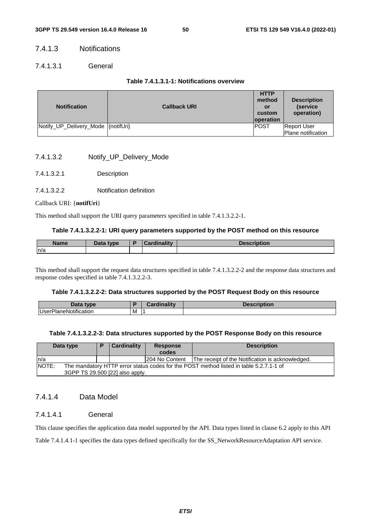## 7.4.1.3 Notifications

## 7.4.1.3.1 General

## **Table 7.4.1.3.1-1: Notifications overview**

| <b>Notification</b>                | <b>Callback URI</b> | <b>HTTP</b><br>method<br>or<br>custom<br><b>loperation</b> | <b>Description</b><br>(service)<br>operation) |
|------------------------------------|---------------------|------------------------------------------------------------|-----------------------------------------------|
| Notify_UP_Delivery_Mode {notifUri} |                     | <b>IPOST</b>                                               | <b>Report User</b><br>Plane notification      |

- 7.4.1.3.2 Notify\_UP\_Delivery\_Mode
- 7.4.1.3.2.1 Description
- 7.4.1.3.2.2 Notification definition

### Callback URI: {**notifUri**}

This method shall support the URI query parameters specified in table 7.4.1.3.2.2-1.

## **Table 7.4.1.3.2.2-1: URI query parameters supported by the POST method on this resource**

| Name | <b>Pata type</b><br>Putu | $1 - 11$<br>ланг | $\blacksquare$<br>Description |
|------|--------------------------|------------------|-------------------------------|
| n/a  |                          |                  |                               |

This method shall support the request data structures specified in table 7.4.1.3.2.2-2 and the response data structures and response codes specified in table 7.4.1.3.2.2-3.

## **Table 7.4.1.3.2.2-2: Data structures supported by the POST Request Body on this resource**

| Data type                                     |   | $1 - 111$<br>rainality<br><b>272 L</b> | <b>Description</b> |
|-----------------------------------------------|---|----------------------------------------|--------------------|
| $\cdots$<br><b>UserP</b><br>hanenic<br>cation | M | . .                                    |                    |

## **Table 7.4.1.3.2.2-3: Data structures supported by the POST Response Body on this resource**

| Data type |                                                                                                                           | Cardinality | <b>Response</b><br>codes | <b>Description</b>                               |  |
|-----------|---------------------------------------------------------------------------------------------------------------------------|-------------|--------------------------|--------------------------------------------------|--|
| In/a      |                                                                                                                           |             | 1204 No Content          | The receipt of the Notification is acknowledged. |  |
| NOTE:     | The mandatory HTTP error status codes for the POST method listed in table 5.2.7.1-1 of<br>3GPP TS 29.500 [22] also apply. |             |                          |                                                  |  |

## 7.4.1.4 Data Model

## 7.4.1.4.1 General

This clause specifies the application data model supported by the API. Data types listed in clause 6.2 apply to this API

Table 7.4.1.4.1-1 specifies the data types defined specifically for the SS\_NetworkResourceAdaptation API service.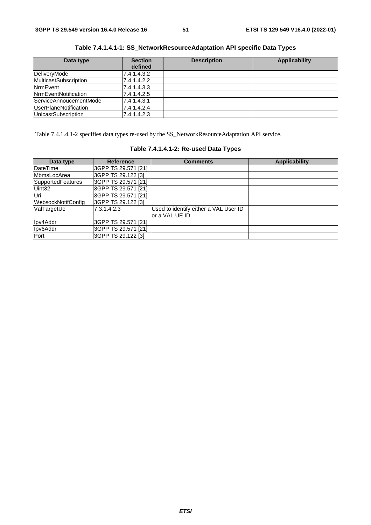| Data type                    | <b>Section</b> | <b>Description</b> | <b>Applicability</b> |
|------------------------------|----------------|--------------------|----------------------|
|                              | defined        |                    |                      |
| DeliveryMode                 | 7.4.1.4.3.2    |                    |                      |
| <b>MulticastSubscription</b> | 7.4.1.4.2.2    |                    |                      |
| <b>NrmEvent</b>              | 7.4.1.4.3.3    |                    |                      |
| <b>NrmEventNotification</b>  | 7.4.1.4.2.5    |                    |                      |
| ServiceAnnoucementMode       | 7.4.1.4.3.1    |                    |                      |
| UserPlaneNotification        | 7.4.1.4.2.4    |                    |                      |
| <b>UnicastSubscription</b>   | 7.4.1.4.2.3    |                    |                      |

**Table 7.4.1.4.1-1: SS\_NetworkResourceAdaptation API specific Data Types** 

Table 7.4.1.4.1-2 specifies data types re-used by the SS\_NetworkResourceAdaptation API service.

|  | Table 7.4.1.4.1-2: Re-used Data Types |  |  |  |
|--|---------------------------------------|--|--|--|
|--|---------------------------------------|--|--|--|

| Data type          | <b>Reference</b>    | <b>Comments</b>                       | <b>Applicability</b> |
|--------------------|---------------------|---------------------------------------|----------------------|
| DateTime           | 3GPP TS 29.571 [21] |                                       |                      |
| MbmsLocArea        | 3GPP TS 29.122 [3]  |                                       |                      |
| SupportedFeatures  | 3GPP TS 29.571 [21] |                                       |                      |
| Uint32             | 3GPP TS 29.571 [21] |                                       |                      |
| Uri                | 3GPP TS 29.571 [21] |                                       |                      |
| WebsockNotifConfig | 3GPP TS 29.122 [3]  |                                       |                      |
| ValTargetUe        | 7.3.1.4.2.3         | Used to identify either a VAL User ID |                      |
|                    |                     | or a VAL UE ID.                       |                      |
| Ipv4Addr           | 3GPP TS 29.571 [21] |                                       |                      |
| Ipv6Addr           | 3GPP TS 29.571 [21] |                                       |                      |
| Port               | 3GPP TS 29.122 [3]  |                                       |                      |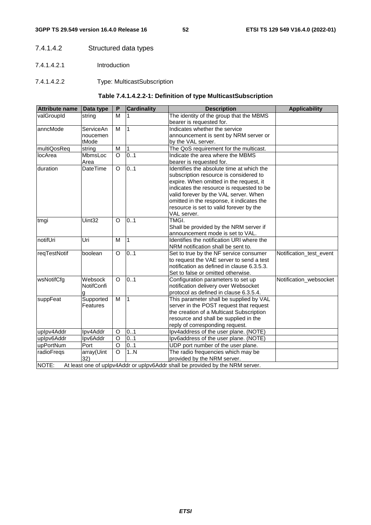## 7.4.1.4.2 Structured data types

- 7.4.1.4.2.1 Introduction
- 7.4.1.4.2.2 Type: MulticastSubscription

## **Table 7.4.1.4.2.2-1: Definition of type MulticastSubscription**

| <b>Attribute name</b> | Data type         | $\mathsf{P}$ | <b>Cardinality</b> | <b>Description</b>                                                            | <b>Applicability</b>    |
|-----------------------|-------------------|--------------|--------------------|-------------------------------------------------------------------------------|-------------------------|
| valGroupId            | string            | M            |                    | The identity of the group that the MBMS                                       |                         |
|                       |                   |              |                    | bearer is requested for.                                                      |                         |
| anncMode              | ServiceAn         | M            | $\overline{1}$     | Indicates whether the service                                                 |                         |
|                       | noucemen          |              |                    | announcement is sent by NRM server or                                         |                         |
|                       | tMode             |              |                    | by the VAL server.                                                            |                         |
| multiQosReq           | string            | M            | 1                  | The QoS requirement for the multicast.                                        |                         |
| locArea               | MbmsLoc           | $\Omega$     | 0.1                | Indicate the area where the MBMS                                              |                         |
|                       | Area              |              |                    | bearer is requested for.                                                      |                         |
| duration              | DateTime          | $\circ$      | 0.1                | Identifies the absolute time at which the                                     |                         |
|                       |                   |              |                    | subscription resource is considered to                                        |                         |
|                       |                   |              |                    | expire. When omitted in the request, it                                       |                         |
|                       |                   |              |                    | indicates the resource is requested to be                                     |                         |
|                       |                   |              |                    | valid forever by the VAL server. When                                         |                         |
|                       |                   |              |                    | omitted in the response, it indicates the                                     |                         |
|                       |                   |              |                    | resource is set to valid forever by the                                       |                         |
|                       |                   |              |                    | VAL server.                                                                   |                         |
| tmgi                  | Uint32            | $\Omega$     | 0.1                | TMGI.                                                                         |                         |
|                       |                   |              |                    | Shall be provided by the NRM server if                                        |                         |
|                       |                   |              |                    | announcement mode is set to VAL.                                              |                         |
| notifUri              | Uri               | M            | $\overline{1}$     | Identifies the notification URI where the                                     |                         |
|                       |                   |              |                    | NRM notification shall be sent to.                                            |                         |
| reqTestNotif          | boolean           | $\circ$      | 0.1                | Set to true by the NF service consumer                                        | Notification_test_event |
|                       |                   |              |                    | to request the VAE server to send a test                                      |                         |
|                       |                   |              |                    | notification as defined in clause 6.3.5.3.                                    |                         |
|                       |                   |              |                    | Set to false or omitted otherwise.                                            |                         |
| wsNotifCfg            | Websock           | O            | 0.1                | Configuration parameters to set up                                            | Notification_websocket  |
|                       | <b>NotifConfi</b> |              |                    | notification delivery over Websocket                                          |                         |
|                       | g                 |              |                    | protocol as defined in clause 6.3.5.4.                                        |                         |
| suppFeat              | Supported         | M            | $\overline{1}$     | This parameter shall be supplied by VAL                                       |                         |
|                       | Features          |              |                    | server in the POST request that request                                       |                         |
|                       |                   |              |                    | the creation of a Multicast Subscription                                      |                         |
|                       |                   |              |                    | resource and shall be supplied in the                                         |                         |
|                       |                   |              |                    | reply of corresponding request.                                               |                         |
| uplpv4Addr            | Ipv4Addr          | O            | 0.1                | Ipv4address of the user plane. (NOTE)                                         |                         |
| uplpv6Addr            | Ipv6Addr          | O            | 0.1                | Ipv6address of the user plane. (NOTE)                                         |                         |
| upPortNum             | Port              | O            | 0.1                | UDP port number of the user plane.                                            |                         |
| radioFregs            | array(Uint        | $\circ$      | 1N                 | The radio frequencies which may be                                            |                         |
|                       | 32)               |              |                    | provided by the NRM server.                                                   |                         |
| NOTE:                 |                   |              |                    | At least one of uplpv4Addr or uplpv6Addr shall be provided by the NRM server. |                         |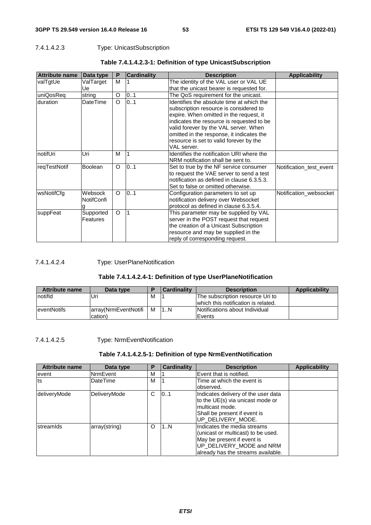## 7.4.1.4.2.3 Type: UnicastSubscription

| <b>Attribute name</b> | Data type         | P       | <b>Cardinality</b>      | <b>Description</b>                         | <b>Applicability</b>    |
|-----------------------|-------------------|---------|-------------------------|--------------------------------------------|-------------------------|
| valTgtUe              | ValTarget         | м       |                         | The identity of the VAL user or VAL UE     |                         |
|                       | Ue                |         |                         | that the unicast bearer is requested for.  |                         |
| uniQosReq             | string            | O       | 0.1                     | The QoS requirement for the unicast.       |                         |
| duration              | DateTime          | O       | 0.1                     | Identifies the absolute time at which the  |                         |
|                       |                   |         |                         | subscription resource is considered to     |                         |
|                       |                   |         |                         | expire. When omitted in the request, it    |                         |
|                       |                   |         |                         | indicates the resource is requested to be  |                         |
|                       |                   |         |                         | valid forever by the VAL server. When      |                         |
|                       |                   |         |                         | omitted in the response, it indicates the  |                         |
|                       |                   |         |                         | resource is set to valid forever by the    |                         |
|                       |                   |         |                         | VAL server.                                |                         |
| InotifUri             | Uri               | M       |                         | Identifies the notification URI where the  |                         |
|                       |                   |         |                         | NRM notification shall be sent to.         |                         |
| reqTestNotif          | <b>Boolean</b>    | $\circ$ | 0.1                     | Set to true by the NF service consumer     | Notification test event |
|                       |                   |         |                         | to request the VAE server to send a test   |                         |
|                       |                   |         |                         | notification as defined in clause 6.3.5.3. |                         |
|                       |                   |         |                         | Set to false or omitted otherwise.         |                         |
| wsNotifCfg            | Websock           | $\circ$ | 0.1                     | Configuration parameters to set up         | Notification websocket  |
|                       | <b>NotifConfi</b> |         |                         | notification delivery over Websocket       |                         |
|                       |                   |         |                         | protocol as defined in clause 6.3.5.4.     |                         |
| suppFeat              | Supported         | $\circ$ | $\overline{\mathbf{1}}$ | This parameter may be supplied by VAL      |                         |
|                       | <b>Features</b>   |         |                         | server in the POST request that request    |                         |
|                       |                   |         |                         | the creation of a Unicast Subscription     |                         |
|                       |                   |         |                         | resource and may be supplied in the        |                         |
|                       |                   |         |                         | reply of corresponding request.            |                         |

## **Table 7.4.1.4.2.3-1: Definition of type UnicastSubscription**

## 7.4.1.4.2.4 Type: UserPlaneNotification

## **Table 7.4.1.4.2.4-1: Definition of type UserPlaneNotification**

| <b>Attribute name</b> | Data type            |   | Cardinality | <b>Description</b>                  | Applicability |
|-----------------------|----------------------|---|-------------|-------------------------------------|---------------|
| Inotifid              | Uri                  | м |             | The subscription resource Uri to    |               |
|                       |                      |   |             | which this notification is related. |               |
| <b>leventNotifs</b>   | array(NrmEventNotifi | M | 11N         | Notifications about Individual      |               |
|                       | cation)              |   |             | <b>IEvents</b>                      |               |

## 7.4.1.4.2.5 Type: NrmEventNotification

## **Table 7.4.1.4.2.5-1: Definition of type NrmEventNotification**

| <b>Attribute name</b> | Data type       | P | <b>Cardinality</b> | <b>Description</b>                                                                                                                                                | <b>Applicability</b> |
|-----------------------|-----------------|---|--------------------|-------------------------------------------------------------------------------------------------------------------------------------------------------------------|----------------------|
| event                 | NrmEvent        | м |                    | Event that is notified.                                                                                                                                           |                      |
| Its                   | <b>DateTime</b> | м |                    | Time at which the event is<br>observed.                                                                                                                           |                      |
| deliveryMode          | DeliveryMode    | C | 101                | Indicates delivery of the user data<br>to the UE(s) via unicast mode or<br>multicast mode.<br>Shall be present if event is<br>UP_DELIVERY_MODE.                   |                      |
| streamids             | array(string)   | O | 11N                | Indicates the media streams<br>(unicast or multicast) to be used.<br>May be present if event is<br>UP_DELIVERY_MODE and NRM<br>already has the streams available. |                      |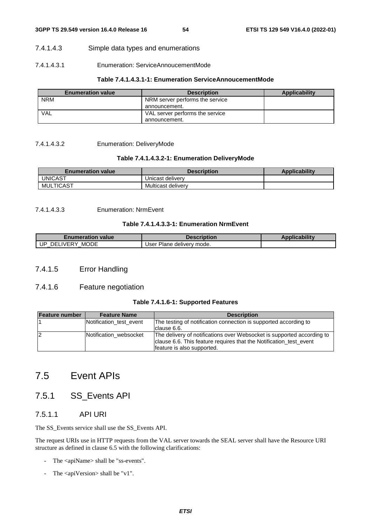## 7.4.1.4.3 Simple data types and enumerations

## 7.4.1.4.3.1 Enumeration: ServiceAnnoucementMode

## **Table 7.4.1.4.3.1-1: Enumeration ServiceAnnoucementMode**

| <b>Enumeration value</b> | <b>Description</b>              | Applicability |
|--------------------------|---------------------------------|---------------|
| <b>NRM</b>               | NRM server performs the service |               |
|                          | announcement.                   |               |
| VAL                      | VAL server performs the service |               |
|                          | announcement.                   |               |

7.4.1.4.3.2 Enumeration: DeliveryMode

## **Table 7.4.1.4.3.2-1: Enumeration DeliveryMode**

| <b>Enumeration value</b> | <b>Description</b> | <b>Applicability</b> |
|--------------------------|--------------------|----------------------|
| UNICAST                  | Unicast delivery   |                      |
| MULTICAST                | Multicast delivery |                      |

## 7.4.1.4.3.3 Enumeration: NrmEvent

## **Table 7.4.1.4.3.3-1: Enumeration NrmEvent**

| <i>E</i> numeration value⊭           | Description                               | <b>Applicability</b> |
|--------------------------------------|-------------------------------------------|----------------------|
| <b>MODE</b><br>UP.<br>. IVERY<br>DEI | <sup>.</sup> Plane deliverv mode.<br>Jser |                      |

## 7.4.1.5 Error Handling

## 7.4.1.6 Feature negotiation

## **Table 7.4.1.6-1: Supported Features**

| <b>Feature number</b> | <b>Feature Name</b>     | <b>Description</b>                                                     |
|-----------------------|-------------------------|------------------------------------------------------------------------|
|                       | Notification test event | The testing of notification connection is supported according to       |
|                       |                         | clause 6.6.                                                            |
|                       | Notification websocket  | The delivery of notifications over Websocket is supported according to |
|                       |                         | clause 6.6. This feature requires that the Notification test event     |
|                       |                         | feature is also supported.                                             |

# 7.5 Event APIs

## 7.5.1 SS\_Events API

## 7.5.1.1 API URI

The SS\_Events service shall use the SS\_Events API.

The request URIs use in HTTP requests from the VAL server towards the SEAL server shall have the Resource URI structure as defined in clause 6.5 with the following clarifications:

- The <apiName> shall be "ss-events".
- The <apiVersion> shall be "v1".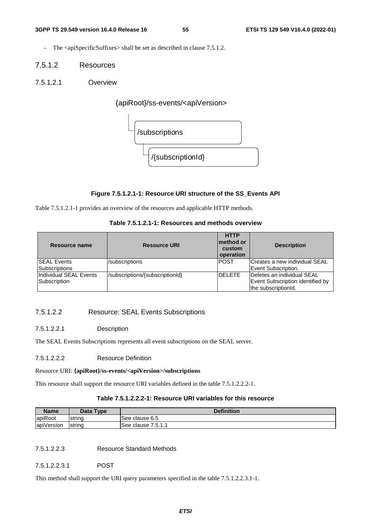- The <apiSpecificSuffixes> shall be set as described in clause 7.5.1.2.
- 7.5.1.2 Resources
- 7.5.1.2.1 Overview

{apiRoot}/ss-events/<apiVersion>



## **Figure 7.5.1.2.1-1: Resource URI structure of the SS\_Events API**

Table 7.5.1.2.1-1 provides an overview of the resources and applicable HTTP methods.

| Resource name          | <b>Resource URI</b>             | <b>HTTP</b><br>Imethod or<br>custom<br>operation | <b>Description</b>               |
|------------------------|---------------------------------|--------------------------------------------------|----------------------------------|
| <b>SEAL Events</b>     | /subscriptions                  | <b>IPOST</b>                                     | Creates a new individual SEAL    |
| <b>Subscriptions</b>   |                                 |                                                  | Event Subscription.              |
| Individual SEAL Events | /subscriptions/{subscriptionId} | <b>DELETE</b>                                    | Deletes an individual SEAL       |
| Subscription           |                                 |                                                  | Event Subscription identified by |
|                        |                                 |                                                  | the subscriptionId.              |

## 7.5.1.2.2 Resource: SEAL Events Subscriptions

## 7.5.1.2.2.1 Description

The SEAL Events Subscriptions represents all event subscriptions on the SEAL server.

7.5.1.2.2.2 Resource Definition

#### Resource URI: **{apiRoot}/ss-events/<apiVersion>/subscriptions**

This resource shall support the resource URI variables defined in the table 7.5.1.2.2.2-1.

## **Table 7.5.1.2.2.2-1: Resource URI variables for this resource**

| <b>Name</b>            | Data Type | <b>Definition</b>            |
|------------------------|-----------|------------------------------|
| apiRoot                | Istring   | See clause 6.5               |
| $\cdots$<br>apiVersion | Istrina   | 751<br>See clause<br>ا ۱۰ س. |

7.5.1.2.2.3 Resource Standard Methods

7.5.1.2.2.3.1 POST

This method shall support the URI query parameters specified in the table 7.5.1.2.2.3.1-1.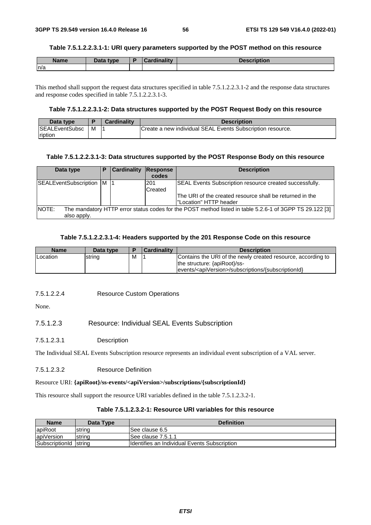#### **Table 7.5.1.2.2.3.1-1: URI query parameters supported by the POST method on this resource**

| <b>Name</b> | Data type | <b>Cordinality</b><br>Cardinality | Description |
|-------------|-----------|-----------------------------------|-------------|
| n/a         |           |                                   |             |

This method shall support the request data structures specified in table 7.5.1.2.2.3.1-2 and the response data structures and response codes specified in table 7.5.1.2.2.3.1-3.

## **Table 7.5.1.2.2.3.1-2: Data structures supported by the POST Request Body on this resource**

| Data type              |   | <b>Cardinality</b> | <b>Description</b>                                         |
|------------------------|---|--------------------|------------------------------------------------------------|
| <b>ISEALEventSubsc</b> | M |                    | Create a new individual SEAL Events Subscription resource. |
| ription                |   |                    |                                                            |

#### **Table 7.5.1.2.2.3.1-3: Data structures supported by the POST Response Body on this resource**

| Data type                                                                                                               | Р | <b>Cardinality</b> | Response | <b>Description</b>                                             |  |
|-------------------------------------------------------------------------------------------------------------------------|---|--------------------|----------|----------------------------------------------------------------|--|
|                                                                                                                         |   |                    | codes    |                                                                |  |
| SEALEventSubscription   M                                                                                               |   |                    | l201     | <b>SEAL Events Subscription resource created successfully.</b> |  |
|                                                                                                                         |   |                    | Created  |                                                                |  |
|                                                                                                                         |   |                    |          | The URI of the created resource shall be returned in the       |  |
|                                                                                                                         |   |                    |          | l"Location" HTTP header                                        |  |
| <b>NOTE:</b><br>The mandatory HTTP error status codes for the POST method listed in table 5.2.6-1 of 3GPP TS 29.122 [3] |   |                    |          |                                                                |  |
| also apply.                                                                                                             |   |                    |          |                                                                |  |

#### **Table 7.5.1.2.2.3.1-4: Headers supported by the 201 Response Code on this resource**

| <b>Name</b>     | Data type |   | <b>Cardinality</b> | <b>Description</b>                                                                                                                                                |
|-----------------|-----------|---|--------------------|-------------------------------------------------------------------------------------------------------------------------------------------------------------------|
| <b>Location</b> | string    | M |                    | Contains the URI of the newly created resource, according to<br>the structure: {apiRoot}/ss-<br> events/ <apiversion>/subscriptions/{subscriptionId}</apiversion> |

## 7.5.1.2.2.4 Resource Custom Operations

None.

## 7.5.1.2.3 Resource: Individual SEAL Events Subscription

### 7.5.1.2.3.1 Description

The Individual SEAL Events Subscription resource represents an individual event subscription of a VAL server.

7.5.1.2.3.2 Resource Definition

### Resource URI: **{apiRoot}/ss-events/<apiVersion>/subscriptions/{subscriptionId}**

This resource shall support the resource URI variables defined in the table 7.5.1.2.3.2-1.

## **Table 7.5.1.2.3.2-1: Resource URI variables for this resource**

| <b>Name</b>           | Data Type | <b>Definition</b>                            |
|-----------------------|-----------|----------------------------------------------|
| apiRoot               | Istrina   | ISee clause 6.5                              |
| apiVersion            | strina    | ISee clause 7.5.1.1                          |
| SubscriptionId string |           | Identifies an Individual Events Subscription |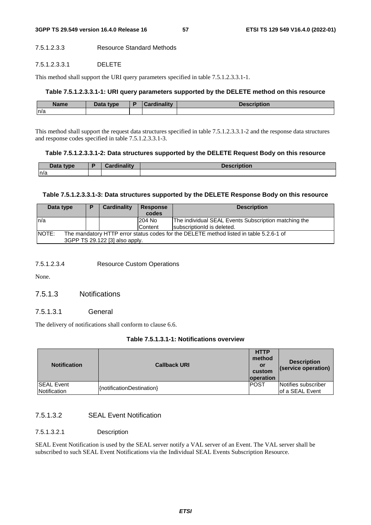## 7.5.1.2.3.3 Resource Standard Methods

#### 7.5.1.2.3.3.1 DELETE

This method shall support the URI query parameters specified in table 7.5.1.2.3.3.1-1.

## **Table 7.5.1.2.3.3.1-1: URI query parameters supported by the DELETE method on this resource**

| <b>Name</b> | Data type | Cardinalitv | <b>Description</b> |
|-------------|-----------|-------------|--------------------|
| n/a         |           |             |                    |

This method shall support the request data structures specified in table 7.5.1.2.3.3.1-2 and the response data structures and response codes specified in table 7.5.1.2.3.3.1-3.

## **Table 7.5.1.2.3.3.1-2: Data structures supported by the DELETE Request Body on this resource**

| Data type | Cordinalis- | <b>Description</b> |
|-----------|-------------|--------------------|
| n/a       |             |                    |

### **Table 7.5.1.2.3.3.1-3: Data structures supported by the DELETE Response Body on this resource**

| Data type                                                                                       | P | Cardinality | <b>Response</b><br>codes | <b>Description</b>                                   |  |  |
|-------------------------------------------------------------------------------------------------|---|-------------|--------------------------|------------------------------------------------------|--|--|
| ln/a                                                                                            |   |             | 204 No                   | The individual SEAL Events Subscription matching the |  |  |
|                                                                                                 |   |             | Content                  | IsubscriptionId is deleted.                          |  |  |
| NOTE:<br>The mandatory HTTP error status codes for the DELETE method listed in table 5.2.6-1 of |   |             |                          |                                                      |  |  |
| 3GPP TS 29.122 [3] also apply.                                                                  |   |             |                          |                                                      |  |  |

#### 7.5.1.2.3.4 Resource Custom Operations

None.

7.5.1.3 Notifications

### 7.5.1.3.1 General

The delivery of notifications shall conform to clause 6.6.

## **Table 7.5.1.3.1-1: Notifications overview**

| <b>Notification</b>               | <b>Callback URI</b>       | <b>HTTP</b><br>method<br>or<br>custom<br><b>loperation</b> | <b>Description</b><br>(service operation) |
|-----------------------------------|---------------------------|------------------------------------------------------------|-------------------------------------------|
| <b>SEAL Event</b><br>Notification | {notificationDestination} | <b>IPOST</b>                                               | Notifies subscriber<br>lof a SEAL Event   |

## 7.5.1.3.2 SEAL Event Notification

#### 7.5.1.3.2.1 Description

SEAL Event Notification is used by the SEAL server notify a VAL server of an Event. The VAL server shall be subscribed to such SEAL Event Notifications via the Individual SEAL Events Subscription Resource.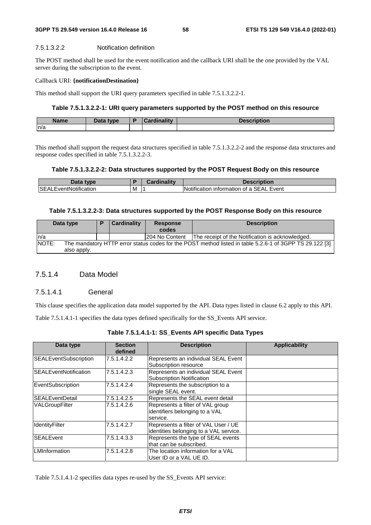#### **3GPP TS 29.549 version 16.4.0 Release 16 58 ETSI TS 129 549 V16.4.0 (2022-01)**

#### 7.5.1.3.2.2 Notification definition

The POST method shall be used for the event notification and the callback URI shall be the one provided by the VAL server during the subscription to the event.

#### Callback URI: **{notificationDestination}**

This method shall support the URI query parameters specified in table 7.5.1.3.2.2-1.

#### **Table 7.5.1.3.2.2-1: URI query parameters supported by the POST method on this resource**

| <b>Name</b> | Data type | Б | Cardinality | <b>Description</b> |
|-------------|-----------|---|-------------|--------------------|
| n/a         |           |   |             |                    |

This method shall support the request data structures specified in table 7.5.1.3.2.2-2 and the response data structures and response codes specified in table 7.5.1.3.2.2-3.

#### **Table 7.5.1.3.2.2-2: Data structures supported by the POST Request Body on this resource**

| Data type                         |   | .<br>`ord<br>чоннань. | <b>Description</b>                                                                 |
|-----------------------------------|---|-----------------------|------------------------------------------------------------------------------------|
| <b>ISEA</b><br>.EventNotification | M |                       | $\cdot \cdot \cdot$<br><b>SEAL</b><br>Event<br>INotification<br>i intormation of a |

#### **Table 7.5.1.3.2.2-3: Data structures supported by the POST Response Body on this resource**

| Data type                                                                                                        |             | <b>Cardinality</b> |  | <b>Response</b><br>codes | <b>Description</b>                               |  |
|------------------------------------------------------------------------------------------------------------------|-------------|--------------------|--|--------------------------|--------------------------------------------------|--|
|                                                                                                                  |             |                    |  |                          |                                                  |  |
| In/a                                                                                                             |             |                    |  | 204 No Content           | The receipt of the Notification is acknowledged. |  |
| NOTE:<br>The mandatory HTTP error status codes for the POST method listed in table 5.2.6-1 of 3GPP TS 29.122 [3] |             |                    |  |                          |                                                  |  |
|                                                                                                                  | also apply. |                    |  |                          |                                                  |  |

## 7.5.1.4 Data Model

### 7.5.1.4.1 General

This clause specifies the application data model supported by the API. Data types listed in clause 6.2 apply to this API.

Table 7.5.1.4.1-1 specifies the data types defined specifically for the SS\_Events API service.

| Table 7.5.1.4.1-1: SS_Events API specific Data Types |  |  |  |
|------------------------------------------------------|--|--|--|
|------------------------------------------------------|--|--|--|

| Data type                    | <b>Section</b><br>defined | <b>Description</b>                                                             | <b>Applicability</b> |
|------------------------------|---------------------------|--------------------------------------------------------------------------------|----------------------|
| <b>SEALEventSubscription</b> | 7.5.1.4.2.2               | Represents an individual SEAL Event<br>Subscription resource                   |                      |
| <b>SEALEventNotification</b> | 7.5.1.4.2.3               | Represents an individual SEAL Event<br><b>Subscription Notification</b>        |                      |
| EventSubscription            | 7.5.1.4.2.4               | Represents the subscription to a<br>single SEAL event.                         |                      |
| <b>ISEALEventDetail</b>      | 7.5.1.4.2.5               | Represents the SEAL event detail                                               |                      |
| VALGroupFilter               | 7.5.1.4.2.6               | Represents a filter of VAL group<br>identifiers belonging to a VAL<br>service. |                      |
| IdentityFilter               | 7.5.1.4.2.7               | Represents a filter of VAL User / UE<br>identities belonging to a VAL service. |                      |
| <b>SEALEvent</b>             | 7.5.1.4.3.3               | Represents the type of SEAL events<br>that can be subscribed.                  |                      |
| LMInformation                | 7.5.1.4.2.8               | The location information for a VAL<br>User ID or a VAL UE ID.                  |                      |

Table 7.5.1.4.1-2 specifies data types re-used by the SS\_Events API service: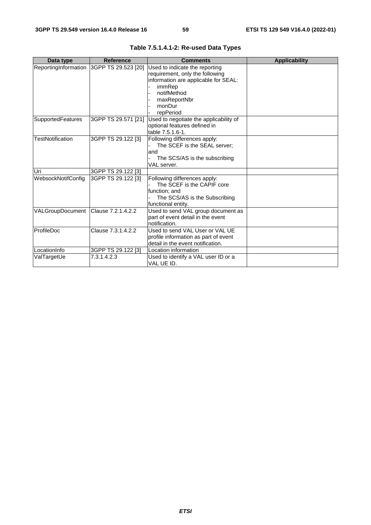| Data type                           | <b>Reference</b>                         | <b>Comments</b>                                                                                                                                                           | <b>Applicability</b> |
|-------------------------------------|------------------------------------------|---------------------------------------------------------------------------------------------------------------------------------------------------------------------------|----------------------|
|                                     | ReportingInformation 3GPP TS 29.523 [20] | Used to indicate the reporting<br>requirement, only the following<br>information are applicable for SEAL:<br>immRep<br>notifMethod<br>maxReportNbr<br>monDur<br>repPeriod |                      |
| <b>SupportedFeatures</b>            | 3GPP TS 29.571 [21]                      | Used to negotiate the applicability of<br>optional features defined in<br>table 7.5.1.6-1.                                                                                |                      |
| <b>TestNotification</b>             | 3GPP TS 29.122 [3]                       | Following differences apply:<br>The SCEF is the SEAL server;<br>land<br>The SCS/AS is the subscribing<br>VAL server.                                                      |                      |
| Uri                                 | 3GPP TS 29.122 [3]                       |                                                                                                                                                                           |                      |
| WebsockNotifConfig                  | 3GPP TS 29.122 [3]                       | Following differences apply:<br>The SCEF is the CAPIF core<br>function; and<br>The SCS/AS is the Subscribing<br>functional entity.                                        |                      |
| VALGroupDocument Clause 7.2.1.4.2.2 |                                          | Used to send VAL group document as<br>part of event detail in the event<br>notification.                                                                                  |                      |
| ProfileDoc                          | Clause 7.3.1.4.2.2                       | Used to send VAL User or VAL UE<br>profile information as part of event<br>detail in the event notification.                                                              |                      |
| LocationInfo                        | 3GPP TS 29.122 [3]                       | Location information                                                                                                                                                      |                      |
| ValTargetUe                         | 7.3.1.4.2.3                              | Used to identify a VAL user ID or a<br>VAL UE ID.                                                                                                                         |                      |

|  |  |  | Table 7.5.1.4.1-2: Re-used Data Types |  |  |
|--|--|--|---------------------------------------|--|--|
|--|--|--|---------------------------------------|--|--|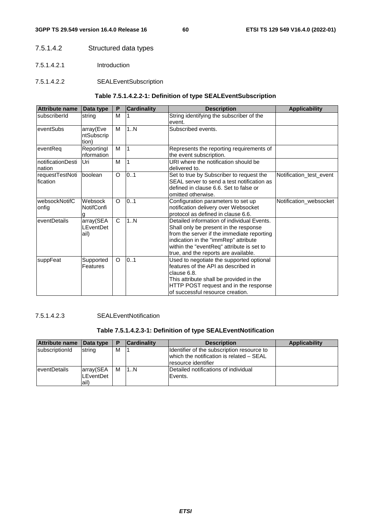## 7.5.1.4.2 Structured data types

- 7.5.1.4.2.1 Introduction
- 7.5.1.4.2.2 SEALEventSubscription

## **Table 7.5.1.4.2.2-1: Definition of type SEALEventSubscription**

| <b>Attribute name</b>       | Data type                         | P       | <b>Cardinality</b> | <b>Description</b>                                                                                                                                                                                                                                             | <b>Applicability</b>    |
|-----------------------------|-----------------------------------|---------|--------------------|----------------------------------------------------------------------------------------------------------------------------------------------------------------------------------------------------------------------------------------------------------------|-------------------------|
| subscriberId                | string                            | м       |                    | String identifying the subscriber of the<br>event.                                                                                                                                                                                                             |                         |
| eventSubs                   | array(Eve<br>ntSubscrip<br>tion)  | M       | 1N                 | Subscribed events.                                                                                                                                                                                                                                             |                         |
| eventRea                    | Reportingl<br>nformation          | M       | 1                  | Represents the reporting requirements of<br>the event subscription.                                                                                                                                                                                            |                         |
| notificationDesti<br>nation | Uri                               | M       | 1                  | URI where the notification should be<br>delivered to.                                                                                                                                                                                                          |                         |
| requestTestNoti<br>fication | boolean                           | O       | 0.1                | Set to true by Subscriber to request the<br>SEAL server to send a test notification as<br>defined in clause 6.6. Set to false or<br>omitted otherwise.                                                                                                         | Notification test event |
| websockNotifC<br>onfig      | Websock<br><b>NotifConfi</b><br>q | O       | 0.1                | Configuration parameters to set up<br>notification delivery over Websocket<br>protocol as defined in clause 6.6.                                                                                                                                               | Notification_websocket  |
| eventDetails                | array(SEA<br>LEventDet<br>ail)    | C       | 1N                 | Detailed information of individual Events.<br>Shall only be present in the response<br>from the server if the immediate reporting<br>indication in the "immRep" attribute<br>within the "eventReq" attribute is set to<br>true, and the reports are available. |                         |
| suppFeat                    | Supported<br>Features             | $\circ$ | 0.1                | Used to negotiate the supported optional<br>features of the API as described in<br>clause 6.8.<br>This attribute shall be provided in the<br>HTTP POST request and in the response<br>of successful resource creation.                                         |                         |

7.5.1.4.2.3 SEALEventNotification

## **Table 7.5.1.4.2.3-1: Definition of type SEALEventNotification**

| Attribute name       | Data type                       | Е | <b>Cardinality</b> | <b>Description</b>                                                                                             | <b>Applicability</b> |
|----------------------|---------------------------------|---|--------------------|----------------------------------------------------------------------------------------------------------------|----------------------|
| subscriptionId       | string                          | М |                    | Identifier of the subscription resource to<br>which the notification is related - SEAL<br>Iresource identifier |                      |
| <b>leventDetails</b> | array(SEA<br>LEventDet<br>lail) | M | 1N                 | Detailed notifications of individual<br>Events.                                                                |                      |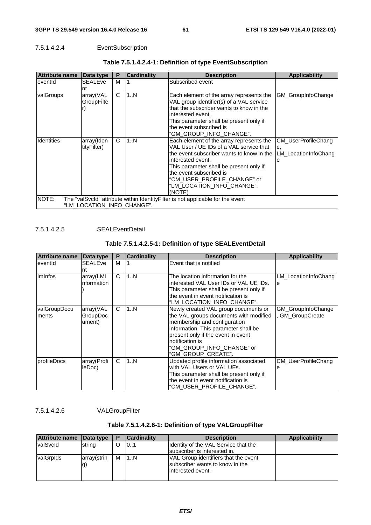## 7.5.1.4.2.4 EventSubscription

| <b>Attribute name</b> | Data type                  | P | <b>Cardinality</b> | <b>Description</b>                                                                                                                                                                                                                                                                                 | <b>Applicability</b>                                          |
|-----------------------|----------------------------|---|--------------------|----------------------------------------------------------------------------------------------------------------------------------------------------------------------------------------------------------------------------------------------------------------------------------------------------|---------------------------------------------------------------|
| eventid               | <b>SEALEve</b><br>Int      | м |                    | Subscribed event                                                                                                                                                                                                                                                                                   |                                                               |
| valGroups             | array(VAL<br>GroupFilte    | C | 1N                 | Each element of the array represents the<br>VAL group identifier(s) of a VAL service<br>that the subscriber wants to know in the<br>linterested event.<br>This parameter shall be present only if<br>the event subscribed is<br>"GM GROUP INFO CHANGE".                                            | GM_GroupInfoChange                                            |
| <b>Identities</b>     | array(Iden<br>tityFilter)  | C | 1N                 | Each element of the array represents the<br>VAL User / UE IDs of a VAL service that<br>the event subscriber wants to know in the<br>interested event.<br>This parameter shall be present only if<br>the event subscribed is<br>"CM USER PROFILE CHANGE" or<br>"LM LOCATION INFO CHANGE".<br>(NOTE) | <b>CM UserProfileChang</b><br>e.<br>LM LocationInfoChang<br>e |
| NOTE:                 | "LM LOCATION INFO CHANGE". |   |                    | The "valSvcId" attribute within IdentityFilter is not applicable for the event                                                                                                                                                                                                                     |                                                               |

## **Table 7.5.1.4.2.4-1: Definition of type EventSubscription**

7.5.1.4.2.5 SEALEventDetail

## **Table 7.5.1.4.2.5-1: Definition of type SEALEventDetail**

| <b>Attribute name</b>  | Data type                       | P | <b>Cardinality</b> | <b>Description</b>                                                                                                                                                                                                                                                 | <b>Applicability</b>                        |
|------------------------|---------------------------------|---|--------------------|--------------------------------------------------------------------------------------------------------------------------------------------------------------------------------------------------------------------------------------------------------------------|---------------------------------------------|
| eventid                | <b>SEALEve</b><br>nt            | M |                    | Event that is notified                                                                                                                                                                                                                                             |                                             |
| Iminfos                | array(LMI<br>nformation         | C | 1N                 | The location information for the<br>interested VAL User IDs or VAL UE IDs.<br>This parameter shall be present only if<br>the event in event notification is<br>"LM LOCATION INFO CHANGE".                                                                          | LM_LocationInfoChang<br>le                  |
| valGroupDocu<br>Iments | array(VAL<br>GroupDoc<br>ument) | C | 1N                 | Newly created VAL group documents or<br>the VAL groups documents with modified<br>membership and configuration<br>information. This parameter shall be<br>present only if the event in event<br>notification is<br>"GM GROUP INFO CHANGE" or<br>"GM_GROUP_CREATE". | GM_GroupInfoChange<br><b>GM</b> GroupCreate |
| profileDocs            | array(Profi<br>leDoc)           | C | 1N                 | Updated profile information associated<br>with VAL Users or VAL UEs.<br>This parameter shall be present only if<br>the event in event notification is<br>"CM USER PROFILE CHANGE".                                                                                 | CM_UserProfileChang<br>е                    |

7.5.1.4.2.6 VALGroupFilter

## **Table 7.5.1.4.2.6-1: Definition of type VALGroupFilter**

| Attribute name | Data type         | D | <b>Cardinality</b> | <b>Description</b>                                                                            | <b>Applicability</b> |
|----------------|-------------------|---|--------------------|-----------------------------------------------------------------------------------------------|----------------------|
| valSvcld       | string            | O | 101                | Identity of the VAL Service that the<br>subscriber is interested in.                          |                      |
| valGrplds      | array(strin<br>g) | м | 1N                 | VAL Group identifiers that the event<br>subscriber wants to know in the<br>linterested event. |                      |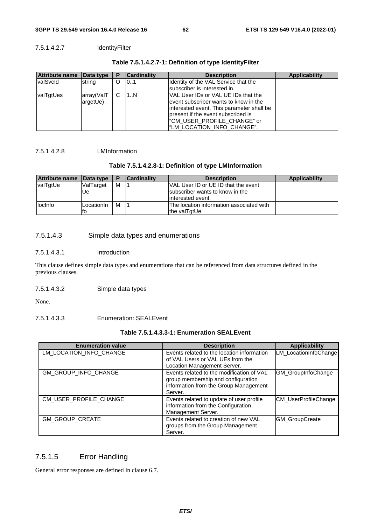## 7.5.1.4.2.7 IdentityFilter

| <b>Attribute name</b> | Data type  | Р        | <b>Cardinality</b> | <b>Description</b>                                                              | <b>Applicability</b> |
|-----------------------|------------|----------|--------------------|---------------------------------------------------------------------------------|----------------------|
| <b>valSvcld</b>       | string     | $\Omega$ | 101                | Identity of the VAL Service that the<br>subscriber is interested in.            |                      |
| valTgtUes             | array(ValT | C.       | 11N                | IVAL User IDs or VAL UE IDs that the                                            |                      |
|                       | argetUe)   |          |                    | levent subscriber wants to know in the                                          |                      |
|                       |            |          |                    | interested event. This parameter shall be<br>present if the event subscribed is |                      |
|                       |            |          |                    | "CM USER PROFILE CHANGE" or                                                     |                      |
|                       |            |          |                    | "LM_LOCATION_INFO_CHANGE".                                                      |                      |

## **Table 7.5.1.4.2.7-1: Definition of type IdentityFilter**

## 7.5.1.4.2.8 LMInformation

## **Table 7.5.1.4.2.8-1: Definition of type LMInformation**

| Attribute name | Data type  | P | <b>Cardinality</b> | <b>Description</b>                       | <b>Applicability</b> |
|----------------|------------|---|--------------------|------------------------------------------|----------------------|
| valTgtUe       | ValTarget  | M |                    | VAL User ID or UE ID that the event      |                      |
|                | Ue         |   |                    | subscriber wants to know in the          |                      |
|                |            |   |                    | linterested event.                       |                      |
| llocinfo       | LocationIn | M |                    | The location information associated with |                      |
|                | ΙЮ         |   |                    | the valTgtUe.                            |                      |

## 7.5.1.4.3 Simple data types and enumerations

#### 7.5.1.4.3.1 Introduction

This clause defines simple data types and enumerations that can be referenced from data structures defined in the previous clauses.

#### 7.5.1.4.3.2 Simple data types

None.

## 7.5.1.4.3.3 Enumeration: SEALEvent

## **Table 7.5.1.4.3.3-1: Enumeration SEALEvent**

| <b>Enumeration value</b> | <b>Description</b>                                                                                                                  | <b>Applicability</b>        |
|--------------------------|-------------------------------------------------------------------------------------------------------------------------------------|-----------------------------|
| LM LOCATION INFO CHANGE  | Events related to the location information<br>of VAL Users or VAL UEs from the<br>Location Management Server.                       | LM_LocationInfoChange       |
| GM_GROUP_INFO_CHANGE     | Events related to the modification of VAL<br>group membership and configuration<br>information from the Group Management<br>Server. | GM_GroupInfoChange          |
| CM USER PROFILE CHANGE   | Events related to update of user profile<br>information from the Configuration<br>Management Server.                                | <b>CM UserProfileChange</b> |
| <b>GM GROUP CREATE</b>   | Events related to creation of new VAL<br>groups from the Group Management<br>Server.                                                | <b>GM</b> GroupCreate       |

## 7.5.1.5 Error Handling

General error responses are defined in clause 6.7.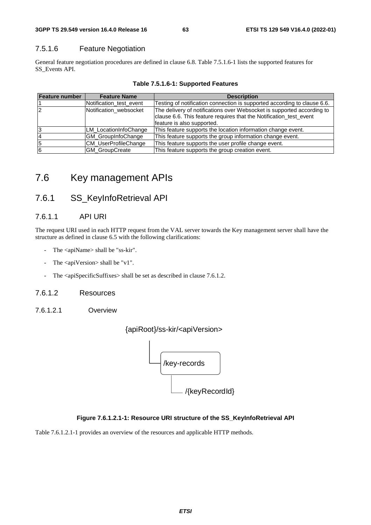## 7.5.1.6 Feature Negotiation

General feature negotiation procedures are defined in clause 6.8. Table 7.5.1.6-1 lists the supported features for SS\_Events API.

| <b>Feature number</b> | <b>Feature Name</b>         | <b>Description</b>                                                       |
|-----------------------|-----------------------------|--------------------------------------------------------------------------|
|                       | Notification test event     | Testing of notification connection is supported according to clause 6.6. |
| 2                     | Notification_websocket      | The delivery of notifications over Websocket is supported according to   |
|                       |                             | clause 6.6. This feature requires that the Notification_test_event       |
|                       |                             | feature is also supported.                                               |
| 3                     | LM LocationInfoChange       | This feature supports the location information change event.             |
| 4                     | GM_GroupInfoChange          | This feature supports the group information change event.                |
| 5                     | <b>CM UserProfileChange</b> | This feature supports the user profile change event.                     |
| 6                     | <b>GM GroupCreate</b>       | This feature supports the group creation event.                          |

**Table 7.5.1.6-1: Supported Features** 

## 7.6 Key management APIs

## 7.6.1 SS\_KeyInfoRetrieval API

## 7.6.1.1 API URI

The request URI used in each HTTP request from the VAL server towards the Key management server shall have the structure as defined in clause 6.5 with the following clarifications:

- The <apiName> shall be "ss-kir".
- The  $\langle$ apiVersion $>$ shall be "v1".
- The <apiSpecificSuffixes> shall be set as described in clause 7.6.1.2.

## 7.6.1.2 Resources

7.6.1.2.1 Overview



### **Figure 7.6.1.2.1-1: Resource URI structure of the SS\_KeyInfoRetrieval API**

Table 7.6.1.2.1-1 provides an overview of the resources and applicable HTTP methods.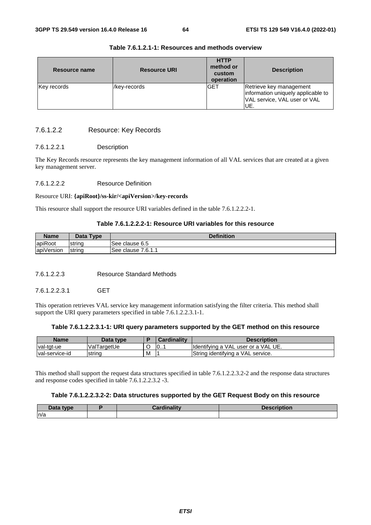| Resource name | <b>Resource URI</b> | <b>HTTP</b><br>method or<br>custom<br>operation | <b>Description</b>                                                                                   |  |
|---------------|---------------------|-------------------------------------------------|------------------------------------------------------------------------------------------------------|--|
| Key records   | /key-records        | <b>GET</b>                                      | Retrieve key management<br>information uniquely applicable to<br>VAL service, VAL user or VAL<br>UE. |  |

## **Table 7.6.1.2.1-1: Resources and methods overview**

## 7.6.1.2.2 Resource: Key Records

### 7.6.1.2.2.1 Description

The Key Records resource represents the key management information of all VAL services that are created at a given key management server.

#### 7.6.1.2.2.2 Resource Definition

#### Resource URI: **{apiRoot}/ss-kir/<apiVersion>/key-records**

This resource shall support the resource URI variables defined in the table 7.6.1.2.2.2-1.

## **Table 7.6.1.2.2.2-1: Resource URI variables for this resource**

| <b>Name</b> | Data Type | <b>Definition</b>       |
|-------------|-----------|-------------------------|
| apiRoot     | Istrina   | See clause 6.5          |
| apiVersion  | string    | 7.6.1.1<br>See clause i |

7.6.1.2.2.3 Resource Standard Methods

7.6.1.2.2.3.1 GET

This operation retrieves VAL service key management information satisfying the filter criteria. This method shall support the URI query parameters specified in table 7.6.1.2.2.3.1-1.

#### **Table 7.6.1.2.2.3.1-1: URI query parameters supported by the GET method on this resource**

| <b>Name</b>     | Data type   |   | Cardinalitv | Description                          |
|-----------------|-------------|---|-------------|--------------------------------------|
| val-tgt-ue      | ValTargetUe |   | 10          | Ildentifving a VAL user or a VAL UE. |
| Ival-service-id | string      | M |             | String identifying a VAL service.    |

This method shall support the request data structures specified in table 7.6.1.2.2.3.2-2 and the response data structures and response codes specified in table 7.6.1.2.2.3.2 -3.

#### **Table 7.6.1.2.2.3.2-2: Data structures supported by the GET Request Body on this resource**

| Data type | --<br>------- | Description<br>™∎ption |
|-----------|---------------|------------------------|
| n/a       |               |                        |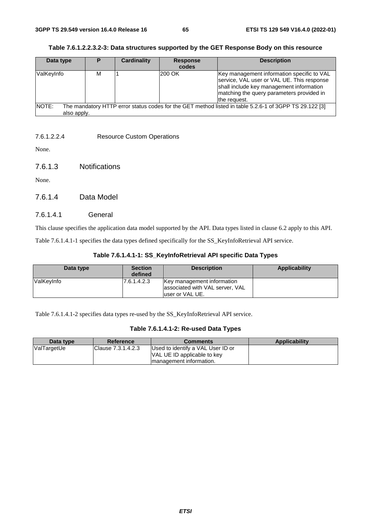| Data type            | P | Cardinality | <b>Response</b><br>codes | <b>Description</b>                                                                                                                                                                                |
|----------------------|---|-------------|--------------------------|---------------------------------------------------------------------------------------------------------------------------------------------------------------------------------------------------|
| ValKeyInfo           | М |             | <b>200 OK</b>            | Key management information specific to VAL<br>service, VAL user or VAL UE. This response<br>shall include key management information<br>matching the query parameters provided in<br>the request. |
| NOTE:<br>also apply. |   |             |                          | The mandatory HTTP error status codes for the GET method listed in table 5.2.6-1 of 3GPP TS 29.122 [3]                                                                                            |

| Table 7.6.1.2.2.3.2-3: Data structures supported by the GET Response Body on this resource |
|--------------------------------------------------------------------------------------------|
|--------------------------------------------------------------------------------------------|

## 7.6.1.2.2.4 Resource Custom Operations

None.

7.6.1.3 Notifications

None.

7.6.1.4 Data Model

## 7.6.1.4.1 General

This clause specifies the application data model supported by the API. Data types listed in clause 6.2 apply to this API.

Table 7.6.1.4.1-1 specifies the data types defined specifically for the SS\_KeyInfoRetrieval API service.

| Data type   | <b>Section</b><br>defined | <b>Description</b>                                                                | Applicability |
|-------------|---------------------------|-----------------------------------------------------------------------------------|---------------|
| lValKevInfo | 17.6.1.4.2.3              | Key management information<br>associated with VAL server, VAL<br>luser or VAL UE. |               |

Table 7.6.1.4.1-2 specifies data types re-used by the SS\_KeyInfoRetrieval API service.

|  |  |  | Table 7.6.1.4.1-2: Re-used Data Types |  |  |
|--|--|--|---------------------------------------|--|--|
|--|--|--|---------------------------------------|--|--|

| Data type   | <b>Reference</b>   | <b>Comments</b>                                                                              | Applicability |
|-------------|--------------------|----------------------------------------------------------------------------------------------|---------------|
| ValTargetUe | Clause 7.3.1.4.2.3 | Used to identify a VAL User ID or<br>VAL UE ID applicable to key<br>Imanagement information. |               |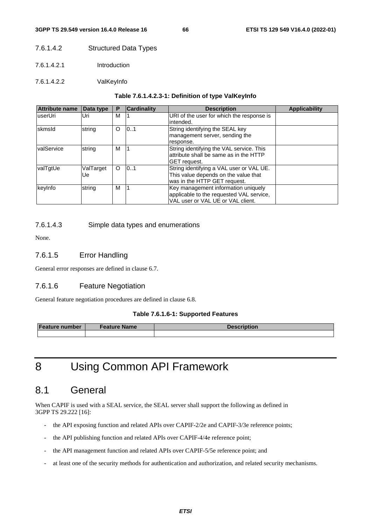## 7.6.1.4.2 Structured Data Types

- 7.6.1.4.2.1 Introduction
- 7.6.1.4.2.2 ValKeyInfo

#### **Table 7.6.1.4.2.3-1: Definition of type ValKeyInfo**

| <b>Attribute name</b> | Data type       | Р        | <b>Cardinality</b> | <b>Description</b>                                                                                                   | <b>Applicability</b> |
|-----------------------|-----------------|----------|--------------------|----------------------------------------------------------------------------------------------------------------------|----------------------|
| luserUri              | Uri             | М        |                    | URI of the user for which the response is<br>lintended.                                                              |                      |
| skmsld                | string          | $\circ$  | 10.1               | String identifying the SEAL key<br>management server, sending the<br>response.                                       |                      |
| valService            | string          | M        |                    | String identifying the VAL service. This<br>lattribute shall be same as in the HTTP<br><b>GET</b> request.           |                      |
| valTgtUe              | ValTarget<br>Ue | $\Omega$ | 101                | String identifying a VAL user or VAL UE.<br>This value depends on the value that<br>was in the HTTP GET request.     |                      |
| keyInfo               | string          | M        |                    | Key management information uniquely<br>applicable to the requested VAL service,<br>VAL user or VAL UE or VAL client. |                      |

## 7.6.1.4.3 Simple data types and enumerations

None.

## 7.6.1.5 Error Handling

General error responses are defined in clause 6.7.

## 7.6.1.6 Feature Negotiation

General feature negotiation procedures are defined in clause 6.8.

#### **Table 7.6.1.6-1: Supported Features**

| <b>Feature number</b> | <b>Feature Name</b> | <b>Description</b> |
|-----------------------|---------------------|--------------------|
|                       |                     |                    |

# 8 Using Common API Framework

## 8.1 General

When CAPIF is used with a SEAL service, the SEAL server shall support the following as defined in 3GPP TS 29.222 [16]:

- the API exposing function and related APIs over CAPIF-2/2e and CAPIF-3/3e reference points;
- the API publishing function and related APIs over CAPIF-4/4e reference point;
- the API management function and related APIs over CAPIF-5/5e reference point; and
- at least one of the security methods for authentication and authorization, and related security mechanisms.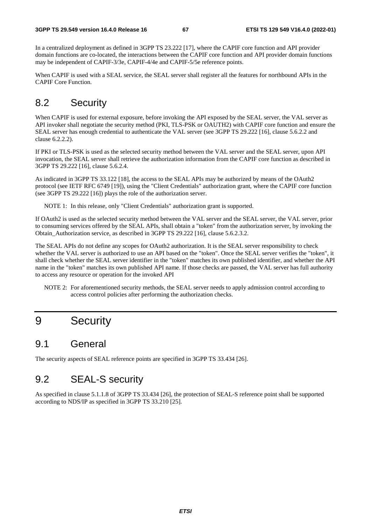In a centralized deployment as defined in 3GPP TS 23.222 [17], where the CAPIF core function and API provider domain functions are co-located, the interactions between the CAPIF core function and API provider domain functions may be independent of CAPIF-3/3e, CAPIF-4/4e and CAPIF-5/5e reference points.

When CAPIF is used with a SEAL service, the SEAL server shall register all the features for northbound APIs in the CAPIF Core Function.

## 8.2 Security

When CAPIF is used for external exposure, before invoking the API exposed by the SEAL server, the VAL server as API invoker shall negotiate the security method (PKI, TLS-PSK or OAUTH2) with CAPIF core function and ensure the SEAL server has enough credential to authenticate the VAL server (see 3GPP TS 29.222 [16], clause 5.6.2.2 and clause 6.2.2.2).

If PKI or TLS-PSK is used as the selected security method between the VAL server and the SEAL server, upon API invocation, the SEAL server shall retrieve the authorization information from the CAPIF core function as described in 3GPP TS 29.222 [16], clause 5.6.2.4.

As indicated in 3GPP TS 33.122 [18], the access to the SEAL APIs may be authorized by means of the OAuth2 protocol (see IETF RFC 6749 [19]), using the "Client Credentials" authorization grant, where the CAPIF core function (see 3GPP TS 29.222 [16]) plays the role of the authorization server.

NOTE 1: In this release, only "Client Credentials" authorization grant is supported.

If OAuth2 is used as the selected security method between the VAL server and the SEAL server, the VAL server, prior to consuming services offered by the SEAL APIs, shall obtain a "token" from the authorization server, by invoking the Obtain\_Authorization service, as described in 3GPP TS 29.222 [16], clause 5.6.2.3.2.

The SEAL APIs do not define any scopes for OAuth2 authorization. It is the SEAL server responsibility to check whether the VAL server is authorized to use an API based on the "token". Once the SEAL server verifies the "token", it shall check whether the SEAL server identifier in the "token" matches its own published identifier, and whether the API name in the "token" matches its own published API name. If those checks are passed, the VAL server has full authority to access any resource or operation for the invoked API

NOTE 2: For aforementioned security methods, the SEAL server needs to apply admission control according to access control policies after performing the authorization checks.

# 9 Security

## 9.1 General

The security aspects of SEAL reference points are specified in 3GPP TS 33.434 [26].

## 9.2 SEAL-S security

As specified in clause 5.1.1.8 of 3GPP TS 33.434 [26], the protection of SEAL-S reference point shall be supported according to NDS/IP as specified in 3GPP TS 33.210 [25].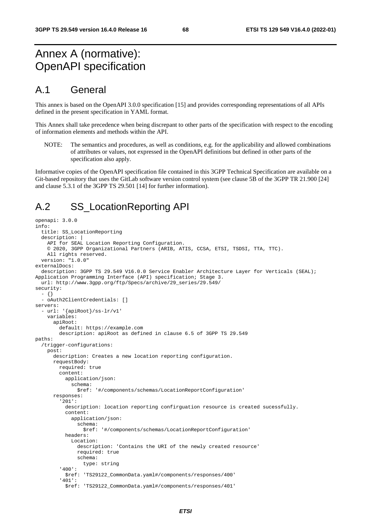# Annex A (normative): OpenAPI specification

## A.1 General

This annex is based on the OpenAPI 3.0.0 specification [15] and provides corresponding representations of all APIs defined in the present specification in YAML format.

This Annex shall take precedence when being discrepant to other parts of the specification with respect to the encoding of information elements and methods within the API.

NOTE: The semantics and procedures, as well as conditions, e.g. for the applicability and allowed combinations of attributes or values, not expressed in the OpenAPI definitions but defined in other parts of the specification also apply.

Informative copies of the OpenAPI specification file contained in this 3GPP Technical Specification are available on a Git-based repository that uses the GitLab software version control system (see clause 5B of the 3GPP TR 21.900 [24] and clause 5.3.1 of the 3GPP TS 29.501 [14] for further information).

## A.2 SS\_LocationReporting API

```
openapi: 3.0.0 
info: 
   title: SS_LocationReporting 
   description: | 
     API for SEAL Location Reporting Configuration. 
     © 2020, 3GPP Organizational Partners (ARIB, ATIS, CCSA, ETSI, TSDSI, TTA, TTC). 
     All rights reserved. 
   version: "1.0.0" 
externalDocs: 
   description: 3GPP TS 29.549 V16.0.0 Service Enabler Architecture Layer for Verticals (SEAL); 
Application Programming Interface (API) specification; Stage 3. 
   url: http://www.3gpp.org/ftp/Specs/archive/29_series/29.549/ 
security: 
   - {} 
   - oAuth2ClientCredentials: [] 
servers: 
    - url: '{apiRoot}/ss-lr/v1' 
     variables: 
       apiRoot: 
         default: https://example.com 
         description: apiRoot as defined in clause 6.5 of 3GPP TS 29.549 
paths: 
   /trigger-configurations: 
     post: 
       description: Creates a new location reporting configuration. 
       requestBody: 
         required: true 
         content: 
           application/json: 
              schema: 
               $ref: '#/components/schemas/LocationReportConfiguration' 
       responses: 
          '201': 
           description: location reporting confirguation resource is created sucessfully. 
           content: 
              application/json: 
                schema: 
                  $ref: '#/components/schemas/LocationReportConfiguration' 
           headers: 
              Location: 
                description: 'Contains the URI of the newly created resource' 
                required: true 
                schema: 
                  type: string 
          '400': 
           $ref: 'TS29122_CommonData.yaml#/components/responses/400' 
          '401': 
            $ref: 'TS29122_CommonData.yaml#/components/responses/401'
```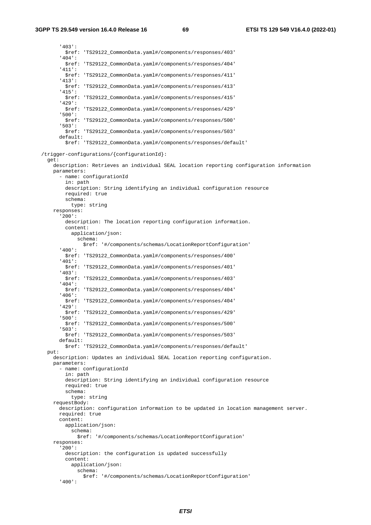'403': \$ref: 'TS29122\_CommonData.yaml#/components/responses/403' '404': \$ref: 'TS29122\_CommonData.yaml#/components/responses/404' '411': \$ref: 'TS29122\_CommonData.yaml#/components/responses/411' '413': \$ref: 'TS29122\_CommonData.yaml#/components/responses/413' '415': \$ref: 'TS29122\_CommonData.yaml#/components/responses/415' '429': \$ref: 'TS29122\_CommonData.yaml#/components/responses/429' '500': \$ref: 'TS29122\_CommonData.yaml#/components/responses/500' '503': \$ref: 'TS29122\_CommonData.yaml#/components/responses/503' default: \$ref: 'TS29122\_CommonData.yaml#/components/responses/default' /trigger-configurations/{configurationId}: get: description: Retrieves an individual SEAL location reporting configuration information parameters: - name: configurationId in: path description: String identifying an individual configuration resource required: true schema: type: string responses: '200': description: The location reporting configuration information. content: application/json: schema: \$ref: '#/components/schemas/LocationReportConfiguration' '400': \$ref: 'TS29122\_CommonData.yaml#/components/responses/400' '401': \$ref: 'TS29122\_CommonData.yaml#/components/responses/401' '403': \$ref: 'TS29122\_CommonData.yaml#/components/responses/403' '404': \$ref: 'TS29122\_CommonData.yaml#/components/responses/404' '406': \$ref: 'TS29122\_CommonData.yaml#/components/responses/404' '429': \$ref: 'TS29122\_CommonData.yaml#/components/responses/429' '500': \$ref: 'TS29122\_CommonData.yaml#/components/responses/500' '503': \$ref: 'TS29122\_CommonData.yaml#/components/responses/503' default: \$ref: 'TS29122\_CommonData.yaml#/components/responses/default' put: description: Updates an individual SEAL location reporting configuration. parameters: - name: configurationId in: path description: String identifying an individual configuration resource required: true schema: type: string requestBody: description: configuration information to be updated in location management server. required: true content: application/json: schema: \$ref: '#/components/schemas/LocationReportConfiguration' responses: '200': description: the configuration is updated successfully content: application/json: schema: \$ref: '#/components/schemas/LocationReportConfiguration' '400':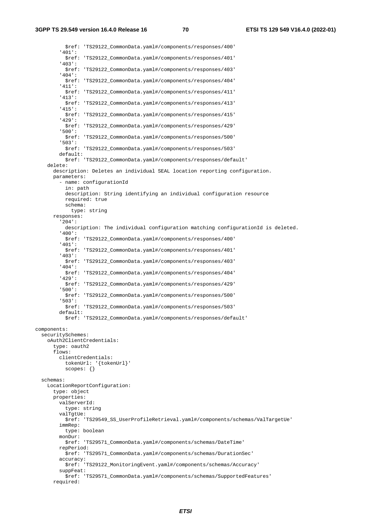**3GPP TS 29.549 version 16.4.0 Release 16 70 ETSI TS 129 549 V16.4.0 (2022-01)**

 \$ref: 'TS29122\_CommonData.yaml#/components/responses/400' '401': \$ref: 'TS29122\_CommonData.yaml#/components/responses/401' '403': \$ref: 'TS29122\_CommonData.yaml#/components/responses/403' '404': \$ref: 'TS29122\_CommonData.yaml#/components/responses/404' '411': \$ref: 'TS29122\_CommonData.yaml#/components/responses/411' '413': \$ref: 'TS29122\_CommonData.yaml#/components/responses/413' '415': \$ref: 'TS29122\_CommonData.yaml#/components/responses/415' '429': \$ref: 'TS29122\_CommonData.yaml#/components/responses/429' '500': \$ref: 'TS29122\_CommonData.yaml#/components/responses/500' '503': \$ref: 'TS29122\_CommonData.yaml#/components/responses/503' default: \$ref: 'TS29122\_CommonData.yaml#/components/responses/default' delete: description: Deletes an individual SEAL location reporting configuration. parameters: - name: configurationId in: path description: String identifying an individual configuration resource required: true schema: type: string responses: '204': description: The individual configuration matching configurationId is deleted. '400': \$ref: 'TS29122\_CommonData.yaml#/components/responses/400' '401': \$ref: 'TS29122\_CommonData.yaml#/components/responses/401' '403': \$ref: 'TS29122\_CommonData.yaml#/components/responses/403' '404': \$ref: 'TS29122\_CommonData.yaml#/components/responses/404' '429': \$ref: 'TS29122\_CommonData.yaml#/components/responses/429' '500': \$ref: 'TS29122\_CommonData.yaml#/components/responses/500' '503': \$ref: 'TS29122\_CommonData.yaml#/components/responses/503' default: \$ref: 'TS29122\_CommonData.yaml#/components/responses/default' components: securitySchemes: oAuth2ClientCredentials: type: oauth2 flows: clientCredentials: tokenUrl: '{tokenUrl}' scopes: {} schemas: LocationReportConfiguration: type: object properties: valServerId: type: string valTgtUe: \$ref: 'TS29549\_SS\_UserProfileRetrieval.yaml#/components/schemas/ValTargetUe' immRep: type: boolean monDur: \$ref: 'TS29571\_CommonData.yaml#/components/schemas/DateTime' repPeriod: \$ref: 'TS29571\_CommonData.yaml#/components/schemas/DurationSec' accuracy: \$ref: 'TS29122\_MonitoringEvent.yaml#/components/schemas/Accuracy' suppFeat: \$ref: 'TS29571\_CommonData.yaml#/components/schemas/SupportedFeatures' required: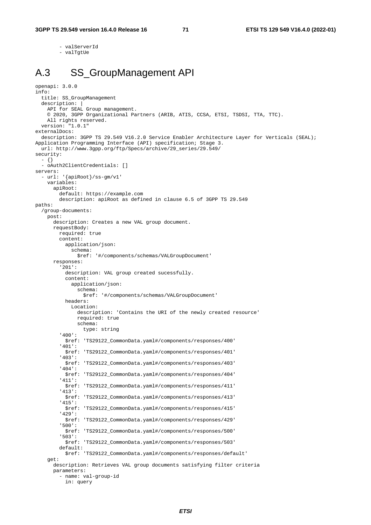- valServerId

- valTgtUe

# A.3 SS\_GroupManagement API

```
openapi: 3.0.0 
info: 
   title: SS_GroupManagement 
   description: | 
     API for SEAL Group management. 
     © 2020, 3GPP Organizational Partners (ARIB, ATIS, CCSA, ETSI, TSDSI, TTA, TTC). 
     All rights reserved. 
   version: "1.0.1" 
externalDocs: 
   description: 3GPP TS 29.549 V16.2.0 Service Enabler Architecture Layer for Verticals (SEAL); 
Application Programming Interface (API) specification; Stage 3. 
  url: http://www.3gpp.org/ftp/Specs/archive/29_series/29.549/ 
security: 
   - {} 
   - oAuth2ClientCredentials: [] 
servers: 
   - url: '{apiRoot}/ss-gm/v1' 
     variables: 
       apiRoot: 
         default: https://example.com 
         description: apiRoot as defined in clause 6.5 of 3GPP TS 29.549 
paths: 
   /group-documents: 
     post: 
       description: Creates a new VAL group document. 
       requestBody: 
         required: true 
         content: 
           application/json: 
              schema: 
                $ref: '#/components/schemas/VALGroupDocument' 
       responses: 
          '201': 
           description: VAL group created sucessfully. 
           content: 
             application/json: 
                schema: 
                 $ref: '#/components/schemas/VALGroupDocument' 
           headers: 
              Location: 
                description: 'Contains the URI of the newly created resource' 
                required: true 
               schema: 
                  type: string 
          '400': 
            $ref: 'TS29122_CommonData.yaml#/components/responses/400' 
          '401': 
           $ref: 'TS29122_CommonData.yaml#/components/responses/401' 
          '403': 
           $ref: 'TS29122_CommonData.yaml#/components/responses/403' 
          '404': 
           $ref: 'TS29122_CommonData.yaml#/components/responses/404' 
          '411': 
           $ref: 'TS29122_CommonData.yaml#/components/responses/411' 
          '413': 
           $ref: 'TS29122_CommonData.yaml#/components/responses/413' 
          '415': 
           $ref: 'TS29122_CommonData.yaml#/components/responses/415' 
          '429': 
           $ref: 'TS29122_CommonData.yaml#/components/responses/429' 
          '500': 
           $ref: 'TS29122_CommonData.yaml#/components/responses/500' 
          '503': 
           $ref: 'TS29122_CommonData.yaml#/components/responses/503' 
         default: 
           $ref: 'TS29122_CommonData.yaml#/components/responses/default' 
     get: 
       description: Retrieves VAL group documents satisfying filter criteria 
       parameters: 
         - name: val-group-id
```
in: query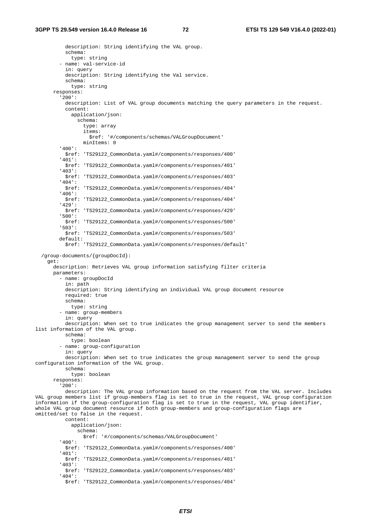description: String identifying the VAL group. schema: type: string - name: val-service-id in: query description: String identifying the Val service. schema: type: string responses: '200': description: List of VAL group documents matching the query parameters in the request. content: application/json: schema: type: array items: \$ref: '#/components/schemas/VALGroupDocument' minItems: 0 '400': \$ref: 'TS29122\_CommonData.yaml#/components/responses/400' '401': \$ref: 'TS29122\_CommonData.yaml#/components/responses/401' '403': \$ref: 'TS29122\_CommonData.yaml#/components/responses/403' '404': \$ref: 'TS29122\_CommonData.yaml#/components/responses/404' '406': \$ref: 'TS29122\_CommonData.yaml#/components/responses/404' '429': \$ref: 'TS29122\_CommonData.yaml#/components/responses/429' '500': \$ref: 'TS29122\_CommonData.yaml#/components/responses/500' '503': \$ref: 'TS29122\_CommonData.yaml#/components/responses/503' default: \$ref: 'TS29122\_CommonData.yaml#/components/responses/default' /group-documents/{groupDocId}: get: description: Retrieves VAL group information satisfying filter criteria parameters: - name: groupDocId in: path description: String identifying an individual VAL group document resource required: true schema: type: string - name: group-members in: query description: When set to true indicates the group management server to send the members list information of the VAL group. schema: type: boolean - name: group-configuration in: query description: When set to true indicates the group management server to send the group configuration information of the VAL group. schema: type: boolean responses: '200': description: The VAL group information based on the request from the VAL server. Includes VAL group members list if group-members flag is set to true in the request, VAL group configuration information if the group-configuration flag is set to true in the request, VAL group identifier, whole VAL group document resource if both group-members and group-configuration flags are omitted/set to false in the request. content: application/json: schema: \$ref: '#/components/schemas/VALGroupDocument' '400': \$ref: 'TS29122\_CommonData.yaml#/components/responses/400' '401': \$ref: 'TS29122\_CommonData.yaml#/components/responses/401' '403': \$ref: 'TS29122\_CommonData.yaml#/components/responses/403' '404': \$ref: 'TS29122\_CommonData.yaml#/components/responses/404'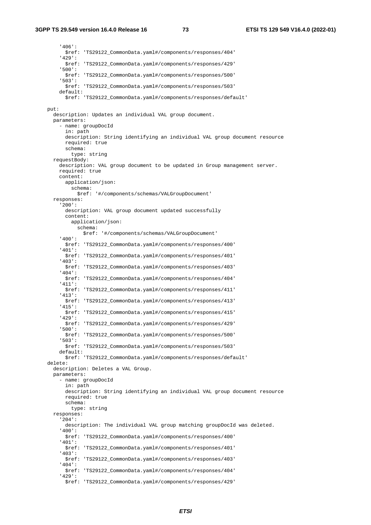'406': \$ref: 'TS29122\_CommonData.yaml#/components/responses/404' '429': \$ref: 'TS29122\_CommonData.yaml#/components/responses/429' '500': \$ref: 'TS29122\_CommonData.yaml#/components/responses/500' '503': \$ref: 'TS29122\_CommonData.yaml#/components/responses/503' default: \$ref: 'TS29122\_CommonData.yaml#/components/responses/default' put: description: Updates an individual VAL group document. parameters: - name: groupDocId in: path description: String identifying an individual VAL group document resource required: true schema: type: string requestBody: description: VAL group document to be updated in Group management server. required: true content: application/json: schema: \$ref: '#/components/schemas/VALGroupDocument' responses: '200': description: VAL group document updated successfully content: application/json: schema: \$ref: '#/components/schemas/VALGroupDocument' '400': \$ref: 'TS29122\_CommonData.yaml#/components/responses/400' '401': \$ref: 'TS29122\_CommonData.yaml#/components/responses/401' '403': \$ref: 'TS29122\_CommonData.yaml#/components/responses/403' '404': \$ref: 'TS29122\_CommonData.yaml#/components/responses/404' '411': \$ref: 'TS29122\_CommonData.yaml#/components/responses/411' '413': \$ref: 'TS29122\_CommonData.yaml#/components/responses/413' '415': \$ref: 'TS29122\_CommonData.yaml#/components/responses/415' '429': \$ref: 'TS29122\_CommonData.yaml#/components/responses/429' '500': \$ref: 'TS29122\_CommonData.yaml#/components/responses/500' '503': \$ref: 'TS29122\_CommonData.yaml#/components/responses/503' default: \$ref: 'TS29122\_CommonData.yaml#/components/responses/default' delete: description: Deletes a VAL Group. parameters: - name: groupDocId in: path description: String identifying an individual VAL group document resource required: true schema: type: string responses: '204': description: The individual VAL group matching groupDocId was deleted. '400': \$ref: 'TS29122\_CommonData.yaml#/components/responses/400' '401': \$ref: 'TS29122\_CommonData.yaml#/components/responses/401' '403': \$ref: 'TS29122\_CommonData.yaml#/components/responses/403' '404': \$ref: 'TS29122\_CommonData.yaml#/components/responses/404' '429': \$ref: 'TS29122\_CommonData.yaml#/components/responses/429'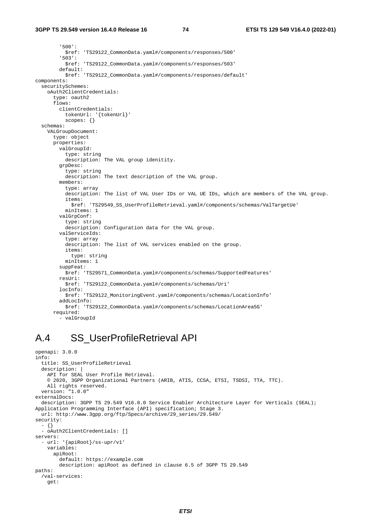```
 '500': 
            $ref: 'TS29122_CommonData.yaml#/components/responses/500' 
          '503': 
           $ref: 'TS29122_CommonData.yaml#/components/responses/503' 
         default: 
           $ref: 'TS29122_CommonData.yaml#/components/responses/default' 
components: 
   securitySchemes: 
     oAuth2ClientCredentials: 
       type: oauth2 
       flows: 
         clientCredentials: 
           tokenUrl: '{tokenUrl}' 
           scopes: {} 
   schemas: 
     VALGroupDocument: 
       type: object 
       properties: 
         valGroupId: 
           type: string 
           description: The VAL group idenitity. 
         grpDesc: 
           type: string 
           description: The text description of the VAL group. 
         members: 
           type: array 
            description: The list of VAL User IDs or VAL UE IDs, which are members of the VAL group. 
            items: 
              $ref: 'TS29549_SS_UserProfileRetrieval.yaml#/components/schemas/ValTargetUe' 
           minItems: 1 
         valGrpConf: 
           type: string 
           description: Configuration data for the VAL group. 
         valServiceIds: 
           type: array 
            description: The list of VAL services enabled on the group. 
           items: 
              type: string 
           minItems: 1 
         suppFeat: 
           $ref: 'TS29571_CommonData.yaml#/components/schemas/SupportedFeatures' 
         resUri: 
           $ref: 'TS29122_CommonData.yaml#/components/schemas/Uri' 
         locInfo: 
           $ref: 'TS29122_MonitoringEvent.yaml#/components/schemas/LocationInfo' 
         addLocInfo: 
           $ref: 'TS29122_CommonData.yaml#/components/schemas/LocationArea5G' 
       required: 
          - valGroupId
```
### A.4 SS\_UserProfileRetrieval API

```
openapi: 3.0.0 
info: 
   title: SS_UserProfileRetrieval 
   description: | 
     API for SEAL User Profile Retrieval. 
     © 2020, 3GPP Organizational Partners (ARIB, ATIS, CCSA, ETSI, TSDSI, TTA, TTC). 
     All rights reserved. 
   version: "1.0.0" 
externalDocs: 
   description: 3GPP TS 29.549 V16.0.0 Service Enabler Architecture Layer for Verticals (SEAL); 
Application Programming Interface (API) specification; Stage 3. 
   url: http://www.3gpp.org/ftp/Specs/archive/29_series/29.549/ 
security: 
   - {} 
   - oAuth2ClientCredentials: [] 
servers: 
   - url: '{apiRoot}/ss-upr/v1' 
     variables: 
       apiRoot: 
         default: https://example.com 
         description: apiRoot as defined in clause 6.5 of 3GPP TS 29.549 
paths: 
   /val-services: 
     get:
```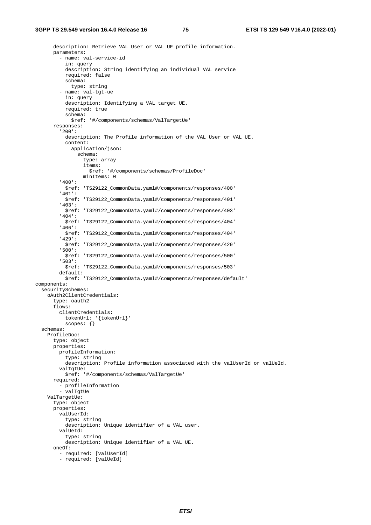description: Retrieve VAL User or VAL UE profile information. parameters: - name: val-service-id in: query description: String identifying an individual VAL service required: false schema: type: string - name: val-tgt-ue in: query description: Identifying a VAL target UE. required: true schema: \$ref: '#/components/schemas/ValTargetUe' responses: '200': description: The Profile information of the VAL User or VAL UE. content: application/json: schema: type: array items: \$ref: '#/components/schemas/ProfileDoc' minItems: 0 '400': \$ref: 'TS29122\_CommonData.yaml#/components/responses/400' '401': \$ref: 'TS29122\_CommonData.yaml#/components/responses/401' '403': \$ref: 'TS29122\_CommonData.yaml#/components/responses/403' '404': \$ref: 'TS29122\_CommonData.yaml#/components/responses/404' '406': \$ref: 'TS29122\_CommonData.yaml#/components/responses/404' '429': \$ref: 'TS29122\_CommonData.yaml#/components/responses/429' '500': \$ref: 'TS29122\_CommonData.yaml#/components/responses/500' '503': \$ref: 'TS29122\_CommonData.yaml#/components/responses/503' default: \$ref: 'TS29122\_CommonData.yaml#/components/responses/default' components: securitySchemes: oAuth2ClientCredentials: type: oauth2 flows: clientCredentials: tokenUrl: '{tokenUrl}' scopes: {} schemas: ProfileDoc: type: object properties: profileInformation: type: string description: Profile information associated with the valUserId or valUeId. valTgtUe: \$ref: '#/components/schemas/ValTargetUe' required: - profileInformation - valTgtUe ValTargetUe: type: object properties: valUserId: type: string description: Unique identifier of a VAL user. valUeId: type: string description: Unique identifier of a VAL UE. oneOf: - required: [valUserId] - required: [valUeId]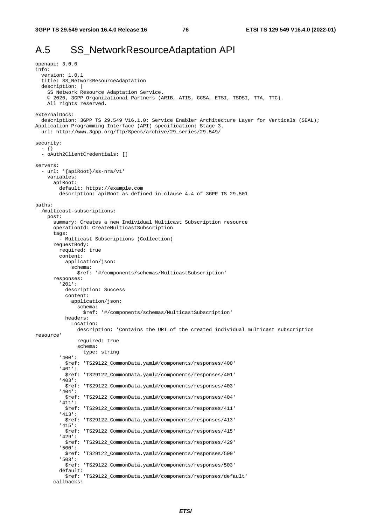## A.5 SS NetworkResourceAdaptation API

```
openapi: 3.0.0 
info: 
   version: 1.0.1 
   title: SS_NetworkResourceAdaptation 
   description: | 
     SS Network Resource Adaptation Service. 
     © 2020, 3GPP Organizational Partners (ARIB, ATIS, CCSA, ETSI, TSDSI, TTA, TTC). 
     All rights reserved. 
externalDocs: 
   description: 3GPP TS 29.549 V16.1.0; Service Enabler Architecture Layer for Verticals (SEAL); 
Application Programming Interface (API) specification; Stage 3. 
   url: http://www.3gpp.org/ftp/Specs/archive/29_series/29.549/ 
security: 
   - {} 
   - oAuth2ClientCredentials: [] 
servers: 
   - url: '{apiRoot}/ss-nra/v1' 
     variables: 
       apiRoot: 
         default: https://example.com 
         description: apiRoot as defined in clause 4.4 of 3GPP TS 29.501 
paths: 
   /multicast-subscriptions: 
    post: 
       summary: Creates a new Individual Multicast Subscription resource 
       operationId: CreateMulticastSubscription 
       tags: 
          - Multicast Subscriptions (Collection) 
       requestBody: 
         required: true 
         content: 
           application/json: 
             schema: 
                $ref: '#/components/schemas/MulticastSubscription' 
       responses: 
          '201': 
           description: Success 
           content: 
             application/json: 
                schema: 
                  $ref: '#/components/schemas/MulticastSubscription' 
           headers: 
             Location: 
                description: 'Contains the URI of the created individual multicast subscription 
resource' 
                required: true 
                schema: 
                 type: string 
          '400': 
           $ref: 'TS29122_CommonData.yaml#/components/responses/400' 
          '401': 
           $ref: 'TS29122_CommonData.yaml#/components/responses/401' 
          '403': 
           $ref: 'TS29122_CommonData.yaml#/components/responses/403' 
          '404': 
           $ref: 'TS29122_CommonData.yaml#/components/responses/404' 
          '411': 
           $ref: 'TS29122_CommonData.yaml#/components/responses/411' 
          '413': 
           $ref: 'TS29122_CommonData.yaml#/components/responses/413' 
          '415': 
           $ref: 'TS29122_CommonData.yaml#/components/responses/415' 
          '429': 
            $ref: 'TS29122_CommonData.yaml#/components/responses/429' 
          '500': 
           $ref: 'TS29122_CommonData.yaml#/components/responses/500' 
          '503': 
           $ref: 'TS29122_CommonData.yaml#/components/responses/503' 
         default: 
            $ref: 'TS29122_CommonData.yaml#/components/responses/default' 
       callbacks:
```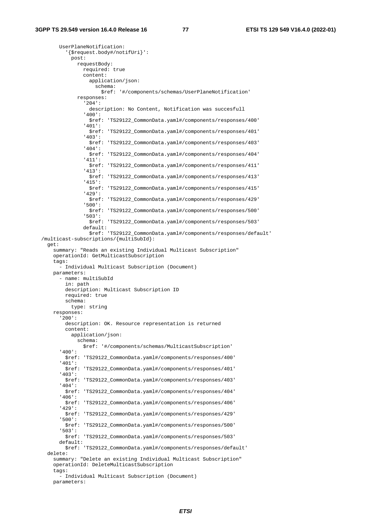UserPlaneNotification: '{\$request.body#/notifUri}': post: requestBody: required: true content: application/json: schema: \$ref: '#/components/schemas/UserPlaneNotification' responses: '204': description: No Content, Notification was succesfull '400': \$ref: 'TS29122\_CommonData.yaml#/components/responses/400' '401': \$ref: 'TS29122\_CommonData.yaml#/components/responses/401' '403': \$ref: 'TS29122\_CommonData.yaml#/components/responses/403' '404': \$ref: 'TS29122\_CommonData.yaml#/components/responses/404' '411': \$ref: 'TS29122\_CommonData.yaml#/components/responses/411' '413': \$ref: 'TS29122\_CommonData.yaml#/components/responses/413' '415': \$ref: 'TS29122\_CommonData.yaml#/components/responses/415' '429': \$ref: 'TS29122\_CommonData.yaml#/components/responses/429' '500': \$ref: 'TS29122\_CommonData.yaml#/components/responses/500' '503': \$ref: 'TS29122\_CommonData.yaml#/components/responses/503' default: \$ref: 'TS29122\_CommonData.yaml#/components/responses/default' /multicast-subscriptions/{multiSubId}: get: summary: "Reads an existing Individual Multicast Subscription" operationId: GetMulticastSubscription tags: - Individual Multicast Subscription (Document) parameters: - name: multiSubId in: path description: Multicast Subscription ID required: true schema: type: string responses: '200': description: OK. Resource representation is returned content: application/json: schema: \$ref: '#/components/schemas/MulticastSubscription' '400': \$ref: 'TS29122\_CommonData.yaml#/components/responses/400' '401': \$ref: 'TS29122\_CommonData.yaml#/components/responses/401' '403': \$ref: 'TS29122\_CommonData.yaml#/components/responses/403' '404': \$ref: 'TS29122\_CommonData.yaml#/components/responses/404' '406': \$ref: 'TS29122\_CommonData.yaml#/components/responses/406' '429': \$ref: 'TS29122\_CommonData.yaml#/components/responses/429' '500': \$ref: 'TS29122\_CommonData.yaml#/components/responses/500' '503': \$ref: 'TS29122\_CommonData.yaml#/components/responses/503' default: \$ref: 'TS29122\_CommonData.yaml#/components/responses/default' delete: summary: "Delete an existing Individual Multicast Subscription" operationId: DeleteMulticastSubscription tags: - Individual Multicast Subscription (Document) parameters: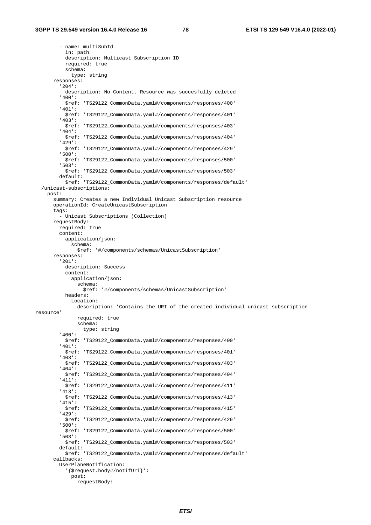- name: multiSubId in: path description: Multicast Subscription ID required: true schema: type: string responses: '204': description: No Content. Resource was succesfully deleted '400': \$ref: 'TS29122\_CommonData.yaml#/components/responses/400' '401': \$ref: 'TS29122\_CommonData.yaml#/components/responses/401' '403': \$ref: 'TS29122\_CommonData.yaml#/components/responses/403' '404': \$ref: 'TS29122\_CommonData.yaml#/components/responses/404' '429': \$ref: 'TS29122\_CommonData.yaml#/components/responses/429' '500': \$ref: 'TS29122\_CommonData.yaml#/components/responses/500' '503': \$ref: 'TS29122\_CommonData.yaml#/components/responses/503' default: \$ref: 'TS29122\_CommonData.yaml#/components/responses/default' /unicast-subscriptions: post: summary: Creates a new Individual Unicast Subscription resource operationId: CreateUnicastSubscription tags: - Unicast Subscriptions (Collection) requestBody: required: true content: application/json: schema: \$ref: '#/components/schemas/UnicastSubscription' responses: '201': description: Success content: application/json: schema: \$ref: '#/components/schemas/UnicastSubscription' headers: Location: description: 'Contains the URI of the created individual unicast subscription resource' required: true schema: type: string '400': \$ref: 'TS29122\_CommonData.yaml#/components/responses/400' '401': \$ref: 'TS29122\_CommonData.yaml#/components/responses/401' '403': \$ref: 'TS29122\_CommonData.yaml#/components/responses/403' '404': \$ref: 'TS29122\_CommonData.yaml#/components/responses/404' '411': \$ref: 'TS29122\_CommonData.yaml#/components/responses/411' '413': \$ref: 'TS29122\_CommonData.yaml#/components/responses/413' '415': \$ref: 'TS29122\_CommonData.yaml#/components/responses/415' '429': \$ref: 'TS29122\_CommonData.yaml#/components/responses/429' '500': \$ref: 'TS29122\_CommonData.yaml#/components/responses/500' '503': \$ref: 'TS29122\_CommonData.yaml#/components/responses/503' default: \$ref: 'TS29122\_CommonData.yaml#/components/responses/default' callbacks: UserPlaneNotification: '{\$request.body#/notifUri}': post: requestBody: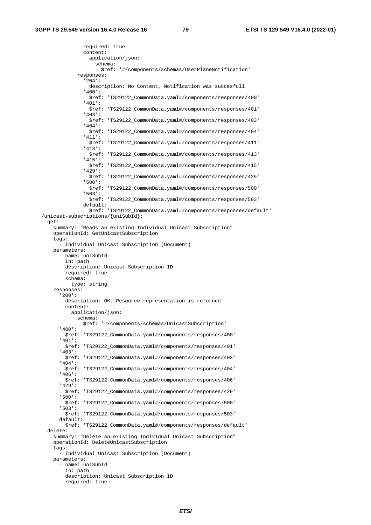required: true content: application/json: schema: \$ref: '#/components/schemas/UserPlaneNotification' responses: '204': description: No Content, Notification was succesfull '400': \$ref: 'TS29122\_CommonData.yaml#/components/responses/400' '401': \$ref: 'TS29122\_CommonData.yaml#/components/responses/401' '403': \$ref: 'TS29122\_CommonData.yaml#/components/responses/403' '404': \$ref: 'TS29122\_CommonData.yaml#/components/responses/404' '411': \$ref: 'TS29122\_CommonData.yaml#/components/responses/411' '413': \$ref: 'TS29122\_CommonData.yaml#/components/responses/413' '415': \$ref: 'TS29122\_CommonData.yaml#/components/responses/415' '429': \$ref: 'TS29122\_CommonData.yaml#/components/responses/429' '500': \$ref: 'TS29122\_CommonData.yaml#/components/responses/500' '503': \$ref: 'TS29122\_CommonData.yaml#/components/responses/503' default: \$ref: 'TS29122\_CommonData.yaml#/components/responses/default' /unicast-subscriptions/{uniSubId}: get: summary: "Reads an existing Individual Unicast Subscription" operationId: GetUnicastSubscription tags: - Individual Unicast Subscription (Document) parameters: - name: uniSubId in: path description: Unicast Subscription ID required: true schema: type: string responses: '200': description: OK. Resource representation is returned content: application/json: schema: \$ref: '#/components/schemas/UnicastSubscription' '400': \$ref: 'TS29122\_CommonData.yaml#/components/responses/400' '401': \$ref: 'TS29122\_CommonData.yaml#/components/responses/401' '403': \$ref: 'TS29122\_CommonData.yaml#/components/responses/403' '404': \$ref: 'TS29122\_CommonData.yaml#/components/responses/404' '406': \$ref: 'TS29122\_CommonData.yaml#/components/responses/406' '429': \$ref: 'TS29122\_CommonData.yaml#/components/responses/429' '500': \$ref: 'TS29122\_CommonData.yaml#/components/responses/500' '503': \$ref: 'TS29122\_CommonData.yaml#/components/responses/503' default: \$ref: 'TS29122\_CommonData.yaml#/components/responses/default' delete: summary: "Delete an existing Individual Unicast Subscription" operationId: DeleteUnicastSubscription tags: - Individual Unicast Subscription (Document) parameters: - name: uniSubId in: path description: Unicast Subscription ID

```
 required: true
```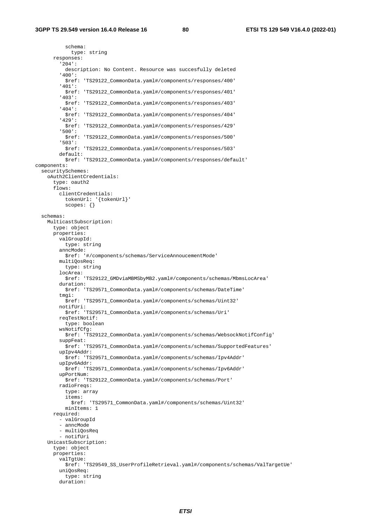schema: type: string responses: '204': description: No Content. Resource was succesfully deleted '400': \$ref: 'TS29122\_CommonData.yaml#/components/responses/400' '401': \$ref: 'TS29122\_CommonData.yaml#/components/responses/401' '403': \$ref: 'TS29122\_CommonData.yaml#/components/responses/403' '404': \$ref: 'TS29122\_CommonData.yaml#/components/responses/404' '429': \$ref: 'TS29122\_CommonData.yaml#/components/responses/429' '500': \$ref: 'TS29122\_CommonData.yaml#/components/responses/500' '503': \$ref: 'TS29122\_CommonData.yaml#/components/responses/503' default: \$ref: 'TS29122\_CommonData.yaml#/components/responses/default' components: securitySchemes: oAuth2ClientCredentials: type: oauth2 flows: clientCredentials: tokenUrl: '{tokenUrl}' scopes: {} schemas: MulticastSubscription: type: object properties: valGroupId: type: string anncMode: \$ref: '#/components/schemas/ServiceAnnoucementMode' multiQosReq: type: string locArea: \$ref: 'TS29122\_GMDviaMBMSbyMB2.yaml#/components/schemas/MbmsLocArea' duration: \$ref: 'TS29571\_CommonData.yaml#/components/schemas/DateTime' tmgi: \$ref: 'TS29571\_CommonData.yaml#/components/schemas/Uint32' notifUri: \$ref: 'TS29571\_CommonData.yaml#/components/schemas/Uri' reqTestNotif: type: boolean wsNotifCfg: \$ref: 'TS29122\_CommonData.yaml#/components/schemas/WebsockNotifConfig' suppFeat: \$ref: 'TS29571\_CommonData.yaml#/components/schemas/SupportedFeatures' upIpv4Addr: . .<br>\$ref: 'TS29571\_CommonData.yaml#/components/schemas/Ipv4Addr' upIpv6Addr: \$ref: 'TS29571\_CommonData.yaml#/components/schemas/Ipv6Addr' upPortNum: \$ref: 'TS29122\_CommonData.yaml#/components/schemas/Port' radioFreqs: type: array items: \$ref: 'TS29571\_CommonData.yaml#/components/schemas/Uint32' minItems: 1 required: - valGroupId - anncMode - multiQosReq - notifUri UnicastSubscription: type: object properties: valTgtUe: \$ref: 'TS29549\_SS\_UserProfileRetrieval.yaml#/components/schemas/ValTargetUe' uniQosReq: type: string duration: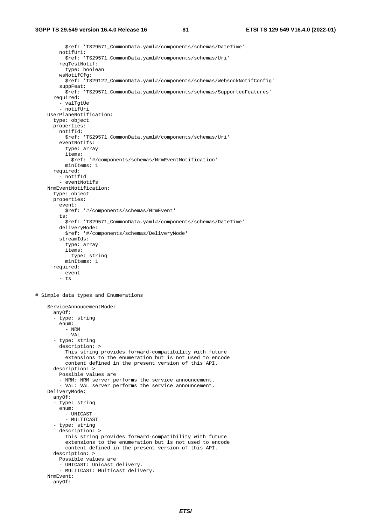\$ref: 'TS29571\_CommonData.yaml#/components/schemas/DateTime' notifUri: \$ref: 'TS29571\_CommonData.yaml#/components/schemas/Uri' reqTestNotif: type: boolean wsNotifCfg: \$ref: 'TS29122\_CommonData.yaml#/components/schemas/WebsockNotifConfig' suppFeat: \$ref: 'TS29571\_CommonData.yaml#/components/schemas/SupportedFeatures' required: - valTgtUe - notifUri UserPlaneNotification: type: object properties: notifId: \$ref: 'TS29571\_CommonData.yaml#/components/schemas/Uri' eventNotifs: type: array items: \$ref: '#/components/schemas/NrmEventNotification' minItems: 1 required: - notifId - eventNotifs NrmEventNotification: type: object properties: event: \$ref: '#/components/schemas/NrmEvent' ts: \$ref: 'TS29571\_CommonData.yaml#/components/schemas/DateTime' deliveryMode: \$ref: '#/components/schemas/DeliveryMode' streamIds: type: array items: type: string minItems: 1 required: - event - ts # Simple data types and Enumerations ServiceAnnoucementMode: anyOf: - type: string enum: - NRM - VAL - type: string description: > This string provides forward-compatibility with future extensions to the enumeration but is not used to encode content defined in the present version of this API. description: > Possible values are - NRM: NRM server performs the service announcement. - VAL: VAL server performs the service announcement. DeliveryMode: anyOf: - type: string enum: - UNICAST - MULTICAST - type: string description: > This string provides forward-compatibility with future extensions to the enumeration but is not used to encode content defined in the present version of this API. description: > Possible values are - UNICAST: Unicast delivery. - MULTICAST: Multicast delivery. NrmEvent: anyOf: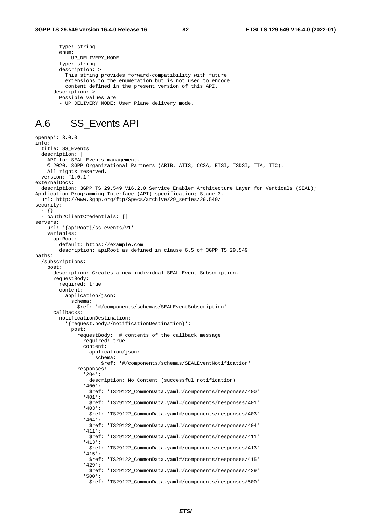```
 - type: string 
   enum: 
   - UP_DELIVERY_MODE
 - type: string 
   description: > 
     This string provides forward-compatibility with future 
     extensions to the enumeration but is not used to encode 
     content defined in the present version of this API. 
 description: > 
   Possible values are 
   - UP_DELIVERY_MODE: User Plane delivery mode.
```
#### A.6 SS\_Events API

```
openapi: 3.0.0 
info: 
   title: SS_Events 
   description: | 
    API for SEAL Events management. 
     © 2020, 3GPP Organizational Partners (ARIB, ATIS, CCSA, ETSI, TSDSI, TTA, TTC). 
     All rights reserved. 
   version: "1.0.1" 
externalDocs: 
   description: 3GPP TS 29.549 V16.2.0 Service Enabler Architecture Layer for Verticals (SEAL); 
Application Programming Interface (API) specification; Stage 3. 
   url: http://www.3gpp.org/ftp/Specs/archive/29_series/29.549/ 
security: 
   - {} 
   - oAuth2ClientCredentials: [] 
servers: 
   - url: '{apiRoot}/ss-events/v1' 
     variables: 
       apiRoot: 
         default: https://example.com 
         description: apiRoot as defined in clause 6.5 of 3GPP TS 29.549 
paths: 
   /subscriptions: 
     post: 
       description: Creates a new individual SEAL Event Subscription. 
       requestBody: 
         required: true 
         content: 
           application/json: 
             schema: 
                $ref: '#/components/schemas/SEALEventSubscription' 
       callbacks: 
         notificationDestination: 
            '{request.body#/notificationDestination}': 
             post: 
                requestBody: # contents of the callback message 
                  required: true 
                  content: 
                    application/json: 
                      schema: 
                        $ref: '#/components/schemas/SEALEventNotification' 
                responses: 
                   '204': 
                    description: No Content (successful notification) 
                  '400': 
                    $ref: 'TS29122_CommonData.yaml#/components/responses/400' 
                  '401': 
                    $ref: 'TS29122_CommonData.yaml#/components/responses/401' 
                  '403': 
                    $ref: 'TS29122_CommonData.yaml#/components/responses/403' 
                  '404': 
                    $ref: 'TS29122_CommonData.yaml#/components/responses/404' 
                  '411': 
                    $ref: 'TS29122_CommonData.yaml#/components/responses/411' 
                  '413': 
                    $ref: 'TS29122_CommonData.yaml#/components/responses/413' 
                   '415': 
                    $ref: 'TS29122_CommonData.yaml#/components/responses/415' 
                  '429': 
                    $ref: 'TS29122_CommonData.yaml#/components/responses/429' 
                  '500': 
                    $ref: 'TS29122_CommonData.yaml#/components/responses/500'
```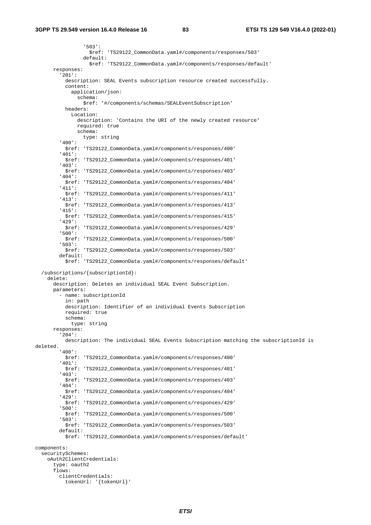'503': \$ref: 'TS29122\_CommonData.yaml#/components/responses/503' default: \$ref: 'TS29122\_CommonData.yaml#/components/responses/default' responses: '201': description: SEAL Events subscription resource created successfully. content: application/json: schema: \$ref: '#/components/schemas/SEALEventSubscription' headers: Location: description: 'Contains the URI of the newly created resource' required: true schema: type: string '400': \$ref: 'TS29122\_CommonData.yaml#/components/responses/400' '401': \$ref: 'TS29122\_CommonData.yaml#/components/responses/401' '403': \$ref: 'TS29122\_CommonData.yaml#/components/responses/403' '404': \$ref: 'TS29122\_CommonData.yaml#/components/responses/404' '411': \$ref: 'TS29122\_CommonData.yaml#/components/responses/411' '413': \$ref: 'TS29122\_CommonData.yaml#/components/responses/413' '415': \$ref: 'TS29122\_CommonData.yaml#/components/responses/415' '429': \$ref: 'TS29122\_CommonData.yaml#/components/responses/429' '500': \$ref: 'TS29122\_CommonData.yaml#/components/responses/500' '503': \$ref: 'TS29122\_CommonData.yaml#/components/responses/503' default: \$ref: 'TS29122\_CommonData.yaml#/components/responses/default' /subscriptions/{subscriptionId}: delete: description: Deletes an individual SEAL Event Subscription. parameters: - name: subscriptionId in: path description: Identifier of an individual Events Subscription required: true schema: type: string responses: '204': description: The individual SEAL Events Subscription matching the subscriptionId is deleted. '400': \$ref: 'TS29122\_CommonData.yaml#/components/responses/400' '401': \$ref: 'TS29122\_CommonData.yaml#/components/responses/401' '403': \$ref: 'TS29122\_CommonData.yaml#/components/responses/403' '404': \$ref: 'TS29122\_CommonData.yaml#/components/responses/404' '429': \$ref: 'TS29122\_CommonData.yaml#/components/responses/429' '500': \$ref: 'TS29122\_CommonData.yaml#/components/responses/500' '503': \$ref: 'TS29122\_CommonData.yaml#/components/responses/503' default: \$ref: 'TS29122\_CommonData.yaml#/components/responses/default' components: securitySchemes: oAuth2ClientCredentials: type: oauth2 flows: clientCredentials: tokenUrl: '{tokenUrl}'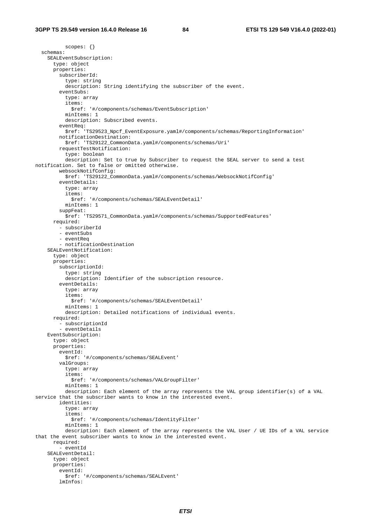scopes: {} schemas: SEALEventSubscription: type: object properties: subscriberId: type: string description: String identifying the subscriber of the event. eventSubs: type: array items: \$ref: '#/components/schemas/EventSubscription' minItems: 1 description: Subscribed events. eventReq: \$ref: 'TS29523\_Npcf\_EventExposure.yaml#/components/schemas/ReportingInformation' notificationDestination: \$ref: 'TS29122\_CommonData.yaml#/components/schemas/Uri' requestTestNotification: type: boolean description: Set to true by Subscriber to request the SEAL server to send a test notification. Set to false or omitted otherwise. websockNotifConfig: \$ref: 'TS29122\_CommonData.yaml#/components/schemas/WebsockNotifConfig' eventDetails: type: array items: \$ref: '#/components/schemas/SEALEventDetail' minItems: 1 suppFeat: \$ref: 'TS29571\_CommonData.yaml#/components/schemas/SupportedFeatures' required: - subscriberId - eventSubs - eventReq - notificationDestination SEALEventNotification: type: object properties: subscriptionId: type: string description: Identifier of the subscription resource. eventDetails: type: array items: \$ref: '#/components/schemas/SEALEventDetail' minItems: 1 description: Detailed notifications of individual events. required: - subscriptionId - eventDetails EventSubscription: type: object properties: eventId: \$ref: '#/components/schemas/SEALEvent' valGroups: type: array items: \$ref: '#/components/schemas/VALGroupFilter' minItems: 1 description: Each element of the array represents the VAL group identifier(s) of a VAL service that the subscriber wants to know in the interested event. identities: type: array items: \$ref: '#/components/schemas/IdentityFilter' minItems: 1 description: Each element of the array represents the VAL User / UE IDs of a VAL service that the event subscriber wants to know in the interested event. required: - eventId SEALEventDetail: type: object properties: eventId: \$ref: '#/components/schemas/SEALEvent' lmInfos: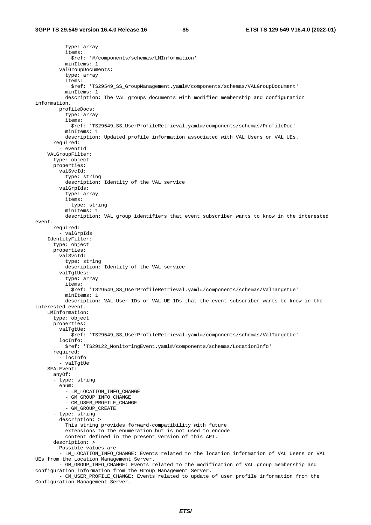type: array items: \$ref: '#/components/schemas/LMInformation' minItems: 1 valGroupDocuments: type: array items: \$ref: 'TS29549\_SS\_GroupManagement.yaml#/components/schemas/VALGroupDocument' minItems: 1 description: The VAL groups documents with modified membership and configuration information. profileDocs: type: array items: \$ref: 'TS29549\_SS\_UserProfileRetrieval.yaml#/components/schemas/ProfileDoc' minItems: 1 description: Updated profile information associated with VAL Users or VAL UEs. required: - eventId VALGroupFilter: type: object properties: valSvcId: type: string description: Identity of the VAL service valGrpIds: type: array items: type: string minItems: 1 description: VAL group identifiers that event subscriber wants to know in the interested event. required: - valGrpIds IdentityFilter: type: object properties: valSvcId: type: string description: Identity of the VAL service valTgtUes: type: array items: \$ref: 'TS29549\_SS\_UserProfileRetrieval.yaml#/components/schemas/ValTargetUe' minItems: 1 description: VAL User IDs or VAL UE IDs that the event subscriber wants to know in the interested event. LMInformation: type: object properties: valTgtUe: \$ref: 'TS29549\_SS\_UserProfileRetrieval.yaml#/components/schemas/ValTargetUe' locInfo: \$ref: 'TS29122\_MonitoringEvent.yaml#/components/schemas/LocationInfo' required:  $-$  locInfo - valTgtUe SEALEvent: anyOf: - type: string enum: - LM\_LOCATION\_INFO\_CHANGE - GM\_GROUP\_INFO\_CHANGE - CM\_USER\_PROFILE\_CHANGE - GM\_GROUP\_CREATE - type: string description: > This string provides forward-compatibility with future extensions to the enumeration but is not used to encode content defined in the present version of this API. description: > Possible values are - LM\_LOCATION\_INFO\_CHANGE: Events related to the location information of VAL Users or VAL UEs from the Location Management Server. - GM\_GROUP\_INFO\_CHANGE: Events related to the modification of VAL group membership and configuration information from the Group Management Server.

- CM USER PROFILE CHANGE: Events related to update of user profile information from the Configuration Management Server.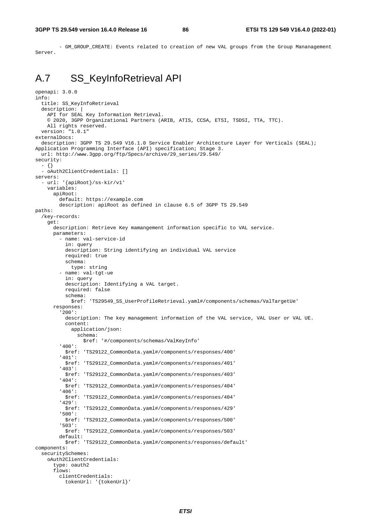- GM\_GROUP\_CREATE: Events related to creation of new VAL groups from the Group Mananagement Server.

# A.7 SS\_KeyInfoRetrieval API

```
openapi: 3.0.0 
info: 
   title: SS_KeyInfoRetrieval 
  description:
     API for SEAL Key Information Retrieval. 
     © 2020, 3GPP Organizational Partners (ARIB, ATIS, CCSA, ETSI, TSDSI, TTA, TTC). 
     All rights reserved. 
   version: "1.0.1" 
externalDocs: 
   description: 3GPP TS 29.549 V16.1.0 Service Enabler Architecture Layer for Verticals (SEAL); 
Application Programming Interface (API) specification; Stage 3. 
   url: http://www.3gpp.org/ftp/Specs/archive/29_series/29.549/ 
security: 
   - {} 
   - oAuth2ClientCredentials: [] 
servers: 
   - url: '{apiRoot}/ss-kir/v1' 
     variables: 
       apiRoot: 
         default: https://example.com 
         description: apiRoot as defined in clause 6.5 of 3GPP TS 29.549 
paths: 
   /key-records: 
     get: 
       description: Retrieve Key mamangement information specific to VAL service. 
       parameters: 
          - name: val-service-id 
            in: query 
           description: String identifying an individual VAL service 
           required: true 
           schema: 
             type: string 
          - name: val-tgt-ue 
           in: query 
           description: Identifying a VAL target. 
           required: false 
           schema: 
             $ref: 'TS29549_SS_UserProfileRetrieval.yaml#/components/schemas/ValTargetUe' 
       responses: 
          '200': 
           description: The key management information of the VAL service, VAL User or VAL UE. 
           content: 
             application/json: 
                schema: 
                  $ref: '#/components/schemas/ValKeyInfo' 
          '400': 
           $ref: 'TS29122_CommonData.yaml#/components/responses/400' 
          '401': 
           $ref: 'TS29122_CommonData.yaml#/components/responses/401' 
          '403': 
           $ref: 'TS29122_CommonData.yaml#/components/responses/403' 
          '404': 
           $ref: 'TS29122_CommonData.yaml#/components/responses/404' 
          '406': 
           $ref: 'TS29122_CommonData.yaml#/components/responses/404' 
          '429': 
           $ref: 'TS29122_CommonData.yaml#/components/responses/429' 
          '500': 
           $ref: 'TS29122_CommonData.yaml#/components/responses/500' 
          '503': 
           $ref: 'TS29122_CommonData.yaml#/components/responses/503' 
         default: 
           $ref: 'TS29122_CommonData.yaml#/components/responses/default' 
components: 
   securitySchemes: 
     oAuth2ClientCredentials: 
       type: oauth2 
       flows: 
         clientCredentials: 
           tokenUrl: '{tokenUrl}'
```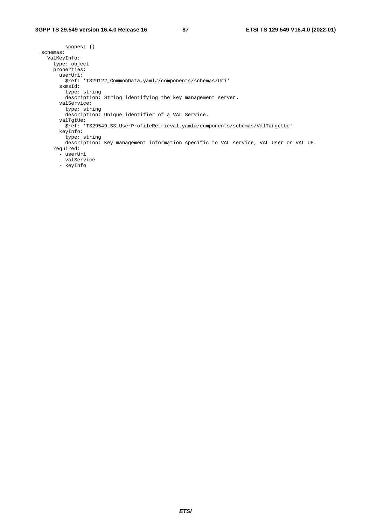scopes: {} schemas: ValKeyInfo: type: object properties: userUri: \$ref: 'TS29122\_CommonData.yaml#/components/schemas/Uri' skmsId: type: string description: String identifying the key management server. valService: type: string description: Unique identifier of a VAL Service. valTgtUe: \$ref: 'TS29549\_SS\_UserProfileRetrieval.yaml#/components/schemas/ValTargetUe' keyInfo: type: string description: Key management information specific to VAL service, VAL User or VAL UE. required: - userUri - valService - keyInfo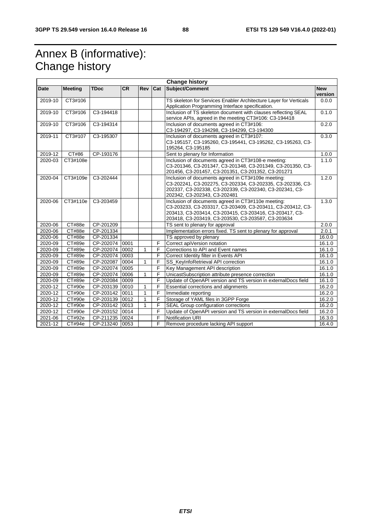# Annex B (informative): Change history

|             |                |                |           |              |                | <b>Change history</b>                                                                                                                                                                                                             |                       |
|-------------|----------------|----------------|-----------|--------------|----------------|-----------------------------------------------------------------------------------------------------------------------------------------------------------------------------------------------------------------------------------|-----------------------|
| Date        | <b>Meeting</b> | <b>TDoc</b>    | <b>CR</b> | Rev          | Cat            | Subject/Comment                                                                                                                                                                                                                   | <b>New</b><br>version |
| 2019-10     | CT3#106        |                |           |              |                | TS skeleton for Services Enabler Architecture Layer for Verticals<br>Application Programming Interface specification.                                                                                                             | 0.0.0                 |
| 2019-10     | CT3#106        | C3-194418      |           |              |                | Inclusion of TS skeleton document with clauses reflecting SEAL<br>service APIs, agreed in the meeting CT3#106: C3-194418                                                                                                          | 0.1.0                 |
| 2019-10     | CT3#106        | C3-194314      |           |              |                | Inclusion of documents agreed in CT3#106:<br>C3-194297, C3-194298, C3-194299, C3-194300                                                                                                                                           | 0.2.0                 |
| 2019-11     | CT3#107        | C3-195307      |           |              |                | Inclusion of documents agreed in CT3#107:<br>C3-195157, C3-195260, C3-195441, C3-195262, C3-195263, C3-<br>195264, C3-195185                                                                                                      | 0.3.0                 |
| $2019 - 12$ | CT#86          | CP-193176      |           |              |                | Sent to plenary for Information                                                                                                                                                                                                   | 1.0.0                 |
| 2020-03     | CT3#108e       |                |           |              |                | Inclusion of documents agreed in CT3#108-e meeting:<br>C3-201346, C3-201347, C3-201348, C3-201349, C3-201350, C3-<br>201456, C3-201457, C3-201351, C3-201352, C3-201271                                                           | 1.1.0                 |
| 2020-04     | CT3#109e       | C3-202444      |           |              |                | Inclusion of documents agreed in CT3#109e meeting:<br>C3-202241, C3-202275, C3-202334, C3-202335, C3-202336, C3-<br>202337, C3-202338, C3-202339, C3-202340, C3-202341, C3-<br>202342, C3-202343, C3-202481                       | 1.2.0                 |
| 2020-06     | CT3#110e       | C3-203459      |           |              |                | Inclusion of documents agreed in CT3#110e meeting:<br>C3-203233, C3-203317, C3-203409, C3-203411, C3-203412, C3-<br>203413, C3-203414, C3-203415, C3-203416, C3-203417, C3-<br>203418, C3-203419, C3-203530, C3-203587, C3-203634 | 1.3.0                 |
| 2020-06     | CT#88e         | CP-201209      |           |              |                | TS sent to plenary for approval                                                                                                                                                                                                   | 2.0.0                 |
| 2020-06     | CT#88e         | CP-201334      |           |              |                | Implementation errors fixed. TS sent to plenary for approval                                                                                                                                                                      | 2.0.1                 |
| 2020-06     | CT#88e         | CP-201334      |           |              |                | TS approved by plenary                                                                                                                                                                                                            | 16.0.0                |
| 2020-09     | CT#89e         | CP-202074 0001 |           |              | F              | Correct apiVersion notation                                                                                                                                                                                                       | 16.1.0                |
| 2020-09     | CT#89e         | CP-202074 0002 |           | 1            | F              | Corrections to API and Event names                                                                                                                                                                                                | 16.1.0                |
| 2020-09     | CT#89e         | CP-202074 0003 |           |              | F              | Correct Identity filter in Events API                                                                                                                                                                                             | 16.1.0                |
| 2020-09     | <b>CT#89e</b>  | CP-202087 0004 |           | 1            | F              | SS_KeyInfoRetrieval API correction                                                                                                                                                                                                | 16.1.0                |
| 2020-09     | CT#89e         | CP-202074 0005 |           |              | F              | Key Management API description                                                                                                                                                                                                    | 16.1.0                |
| 2020-09     | CT#89e         | CP-202074 0006 |           | $\mathbf{1}$ | F              | UnicastSubscription attribute presence correction                                                                                                                                                                                 | 16.1.0                |
| 2020-09     | CT#89e         | CP-202084      | 0009      |              | F              | Update of OpenAPI version and TS version in externalDocs field                                                                                                                                                                    | 16.1.0                |
| 2020-12     | CT#90e         | CP-203139 0010 |           | $\mathbf{1}$ | $\overline{F}$ | <b>Essential corrections and alignments</b>                                                                                                                                                                                       | 16.2.0                |
| 2020-12     | CT#90e         | CP-203142 0011 |           | $\mathbf{1}$ | F              | Immediate reporting                                                                                                                                                                                                               | 16.2.0                |
| 2020-12     | CT#90e         | CP-203139 0012 |           | $\mathbf{1}$ | F              | Storage of YAML files in 3GPP Forge                                                                                                                                                                                               | 16.2.0                |
| 2020-12     | CT#90e         | CP-203142 0013 |           | 1            | F              | SEAL Group configuration corrections                                                                                                                                                                                              | 16.2.0                |
| 2020-12     | CT#90e         | CP-203152 0014 |           |              | F              | Update of OpenAPI version and TS version in externalDocs field                                                                                                                                                                    | 16.2.0                |
| 2021-06     | CT#92e         | CP-211235 0024 |           |              | F              | Notification URI                                                                                                                                                                                                                  | 16.3.0                |
| 2021-12     | CT#94e         | CP-213240 0053 |           |              | F              | Remove procedure lacking API support                                                                                                                                                                                              | 16.4.0                |